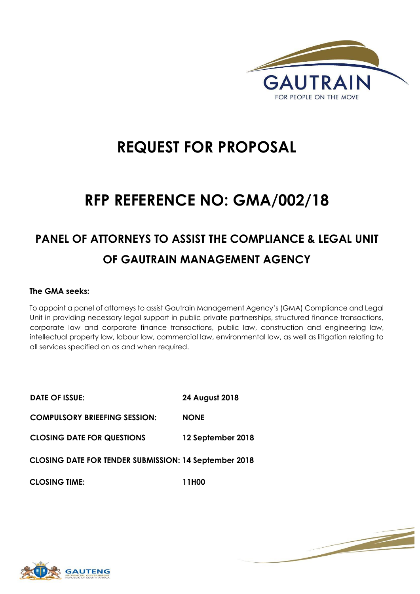

# **REQUEST FOR PROPOSAL**

# **RFP REFERENCE NO: GMA/002/18**

## **PANEL OF ATTORNEYS TO ASSIST THE COMPLIANCE & LEGAL UNIT OF GAUTRAIN MANAGEMENT AGENCY**

## **The GMA seeks:**

To appoint a panel of attorneys to assist Gautrain Management Agency's (GMA) Compliance and Legal Unit in providing necessary legal support in public private partnerships, structured finance transactions, corporate law and corporate finance transactions, public law, construction and engineering law, intellectual property law, labour law, commercial law, environmental law, as well as litigation relating to all services specified on as and when required.

| DATE OF ISSUE:                                               | 24 August 2018    |
|--------------------------------------------------------------|-------------------|
| <b>COMPULSORY BRIEEFING SESSION:</b>                         | <b>NONE</b>       |
| <b>CLOSING DATE FOR QUESTIONS</b>                            | 12 September 2018 |
| <b>CLOSING DATE FOR TENDER SUBMISSION: 14 September 2018</b> |                   |
| <b>CLOSING TIME:</b>                                         | 11H00             |

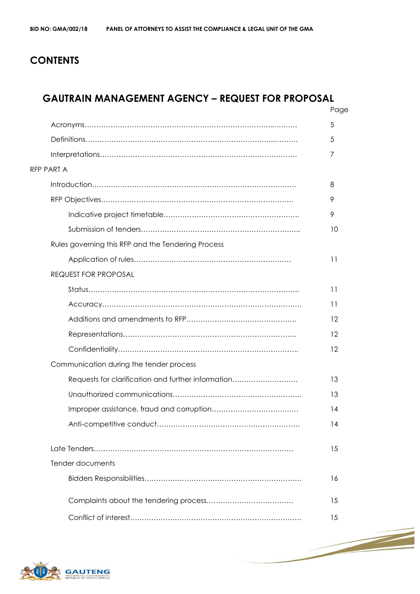## **CONTENTS**

## **GAUTRAIN MANAGEMENT AGENCY – REQUEST FOR PROPOSAL**

|                                                    | Page            |
|----------------------------------------------------|-----------------|
|                                                    | 5               |
|                                                    | 5               |
|                                                    | 7               |
| <b>RFP PART A</b>                                  |                 |
|                                                    | 8               |
|                                                    | 9               |
|                                                    | 9               |
|                                                    | 10              |
| Rules governing this RFP and the Tendering Process |                 |
|                                                    | 11              |
| <b>REQUEST FOR PROPOSAL</b>                        |                 |
|                                                    | 11              |
|                                                    | $\overline{11}$ |
|                                                    | 12              |
|                                                    | 12              |
|                                                    | 12              |
| Communication during the tender process            |                 |
| Requests for clarification and further information | 13              |
|                                                    | 13              |
|                                                    | 14              |
|                                                    | 14              |
|                                                    | 15              |
| Tender documents                                   |                 |
|                                                    | 16              |
|                                                    | 15              |
|                                                    | 15              |

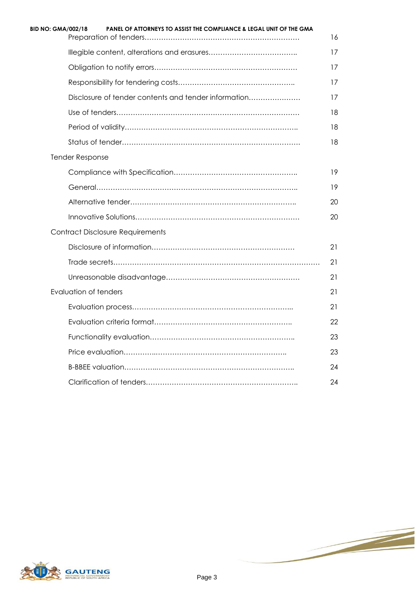| <b>BID NO: GMA/002/18</b><br>PANEL OF ATTORNEYS TO ASSIST THE COMPLIANCE & LEGAL UNIT OF THE GMA | 16 |
|--------------------------------------------------------------------------------------------------|----|
|                                                                                                  | 17 |
|                                                                                                  | 17 |
|                                                                                                  | 17 |
| Disclosure of tender contents and tender information                                             | 17 |
|                                                                                                  | 18 |
|                                                                                                  | 18 |
|                                                                                                  | 18 |
| <b>Tender Response</b>                                                                           |    |
|                                                                                                  | 19 |
|                                                                                                  | 19 |
|                                                                                                  | 20 |
|                                                                                                  | 20 |
| <b>Contract Disclosure Requirements</b>                                                          |    |
|                                                                                                  | 21 |
|                                                                                                  | 21 |
|                                                                                                  | 21 |
| Evaluation of tenders                                                                            | 21 |
|                                                                                                  | 21 |
|                                                                                                  | 22 |
|                                                                                                  | 23 |
|                                                                                                  | 23 |
|                                                                                                  | 24 |
|                                                                                                  | 24 |



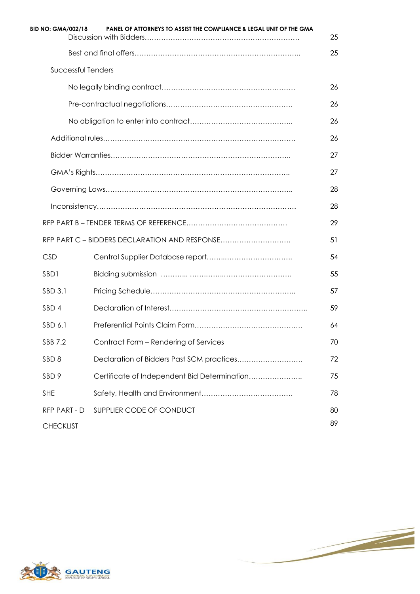| <b>BID NO: GMA/002/18</b> | PANEL OF ATTORNEYS TO ASSIST THE COMPLIANCE & LEGAL UNIT OF THE GMA | 25 |
|---------------------------|---------------------------------------------------------------------|----|
|                           |                                                                     | 25 |
| Successful Tenders        |                                                                     |    |
|                           |                                                                     | 26 |
|                           |                                                                     | 26 |
|                           |                                                                     | 26 |
|                           |                                                                     | 26 |
|                           |                                                                     | 27 |
|                           |                                                                     | 27 |
|                           |                                                                     | 28 |
|                           |                                                                     | 28 |
|                           |                                                                     | 29 |
|                           | RFP PART C - BIDDERS DECLARATION AND RESPONSE                       | 51 |
| <b>CSD</b>                |                                                                     | 54 |
| SBD1                      |                                                                     | 55 |
| SBD 3.1                   |                                                                     | 57 |
| SBD <sub>4</sub>          |                                                                     | 59 |
| SBD 6.1                   |                                                                     | 64 |
| SBB 7.2                   | Contract Form - Rendering of Services                               | 70 |
| SBD <sub>8</sub>          | Declaration of Bidders Past SCM practices                           | 72 |
| SBD <sub>9</sub>          | Certificate of Independent Bid Determination                        | 75 |
| <b>SHE</b>                |                                                                     | 78 |
| RFP PART - D              | SUPPLIER CODE OF CONDUCT                                            | 80 |
| <b>CHECKLIST</b>          |                                                                     | 89 |

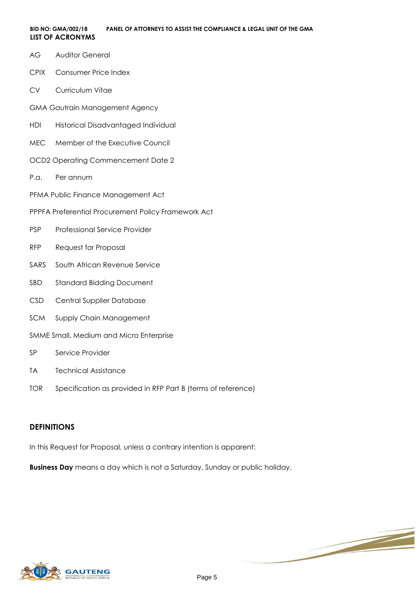- AG Auditor General
- CPIX Consumer Price Index
- CV Curriculum Vitae
- GMA Gautrain Management Agency
- HDI Historical Disadvantaged Individual
- MEC Member of the Executive Council
- OCD2 Operating Commencement Date 2
- P.a. Per annum
- PFMA Public Finance Management Act
- PPPFA Preferential Procurement Policy Framework Act
- PSP Professional Service Provider
- RFP Request for Proposal
- SARS South African Revenue Service
- SBD Standard Bidding Document
- CSD Central Supplier Database
- SCM Supply Chain Management
- SMME Small, Medium and Micro Enterprise
- SP Service Provider
- TA Technical Assistance
- TOR Specification as provided in RFP Part B (terms of reference)

#### **DEFINITIONS**

In this Request for Proposal, unless a contrary intention is apparent:

**Business Day** means a day which is not a Saturday, Sunday or public holiday.

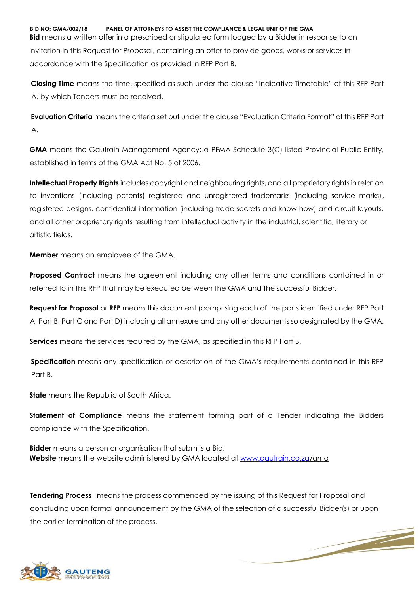**BID NO: GMA/002/18 PANEL OF ATTORNEYS TO ASSIST THE COMPLIANCE & LEGAL UNIT OF THE GMA**

**Bid** means a written offer in a prescribed or stipulated form lodged by a Bidder in response to an invitation in this Request for Proposal, containing an offer to provide goods, works or services in accordance with the Specification as provided in RFP Part B.

**Closing Time** means the time, specified as such under the clause "Indicative Timetable" of this RFP Part A, by which Tenders must be received.

**Evaluation Criteria** means the criteria set out under the clause "Evaluation Criteria Format" of this RFP Part A.

**GMA** means the Gautrain Management Agency; a PFMA Schedule 3(C) listed Provincial Public Entity, established in terms of the GMA Act No. 5 of 2006.

**Intellectual Property Rights** includes copyright and neighbouring rights, and all proprietary rights in relation to inventions (including patents) registered and unregistered trademarks (including service marks), registered designs, confidential information (including trade secrets and know how) and circuit layouts, and all other proprietary rights resulting from intellectual activity in the industrial, scientific, literary or artistic fields.

**Member** means an employee of the GMA.

**Proposed Contract** means the agreement including any other terms and conditions contained in or referred to in this RFP that may be executed between the GMA and the successful Bidder.

**Request for Proposal** or **RFP** means this document (comprising each of the parts identified under RFP Part A, Part B, Part C and Part D) including all annexure and any other documents so designated by the GMA.

**Services** means the services required by the GMA, as specified in this RFP Part B.

**Specification** means any specification or description of the GMA's requirements contained in this RFP Part B.

**State** means the Republic of South Africa.

**Statement of Compliance** means the statement forming part of a Tender indicating the Bidders compliance with the Specification.

**Bidder** means a person or organisation that submits a Bid. **Website** means the website administered by GMA located at [www.gautrain.co.za/g](http://www.gautrain.co.za/)ma

**Tendering Process** means the process commenced by the issuing of this Request for Proposal and concluding upon formal announcement by the GMA of the selection of a successful Bidder(s) or upon the earlier termination of the process.

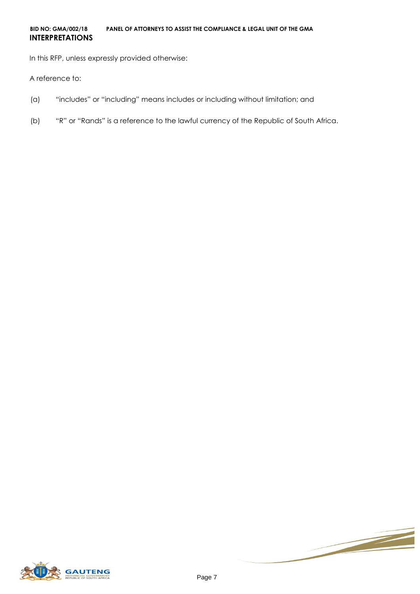#### **BID NO: GMA/002/18 PANEL OF ATTORNEYS TO ASSIST THE COMPLIANCE & LEGAL UNIT OF THE GMA INTERPRETATIONS**

In this RFP, unless expressly provided otherwise:

A reference to:

- (a) "includes" or "including" means includes or including without limitation; and
- (b) "R" or "Rands" is a reference to the lawful currency of the Republic of South Africa.



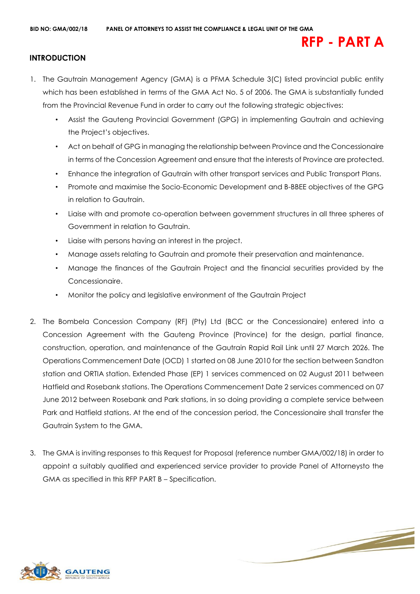## **RFP - PART A**

## **INTRODUCTION**

- 1. The Gautrain Management Agency (GMA) is a PFMA Schedule 3(C) listed provincial public entity which has been established in terms of the GMA Act No. 5 of 2006. The GMA is substantially funded from the Provincial Revenue Fund in order to carry out the following strategic objectives:
	- Assist the Gauteng Provincial Government (GPG) in implementing Gautrain and achieving the Project's objectives.
	- Act on behalf of GPG in managing the relationship between Province and the Concessionaire in terms of the Concession Agreement and ensure that the interests of Province are protected.
	- Enhance the integration of Gautrain with other transport services and Public Transport Plans.
	- Promote and maximise the Socio-Economic Development and B-BBEE objectives of the GPG in relation to Gautrain.
	- Liaise with and promote co-operation between government structures in all three spheres of Government in relation to Gautrain.
	- Liaise with persons having an interest in the project.
	- Manage assets relating to Gautrain and promote their preservation and maintenance.
	- Manage the finances of the Gautrain Project and the financial securities provided by the Concessionaire.
	- Monitor the policy and legislative environment of the Gautrain Project
- 2. The Bombela Concession Company (RF) (Pty) Ltd (BCC or the Concessionaire) entered into a Concession Agreement with the Gauteng Province (Province) for the design, partial finance, construction, operation, and maintenance of the Gautrain Rapid Rail Link until 27 March 2026. The Operations Commencement Date (OCD) 1 started on 08 June 2010 for the section between Sandton station and ORTIA station. Extended Phase (EP) 1 services commenced on 02 August 2011 between Hatfield and Rosebank stations. The Operations Commencement Date 2 services commenced on 07 June 2012 between Rosebank and Park stations, in so doing providing a complete service between Park and Hatfield stations. At the end of the concession period, the Concessionaire shall transfer the Gautrain System to the GMA.
- 3. The GMA is inviting responses to this Request for Proposal (reference number GMA/002/18) in order to appoint a suitably qualified and experienced service provider to provide Panel of Attorneysto the GMA as specified in this RFP PART B – Specification.

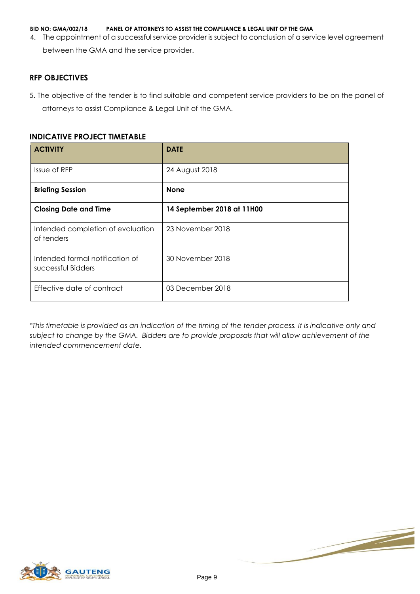4. The appointment of a successful service provider is subject to conclusion of a service level agreement between the GMA and the service provider.

#### **RFP OBJECTIVES**

5. The objective of the tender is to find suitable and competent service providers to be on the panel of attorneys to assist Compliance & Legal Unit of the GMA.

### **INDICATIVE PROJECT TIMETABLE**

| <b>ACTIVITY</b>                                       | <b>DATE</b>                |
|-------------------------------------------------------|----------------------------|
| Issue of RFP                                          | 24 August 2018             |
| <b>Briefing Session</b>                               | <b>None</b>                |
| <b>Closing Date and Time</b>                          | 14 September 2018 at 11H00 |
| Intended completion of evaluation<br>of tenders       | 23 November 2018           |
| Intended formal notification of<br>successful Bidders | 30 November 2018           |
| Effective date of contract                            | 03 December 2018           |

*\*This timetable is provided as an indication of the timing of the tender process. It is indicative only and subject to change by the GMA. Bidders are to provide proposals that will allow achievement of the intended commencement date.* 



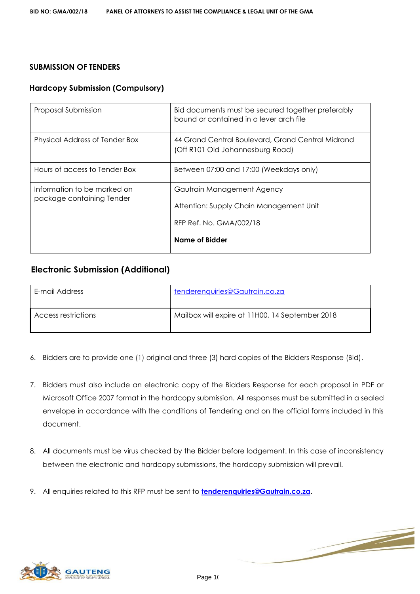## **SUBMISSION OF TENDERS**

## **Hardcopy Submission (Compulsory)**

| Proposal Submission                                      | Bid documents must be secured together preferably<br>bound or contained in a lever arch file                       |
|----------------------------------------------------------|--------------------------------------------------------------------------------------------------------------------|
| Physical Address of Tender Box                           | 44 Grand Central Boulevard, Grand Central Midrand<br>(Off R101 Old Johannesburg Road)                              |
| Hours of access to Tender Box                            | Between 07:00 and 17:00 (Weekdays only)                                                                            |
| Information to be marked on<br>package containing Tender | Gautrain Management Agency<br>Attention: Supply Chain Management Unit<br>RFP Ref. No. GMA/002/18<br>Name of Bidder |

## **Electronic Submission (Additional)**

| E-mail Address      | tenderenquiries@Gautrain.co.za                  |
|---------------------|-------------------------------------------------|
| Access restrictions | Mailbox will expire at 11H00, 14 September 2018 |

- 6. Bidders are to provide one (1) original and three (3) hard copies of the Bidders Response (Bid).
- 7. Bidders must also include an electronic copy of the Bidders Response for each proposal in PDF or Microsoft Office 2007 format in the hardcopy submission. All responses must be submitted in a sealed envelope in accordance with the conditions of Tendering and on the official forms included in this document.
- 8. All documents must be virus checked by the Bidder before lodgement. In this case of inconsistency between the electronic and hardcopy submissions, the hardcopy submission will prevail.
- 9. All enquiries related to this RFP must be sent to **tenderenquiries@Gautrain.co.za**.

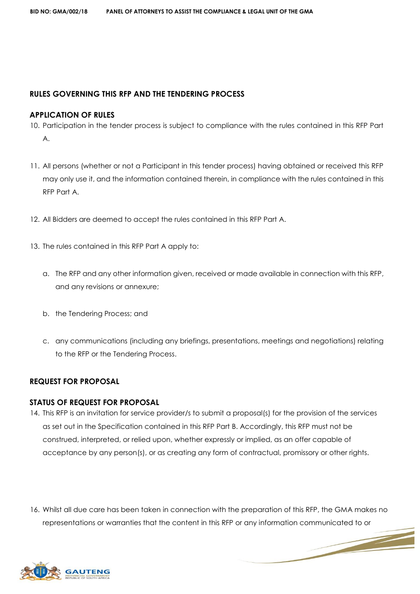#### **RULES GOVERNING THIS RFP AND THE TENDERING PROCESS**

#### **APPLICATION OF RULES**

- 10. Participation in the tender process is subject to compliance with the rules contained in this RFP Part A.
- 11. All persons (whether or not a Participant in this tender process) having obtained or received this RFP may only use it, and the information contained therein, in compliance with the rules contained in this RFP Part A.
- 12. All Bidders are deemed to accept the rules contained in this RFP Part A.
- 13. The rules contained in this RFP Part A apply to:
	- a. The RFP and any other information given, received or made available in connection with this RFP, and any revisions or annexure;
	- b. the Tendering Process; and
	- c. any communications (including any briefings, presentations, meetings and negotiations) relating to the RFP or the Tendering Process.

#### **REQUEST FOR PROPOSAL**

#### **STATUS OF REQUEST FOR PROPOSAL**

- 14. This RFP is an invitation for service provider/s to submit a proposal(s) for the provision of the services as set out in the Specification contained in this RFP Part B. Accordingly, this RFP must not be construed, interpreted, or relied upon, whether expressly or implied, as an offer capable of acceptance by any person(s), or as creating any form of contractual, promissory or other rights.
- 16. Whilst all due care has been taken in connection with the preparation of this RFP, the GMA makes no representations or warranties that the content in this RFP or any information communicated to or

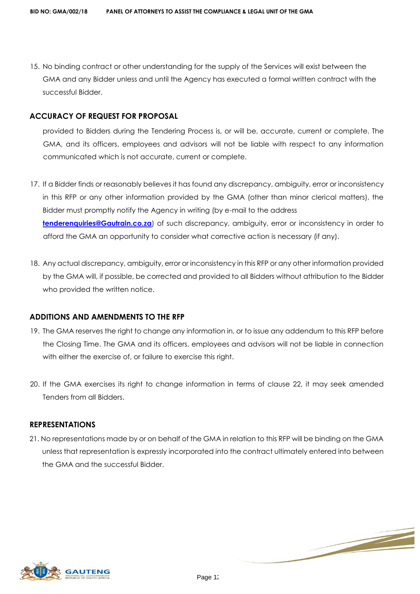15. No binding contract or other understanding for the supply of the Services will exist between the GMA and any Bidder unless and until the Agency has executed a formal written contract with the successful Bidder.

### **ACCURACY OF REQUEST FOR PROPOSAL**

provided to Bidders during the Tendering Process is, or will be, accurate, current or complete. The GMA, and its officers, employees and advisors will not be liable with respect to any information communicated which is not accurate, current or complete.

- 17. If a Bidder finds or reasonably believes it has found any discrepancy, ambiguity, error or inconsistency in this RFP or any other information provided by the GMA (other than minor clerical matters), the Bidder must promptly notify the Agency in writing (by e-mail to the address **tenderenquiries@Gautrain.co.za**) of such discrepancy, ambiguity, error or inconsistency in order to afford the GMA an opportunity to consider what corrective action is necessary (if any).
- 18. Any actual discrepancy, ambiguity, error or inconsistency in this RFP or any other information provided by the GMA will, if possible, be corrected and provided to all Bidders without attribution to the Bidder who provided the written notice.

#### **ADDITIONS AND AMENDMENTS TO THE RFP**

- 19. The GMA reserves the right to change any information in, or to issue any addendum to this RFP before the Closing Time. The GMA and its officers, employees and advisors will not be liable in connection with either the exercise of, or failure to exercise this right.
- 20. If the GMA exercises its right to change information in terms of clause 22, it may seek amended Tenders from all Bidders.

#### **REPRESENTATIONS**

21. No representations made by or on behalf of the GMA in relation to this RFP will be binding on the GMA unless that representation is expressly incorporated into the contract ultimately entered into between the GMA and the successful Bidder.

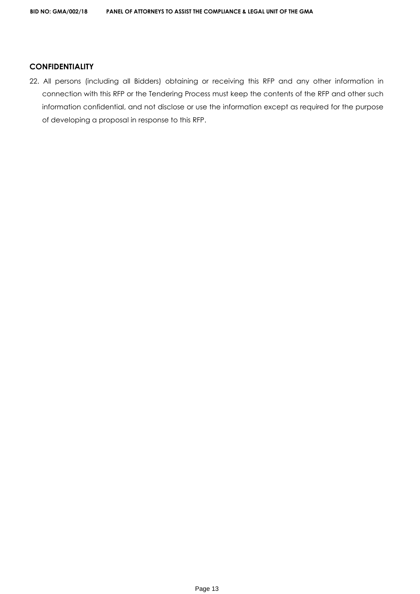### **CONFIDENTIALITY**

22. All persons (including all Bidders) obtaining or receiving this RFP and any other information in connection with this RFP or the Tendering Process must keep the contents of the RFP and other such information confidential, and not disclose or use the information except as required for the purpose of developing a proposal in response to this RFP.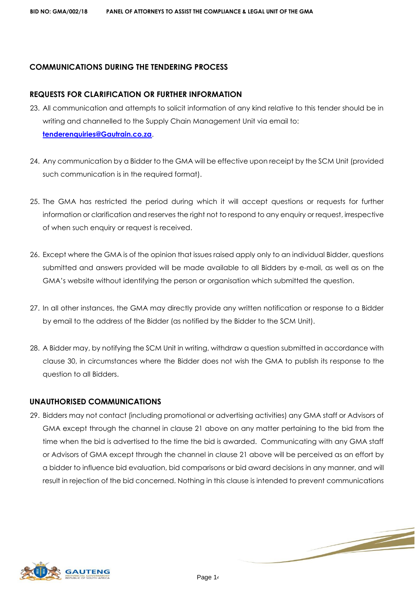## **COMMUNICATIONS DURING THE TENDERING PROCESS**

#### **REQUESTS FOR CLARIFICATION OR FURTHER INFORMATION**

- 23. All communication and attempts to solicit information of any kind relative to this tender should be in writing and channelled to the Supply Chain Management Unit via email to: **tenderenquiries@Gautrain.co.za**.
- 24. Any communication by a Bidder to the GMA will be effective upon receipt by the SCM Unit (provided such communication is in the required format).
- 25. The GMA has restricted the period during which it will accept questions or requests for further information or clarification and reserves the right not to respond to any enquiry or request, irrespective of when such enquiry or request is received.
- 26. Except where the GMA is of the opinion that issues raised apply only to an individual Bidder, questions submitted and answers provided will be made available to all Bidders by e-mail, as well as on the GMA's website without identifying the person or organisation which submitted the question.
- 27. In all other instances, the GMA may directly provide any written notification or response to a Bidder by email to the address of the Bidder (as notified by the Bidder to the SCM Unit).
- 28. A Bidder may, by notifying the SCM Unit in writing, withdraw a question submitted in accordance with clause 30, in circumstances where the Bidder does not wish the GMA to publish its response to the question to all Bidders.

#### **UNAUTHORISED COMMUNICATIONS**

29. Bidders may not contact (including promotional or advertising activities) any GMA staff or Advisors of GMA except through the channel in clause 21 above on any matter pertaining to the bid from the time when the bid is advertised to the time the bid is awarded. Communicating with any GMA staff or Advisors of GMA except through the channel in clause 21 above will be perceived as an effort by a bidder to influence bid evaluation, bid comparisons or bid award decisions in any manner, and will result in rejection of the bid concerned. Nothing in this clause is intended to prevent communications

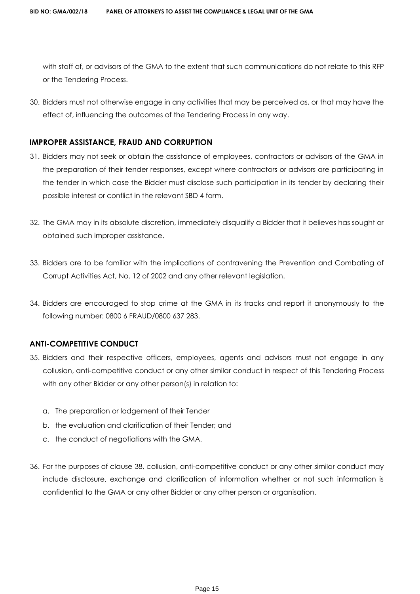with staff of, or advisors of the GMA to the extent that such communications do not relate to this RFP or the Tendering Process.

30. Bidders must not otherwise engage in any activities that may be perceived as, or that may have the effect of, influencing the outcomes of the Tendering Process in any way.

### **IMPROPER ASSISTANCE, FRAUD AND CORRUPTION**

- 31. Bidders may not seek or obtain the assistance of employees, contractors or advisors of the GMA in the preparation of their tender responses, except where contractors or advisors are participating in the tender in which case the Bidder must disclose such participation in its tender by declaring their possible interest or conflict in the relevant SBD 4 form.
- 32. The GMA may in its absolute discretion, immediately disqualify a Bidder that it believes has sought or obtained such improper assistance.
- 33. Bidders are to be familiar with the implications of contravening the Prevention and Combating of Corrupt Activities Act, No. 12 of 2002 and any other relevant legislation.
- 34. Bidders are encouraged to stop crime at the GMA in its tracks and report it anonymously to the following number: 0800 6 FRAUD/0800 637 283.

## **ANTI-COMPETITIVE CONDUCT**

- 35. Bidders and their respective officers, employees, agents and advisors must not engage in any collusion, anti-competitive conduct or any other similar conduct in respect of this Tendering Process with any other Bidder or any other person(s) in relation to:
	- a. The preparation or lodgement of their Tender
	- b. the evaluation and clarification of their Tender; and
	- c. the conduct of negotiations with the GMA.
- 36. For the purposes of clause 38, collusion, anti-competitive conduct or any other similar conduct may include disclosure, exchange and clarification of information whether or not such information is confidential to the GMA or any other Bidder or any other person or organisation.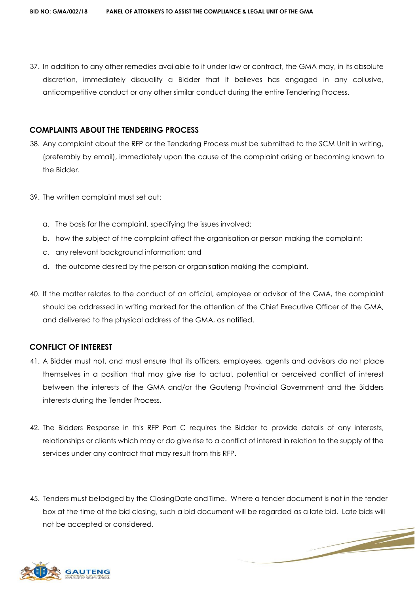37. In addition to any other remedies available to it under law or contract, the GMA may, in its absolute discretion, immediately disqualify a Bidder that it believes has engaged in any collusive, anticompetitive conduct or any other similar conduct during the entire Tendering Process.

#### **COMPLAINTS ABOUT THE TENDERING PROCESS**

- 38. Any complaint about the RFP or the Tendering Process must be submitted to the SCM Unit in writing, (preferably by email), immediately upon the cause of the complaint arising or becoming known to the Bidder.
- 39. The written complaint must set out:
	- a. The basis for the complaint, specifying the issues involved;
	- b. how the subject of the complaint affect the organisation or person making the complaint;
	- c. any relevant background information; and
	- d. the outcome desired by the person or organisation making the complaint.
- 40. If the matter relates to the conduct of an official, employee or advisor of the GMA, the complaint should be addressed in writing marked for the attention of the Chief Executive Officer of the GMA, and delivered to the physical address of the GMA, as notified.

#### **CONFLICT OF INTEREST**

- 41. A Bidder must not, and must ensure that its officers, employees, agents and advisors do not place themselves in a position that may give rise to actual, potential or perceived conflict of interest between the interests of the GMA and/or the Gauteng Provincial Government and the Bidders interests during the Tender Process.
- 42. The Bidders Response in this RFP Part C requires the Bidder to provide details of any interests, relationships or clients which may or do give rise to a conflict of interest in relation to the supply of the services under any contract that may result from this RFP.
- 45. Tenders must belodged by the Closing Date and Time. Where a tender document is not in the tender box at the time of the bid closing, such a bid document will be regarded as a late bid. Late bids will not be accepted or considered.

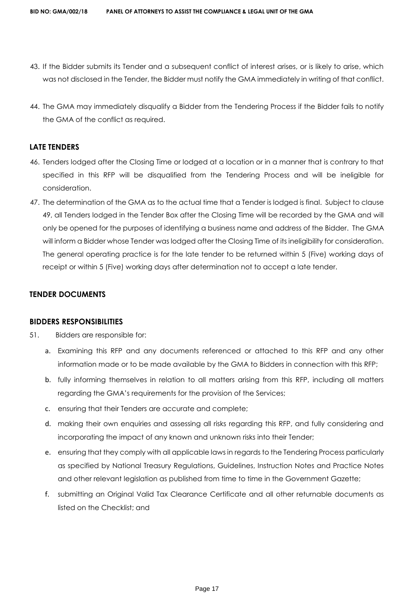- 43. If the Bidder submits its Tender and a subsequent conflict of interest arises, or is likely to arise, which was not disclosed in the Tender, the Bidder must notify the GMA immediately in writing of that conflict.
- 44. The GMA may immediately disqualify a Bidder from the Tendering Process if the Bidder fails to notify the GMA of the conflict as required.

#### **LATE TENDERS**

- 46. Tenders lodged after the Closing Time or lodged at a location or in a manner that is contrary to that specified in this RFP will be disqualified from the Tendering Process and will be ineligible for consideration.
- 47. The determination of the GMA as to the actual time that a Tender is lodged is final. Subject to clause 49, all Tenders lodged in the Tender Box after the Closing Time will be recorded by the GMA and will only be opened for the purposes of identifying a business name and address of the Bidder. The GMA will inform a Bidder whose Tender was lodged after the Closing Time of its ineligibility for consideration. The general operating practice is for the late tender to be returned within 5 (Five) working days of receipt or within 5 (Five) working days after determination not to accept a late tender.

#### **TENDER DOCUMENTS**

#### **BIDDERS RESPONSIBILITIES**

- 51. Bidders are responsible for:
	- a. Examining this RFP and any documents referenced or attached to this RFP and any other information made or to be made available by the GMA to Bidders in connection with this RFP;
	- b. fully informing themselves in relation to all matters arising from this RFP, including all matters regarding the GMA's requirements for the provision of the Services;
	- c. ensuring that their Tenders are accurate and complete;
	- d. making their own enquiries and assessing all risks regarding this RFP, and fully considering and incorporating the impact of any known and unknown risks into their Tender;
	- e. ensuring that they comply with all applicable laws in regards to the Tendering Process particularly as specified by National Treasury Regulations, Guidelines, Instruction Notes and Practice Notes and other relevant legislation as published from time to time in the Government Gazette;
	- f. submitting an Original Valid Tax Clearance Certificate and all other returnable documents as listed on the Checklist; and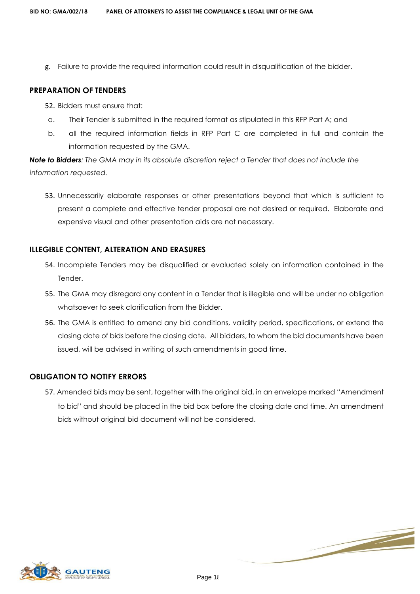g. Failure to provide the required information could result in disqualification of the bidder.

#### **PREPARATION OF TENDERS**

- 52. Bidders must ensure that:
- a. Their Tender is submitted in the required format as stipulated in this RFP Part A; and
- b. all the required information fields in RFP Part C are completed in full and contain the information requested by the GMA.

*Note to Bidders: The GMA may in its absolute discretion reject a Tender that does not include the information requested.* 

53. Unnecessarily elaborate responses or other presentations beyond that which is sufficient to present a complete and effective tender proposal are not desired or required. Elaborate and expensive visual and other presentation aids are not necessary.

## **ILLEGIBLE CONTENT, ALTERATION AND ERASURES**

- 54. Incomplete Tenders may be disqualified or evaluated solely on information contained in the Tender.
- 55. The GMA may disregard any content in a Tender that is illegible and will be under no obligation whatsoever to seek clarification from the Bidder.
- 56. The GMA is entitled to amend any bid conditions, validity period, specifications, or extend the closing date of bids before the closing date. All bidders, to whom the bid documents have been issued, will be advised in writing of such amendments in good time.

## **OBLIGATION TO NOTIFY ERRORS**

57. Amended bids may be sent, together with the original bid, in an envelope marked "Amendment to bid" and should be placed in the bid box before the closing date and time. An amendment bids without original bid document will not be considered.



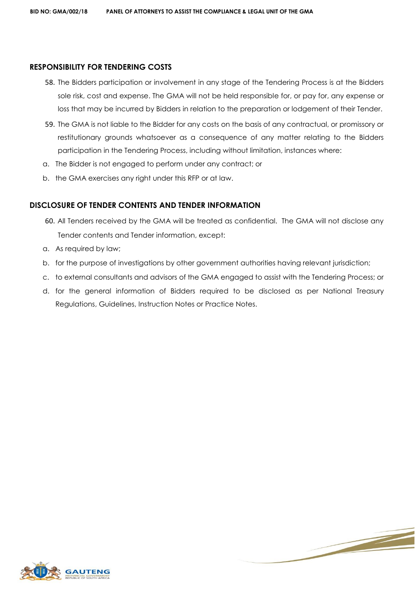#### **RESPONSIBILITY FOR TENDERING COSTS**

- 58. The Bidders participation or involvement in any stage of the Tendering Process is at the Bidders sole risk, cost and expense. The GMA will not be held responsible for, or pay for, any expense or loss that may be incurred by Bidders in relation to the preparation or lodgement of their Tender.
- 59. The GMA is not liable to the Bidder for any costs on the basis of any contractual, or promissory or restitutionary grounds whatsoever as a consequence of any matter relating to the Bidders participation in the Tendering Process, including without limitation, instances where:
- a. The Bidder is not engaged to perform under any contract; or
- b. the GMA exercises any right under this RFP or at law.

#### **DISCLOSURE OF TENDER CONTENTS AND TENDER INFORMATION**

- 60. All Tenders received by the GMA will be treated as confidential. The GMA will not disclose any Tender contents and Tender information, except:
- a. As required by law;
- b. for the purpose of investigations by other government authorities having relevant jurisdiction;
- c. to external consultants and advisors of the GMA engaged to assist with the Tendering Process; or
- d. for the general information of Bidders required to be disclosed as per National Treasury Regulations, Guidelines, Instruction Notes or Practice Notes.



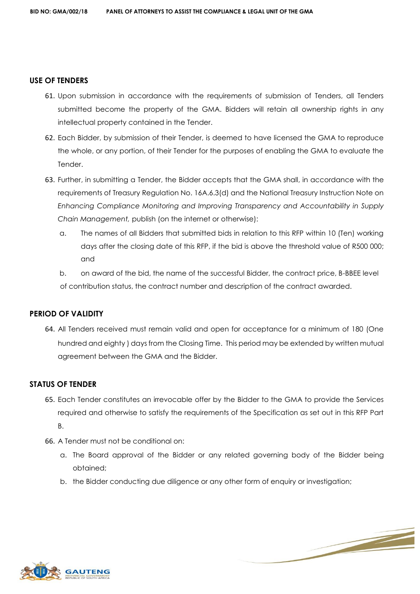#### **USE OF TENDERS**

- 61. Upon submission in accordance with the requirements of submission of Tenders, all Tenders submitted become the property of the GMA. Bidders will retain all ownership rights in any intellectual property contained in the Tender.
- 62. Each Bidder, by submission of their Tender, is deemed to have licensed the GMA to reproduce the whole, or any portion, of their Tender for the purposes of enabling the GMA to evaluate the Tender.
- 63. Further, in submitting a Tender, the Bidder accepts that the GMA shall, in accordance with the requirements of Treasury Regulation No. 16A.6.3(d) and the National Treasury Instruction Note on *Enhancing Compliance Monitoring and Improving Transparency and Accountability in Supply Chain Management,* publish (on the internet or otherwise):
	- a. The names of all Bidders that submitted bids in relation to this RFP within 10 (Ten) working days after the closing date of this RFP, if the bid is above the threshold value of R500 000; and
	- b. on award of the bid, the name of the successful Bidder, the contract price, B-BBEE level of contribution status, the contract number and description of the contract awarded.

#### **PERIOD OF VALIDITY**

64. All Tenders received must remain valid and open for acceptance for a minimum of 180 (One hundred and eighty ) days from the Closing Time. This period may be extended by written mutual agreement between the GMA and the Bidder.

#### **STATUS OF TENDER**

- 65. Each Tender constitutes an irrevocable offer by the Bidder to the GMA to provide the Services required and otherwise to satisfy the requirements of the Specification as set out in this RFP Part B.
- 66. A Tender must not be conditional on:
	- a. The Board approval of the Bidder or any related governing body of the Bidder being obtained;
	- b. the Bidder conducting due diligence or any other form of enquiry or investigation;



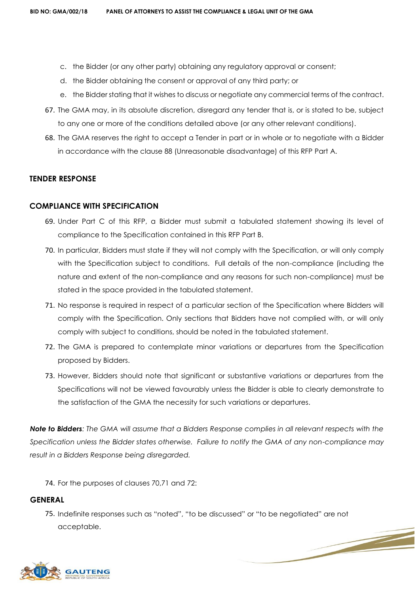- c. the Bidder (or any other party) obtaining any regulatory approval or consent;
- d. the Bidder obtaining the consent or approval of any third party; or
- e. the Bidder stating that it wishes to discuss or negotiate any commercial terms of the contract.
- 67. The GMA may, in its absolute discretion, disregard any tender that is, or is stated to be, subject to any one or more of the conditions detailed above (or any other relevant conditions).
- 68. The GMA reserves the right to accept a Tender in part or in whole or to negotiate with a Bidder in accordance with the clause 88 (Unreasonable disadvantage) of this RFP Part A.

#### **TENDER RESPONSE**

#### **COMPLIANCE WITH SPECIFICATION**

- 69. Under Part C of this RFP, a Bidder must submit a tabulated statement showing its level of compliance to the Specification contained in this RFP Part B.
- 70. In particular, Bidders must state if they will not comply with the Specification, or will only comply with the Specification subject to conditions. Full details of the non-compliance (including the nature and extent of the non-compliance and any reasons for such non-compliance) must be stated in the space provided in the tabulated statement.
- 71. No response is required in respect of a particular section of the Specification where Bidders will comply with the Specification. Only sections that Bidders have not complied with, or will only comply with subject to conditions, should be noted in the tabulated statement.
- 72. The GMA is prepared to contemplate minor variations or departures from the Specification proposed by Bidders.
- 73. However, Bidders should note that significant or substantive variations or departures from the Specifications will not be viewed favourably unless the Bidder is able to clearly demonstrate to the satisfaction of the GMA the necessity for such variations or departures.

*Note to Bidders: The GMA will assume that a Bidders Response complies in all relevant respects with the Specification unless the Bidder states otherwise. Failure to notify the GMA of any non-compliance may result in a Bidders Response being disregarded.* 

74. For the purposes of clauses 70,71 and 72:

#### **GENERAL**

75. Indefinite responses such as "noted", "to be discussed" or "to be negotiated" are not acceptable.

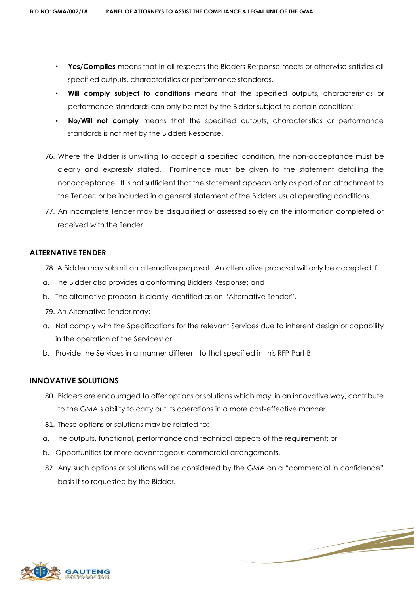- **Yes/Complies** means that in all respects the Bidders Response meets or otherwise satisfies all specified outputs, characteristics or performance standards.
- **Will comply subject to conditions** means that the specified outputs, characteristics or performance standards can only be met by the Bidder subject to certain conditions.
- **No/Will not comply** means that the specified outputs, characteristics or performance standards is not met by the Bidders Response.
- 76. Where the Bidder is unwilling to accept a specified condition, the non-acceptance must be clearly and expressly stated. Prominence must be given to the statement detailing the nonacceptance. It is not sufficient that the statement appears only as part of an attachment to the Tender, or be included in a general statement of the Bidders usual operating conditions.
- 77. An incomplete Tender may be disqualified or assessed solely on the information completed or received with the Tender.

#### **ALTERNATIVE TENDER**

- 78. A Bidder may submit an alternative proposal. An alternative proposal will only be accepted if:
- a. The Bidder also provides a conforming Bidders Response; and
- b. The alternative proposal is clearly identified as an "Alternative Tender".
- 79. An Alternative Tender may:
- a. Not comply with the Specifications for the relevant Services due to inherent design or capability in the operation of the Services; or
- b. Provide the Services in a manner different to that specified in this RFP Part B.

#### **INNOVATIVE SOLUTIONS**

- 80. Bidders are encouraged to offer options or solutions which may, in an innovative way, contribute to the GMA's ability to carry out its operations in a more cost-effective manner.
- 81. These options or solutions may be related to:
- a. The outputs, functional, performance and technical aspects of the requirement; or
- b. Opportunities for more advantageous commercial arrangements.
- 82. Any such options or solutions will be considered by the GMA on a "commercial in confidence" basis if so requested by the Bidder.

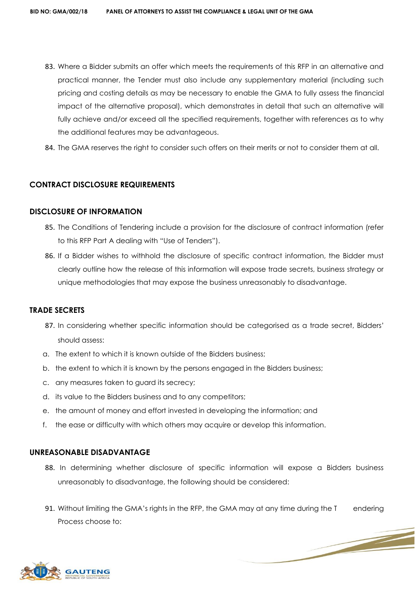- 83. Where a Bidder submits an offer which meets the requirements of this RFP in an alternative and practical manner, the Tender must also include any supplementary material (including such pricing and costing details as may be necessary to enable the GMA to fully assess the financial impact of the alternative proposal), which demonstrates in detail that such an alternative will fully achieve and/or exceed all the specified requirements, together with references as to why the additional features may be advantageous.
- 84. The GMA reserves the right to consider such offers on their merits or not to consider them at all.

#### **CONTRACT DISCLOSURE REQUIREMENTS**

#### **DISCLOSURE OF INFORMATION**

- 85. The Conditions of Tendering include a provision for the disclosure of contract information (refer to this RFP Part A dealing with "Use of Tenders").
- 86. If a Bidder wishes to withhold the disclosure of specific contract information, the Bidder must clearly outline how the release of this information will expose trade secrets, business strategy or unique methodologies that may expose the business unreasonably to disadvantage.

#### **TRADE SECRETS**

- 87. In considering whether specific information should be categorised as a trade secret, Bidders' should assess:
- a. The extent to which it is known outside of the Bidders business;
- b. the extent to which it is known by the persons engaged in the Bidders business;
- c. any measures taken to guard its secrecy;
- d. its value to the Bidders business and to any competitors;
- e. the amount of money and effort invested in developing the information; and
- f. the ease or difficulty with which others may acquire or develop this information.

#### **UNREASONABLE DISADVANTAGE**

- 88. In determining whether disclosure of specific information will expose a Bidders business unreasonably to disadvantage, the following should be considered:
- 91. Without limiting the GMA's rights in the RFP, the GMA may at any time during the T endering Process choose to:

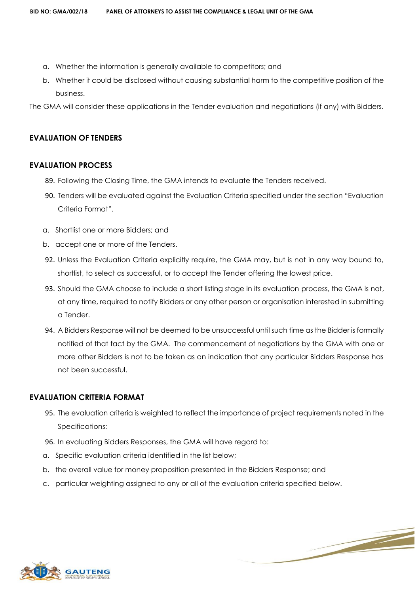- a. Whether the information is generally available to competitors; and
- b. Whether it could be disclosed without causing substantial harm to the competitive position of the business.

The GMA will consider these applications in the Tender evaluation and negotiations (if any) with Bidders.

## **EVALUATION OF TENDERS**

#### **EVALUATION PROCESS**

- 89. Following the Closing Time, the GMA intends to evaluate the Tenders received.
- 90. Tenders will be evaluated against the Evaluation Criteria specified under the section "Evaluation Criteria Format".
- a. Shortlist one or more Bidders; and
- b. accept one or more of the Tenders.
- 92. Unless the Evaluation Criteria explicitly require, the GMA may, but is not in any way bound to, shortlist, to select as successful, or to accept the Tender offering the lowest price.
- 93. Should the GMA choose to include a short listing stage in its evaluation process, the GMA is not, at any time, required to notify Bidders or any other person or organisation interested in submitting a Tender.
- 94. A Bidders Response will not be deemed to be unsuccessful until such time as the Bidder is formally notified of that fact by the GMA. The commencement of negotiations by the GMA with one or more other Bidders is not to be taken as an indication that any particular Bidders Response has not been successful.

#### **EVALUATION CRITERIA FORMAT**

95. The evaluation criteria is weighted to reflect the importance of project requirements noted in the Specifications:

- 96. In evaluating Bidders Responses, the GMA will have regard to:
- a. Specific evaluation criteria identified in the list below;
- b. the overall value for money proposition presented in the Bidders Response; and
- c. particular weighting assigned to any or all of the evaluation criteria specified below.

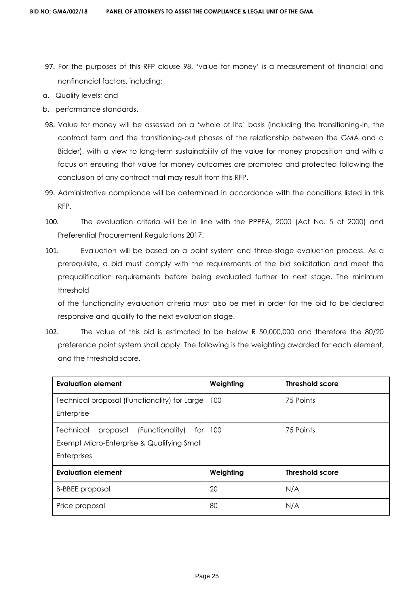- 97. For the purposes of this RFP clause 98, 'value for money' is a measurement of financial and nonfinancial factors, including:
- a. Quality levels; and
- b. performance standards.
- 98. Value for money will be assessed on a 'whole of life' basis (including the transitioning-in, the contract term and the transitioning-out phases of the relationship between the GMA and a Bidder), with a view to long-term sustainability of the value for money proposition and with a focus on ensuring that value for money outcomes are promoted and protected following the conclusion of any contract that may result from this RFP.
- 99. Administrative compliance will be determined in accordance with the conditions listed in this RFP.
- 100. The evaluation criteria will be in line with the PPPFA, 2000 (Act No. 5 of 2000) and Preferential Procurement Regulations 2017.
- 101. Evaluation will be based on a point system and three-stage evaluation process. As a prerequisite, a bid must comply with the requirements of the bid solicitation and meet the prequalification requirements before being evaluated further to next stage. The minimum threshold

of the functionality evaluation criteria must also be met in order for the bid to be declared responsive and qualify to the next evaluation stage.

102. The value of this bid is estimated to be below R 50,000,000 and therefore the 80/20 preference point system shall apply. The following is the weighting awarded for each element, and the threshold score.

| <b>Evaluation element</b>                       | Weighting | <b>Threshold score</b> |
|-------------------------------------------------|-----------|------------------------|
| Technical proposal (Functionality) for Large    | 100       | 75 Points              |
| Enterprise                                      |           |                        |
| Technical<br>(Functionality)<br>proposal<br>for | 100       | 75 Points              |
| Exempt Micro-Enterprise & Qualifying Small      |           |                        |
| <b>Enterprises</b>                              |           |                        |
| <b>Evaluation element</b>                       | Weighting | <b>Threshold score</b> |
| <b>B-BBEE</b> proposal                          | 20        | N/A                    |
| Price proposal                                  | 80        | N/A                    |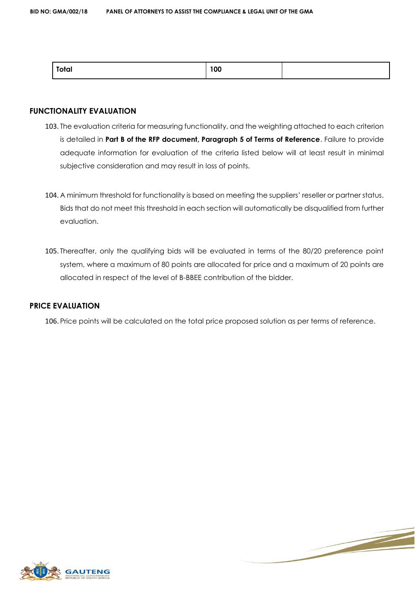#### **FUNCTIONALITY EVALUATION**

- 103. The evaluation criteria for measuring functionality, and the weighting attached to each criterion is detailed in **Part B of the RFP document, Paragraph 5 of Terms of Reference**. Failure to provide adequate information for evaluation of the criteria listed below will at least result in minimal subjective consideration and may result in loss of points.
- 104. A minimum threshold for functionality is based on meeting the suppliers' reseller or partner status. Bids that do not meet this threshold in each section will automatically be disqualified from further evaluation.
- 105. Thereafter, only the qualifying bids will be evaluated in terms of the 80/20 preference point system, where a maximum of 80 points are allocated for price and a maximum of 20 points are allocated in respect of the level of B-BBEE contribution of the bidder.

## **PRICE EVALUATION**

106. Price points will be calculated on the total price proposed solution as per terms of reference.



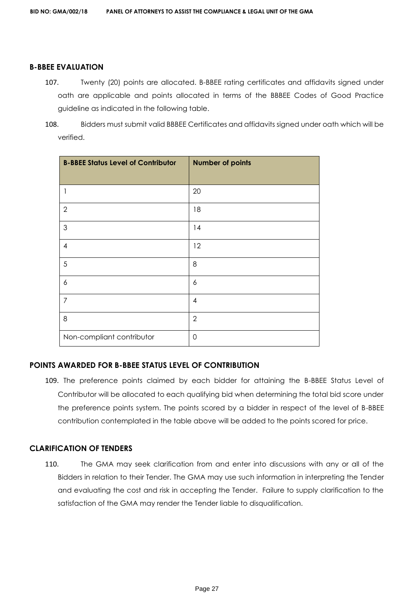#### **B-BBEE EVALUATION**

- 107. Twenty (20) points are allocated. B-BBEE rating certificates and affidavits signed under oath are applicable and points allocated in terms of the BBBEE Codes of Good Practice guideline as indicated in the following table.
- 108. Bidders must submit valid BBBEE Certificates and affidavits signed under oath which will be verified.

| <b>B-BBEE Status Level of Contributor</b> | <b>Number of points</b> |
|-------------------------------------------|-------------------------|
| 1                                         | 20                      |
| $\overline{2}$                            | 18                      |
| 3                                         | 14                      |
| 4                                         | 12                      |
| 5                                         | 8                       |
| 6                                         | 6                       |
| 7                                         | 4                       |
| 8                                         | $\overline{2}$          |
| Non-compliant contributor                 | $\mathbf 0$             |

#### **POINTS AWARDED FOR B-BBEE STATUS LEVEL OF CONTRIBUTION**

109. The preference points claimed by each bidder for attaining the B-BBEE Status Level of Contributor will be allocated to each qualifying bid when determining the total bid score under the preference points system. The points scored by a bidder in respect of the level of B-BBEE contribution contemplated in the table above will be added to the points scored for price.

#### **CLARIFICATION OF TENDERS**

110. The GMA may seek clarification from and enter into discussions with any or all of the Bidders in relation to their Tender. The GMA may use such information in interpreting the Tender and evaluating the cost and risk in accepting the Tender. Failure to supply clarification to the satisfaction of the GMA may render the Tender liable to disqualification.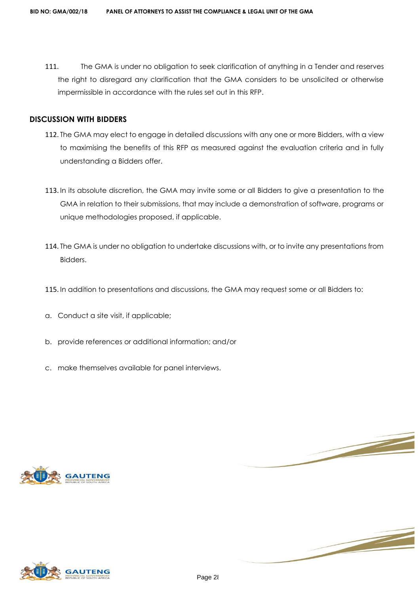111. The GMA is under no obligation to seek clarification of anything in a Tender and reserves the right to disregard any clarification that the GMA considers to be unsolicited or otherwise impermissible in accordance with the rules set out in this RFP.

#### **DISCUSSION WITH BIDDERS**

- 112. The GMA may elect to engage in detailed discussions with any one or more Bidders, with a view to maximising the benefits of this RFP as measured against the evaluation criteria and in fully understanding a Bidders offer.
- 113. In its absolute discretion, the GMA may invite some or all Bidders to give a presentation to the GMA in relation to their submissions, that may include a demonstration of software, programs or unique methodologies proposed, if applicable.
- 114. The GMA is under no obligation to undertake discussions with, or to invite any presentations from Bidders.
- 115. In addition to presentations and discussions, the GMA may request some or all Bidders to:
- a. Conduct a site visit, if applicable;
- b. provide references or additional information; and/or
- c. make themselves available for panel interviews.





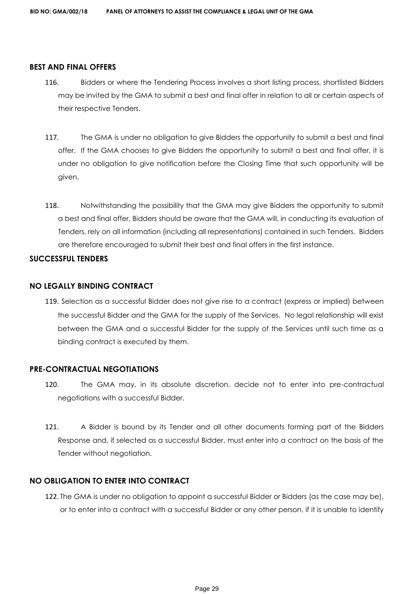#### **BEST AND FINAL OFFERS**

- 116. Bidders or where the Tendering Process involves a short listing process, shortlisted Bidders may be invited by the GMA to submit a best and final offer in relation to all or certain aspects of their respective Tenders.
- 117. The GMA is under no obligation to give Bidders the opportunity to submit a best and final offer. If the GMA chooses to give Bidders the opportunity to submit a best and final offer, it is under no obligation to give notification before the Closing Time that such opportunity will be given.
- 118. Notwithstanding the possibility that the GMA may give Bidders the opportunity to submit a best and final offer, Bidders should be aware that the GMA will, in conducting its evaluation of Tenders, rely on all information (including all representations) contained in such Tenders. Bidders are therefore encouraged to submit their best and final offers in the first instance.

#### **SUCCESSFUL TENDERS**

#### **NO LEGALLY BINDING CONTRACT**

119. Selection as a successful Bidder does not give rise to a contract (express or implied) between the successful Bidder and the GMA for the supply of the Services. No legal relationship will exist between the GMA and a successful Bidder for the supply of the Services until such time as a binding contract is executed by them.

#### **PRE-CONTRACTUAL NEGOTIATIONS**

- 120. The GMA may, in its absolute discretion, decide not to enter into pre-contractual negotiations with a successful Bidder.
- 121. A Bidder is bound by its Tender and all other documents forming part of the Bidders Response and, if selected as a successful Bidder, must enter into a contract on the basis of the Tender without negotiation.

#### **NO OBLIGATION TO ENTER INTO CONTRACT**

122. The GMA is under no obligation to appoint a successful Bidder or Bidders (as the case may be), or to enter into a contract with a successful Bidder or any other person, if it is unable to identify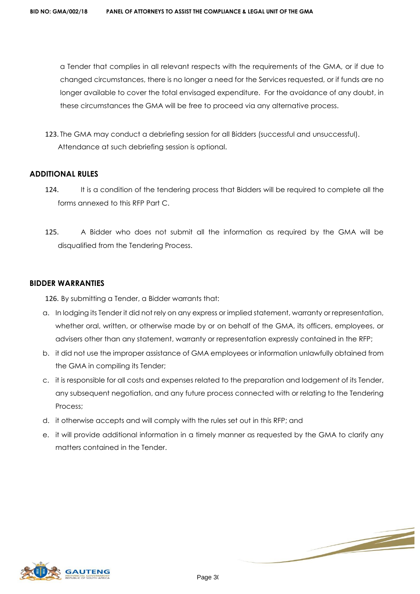a Tender that complies in all relevant respects with the requirements of the GMA, or if due to changed circumstances, there is no longer a need for the Services requested, or if funds are no longer available to cover the total envisaged expenditure. For the avoidance of any doubt, in these circumstances the GMA will be free to proceed via any alternative process.

123. The GMA may conduct a debriefing session for all Bidders (successful and unsuccessful). Attendance at such debriefing session is optional.

#### **ADDITIONAL RULES**

- 124. It is a condition of the tendering process that Bidders will be required to complete all the forms annexed to this RFP Part C.
- 125. A Bidder who does not submit all the information as required by the GMA will be disqualified from the Tendering Process.

#### **BIDDER WARRANTIES**

126. By submitting a Tender, a Bidder warrants that:

- a. In lodging its Tender it did not rely on any express or implied statement, warranty or representation, whether oral, written, or otherwise made by or on behalf of the GMA, its officers, employees, or advisers other than any statement, warranty or representation expressly contained in the RFP;
- b. it did not use the improper assistance of GMA employees or information unlawfully obtained from the GMA in compiling its Tender;
- c. it is responsible for all costs and expenses related to the preparation and lodgement of its Tender, any subsequent negotiation, and any future process connected with or relating to the Tendering Process;
- d. it otherwise accepts and will comply with the rules set out in this RFP; and
- e. it will provide additional information in a timely manner as requested by the GMA to clarify any matters contained in the Tender.

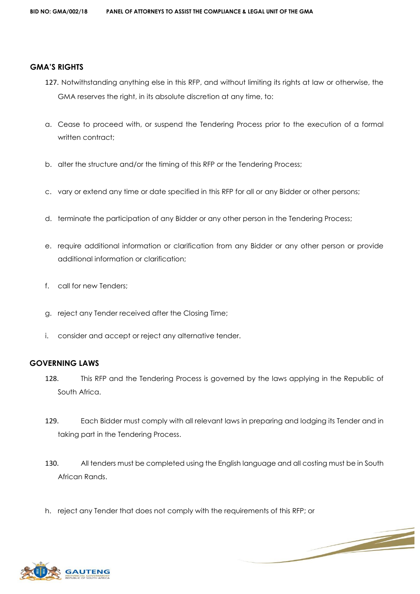#### **GMA'S RIGHTS**

- 127. Notwithstanding anything else in this RFP, and without limiting its rights at law or otherwise, the GMA reserves the right, in its absolute discretion at any time, to:
- a. Cease to proceed with, or suspend the Tendering Process prior to the execution of a formal written contract:
- b. alter the structure and/or the timing of this RFP or the Tendering Process;
- c. vary or extend any time or date specified in this RFP for all or any Bidder or other persons;
- d. terminate the participation of any Bidder or any other person in the Tendering Process;
- e. require additional information or clarification from any Bidder or any other person or provide additional information or clarification;
- f. call for new Tenders;
- g. reject any Tender received after the Closing Time;
- i. consider and accept or reject any alternative tender.

#### **GOVERNING LAWS**

- 128. This RFP and the Tendering Process is governed by the laws applying in the Republic of South Africa.
- 129. Each Bidder must comply with all relevant laws in preparing and lodging its Tender and in taking part in the Tendering Process.
- 130. All tenders must be completed using the English language and all costing must be in South African Rands.

h. reject any Tender that does not comply with the requirements of this RFP; or

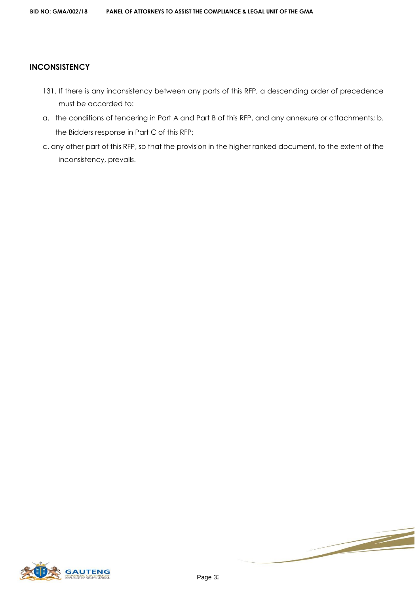## **INCONSISTENCY**

- 131. If there is any inconsistency between any parts of this RFP, a descending order of precedence must be accorded to:
- a. the conditions of tendering in Part A and Part B of this RFP, and any annexure or attachments; b. the Bidders response in Part C of this RFP;
- c. any other part of this RFP, so that the provision in the higher ranked document, to the extent of the inconsistency, prevails.



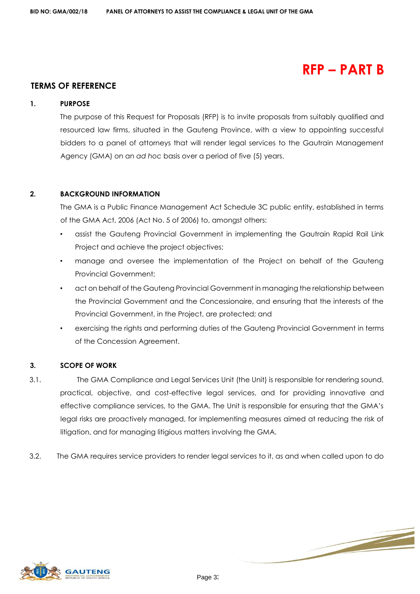## **RFP – PART B**

## **TERMS OF REFERENCE**

#### **1. PURPOSE**

The purpose of this Request for Proposals (RFP) is to invite proposals from suitably qualified and resourced law firms, situated in the Gauteng Province, with a view to appointing successful bidders to a panel of attorneys that will render legal services to the Gautrain Management Agency (GMA) on an *ad hoc* basis over a period of five (5) years.

#### **2. BACKGROUND INFORMATION**

The GMA is a Public Finance Management Act Schedule 3C public entity, established in terms of the GMA Act, 2006 (Act No. 5 of 2006) to, amongst others:

- assist the Gauteng Provincial Government in implementing the Gautrain Rapid Rail Link Project and achieve the project objectives;
- manage and oversee the implementation of the Project on behalf of the Gauteng Provincial Government;
- act on behalf of the Gauteng Provincial Government in managing the relationship between the Provincial Government and the Concessionaire, and ensuring that the interests of the Provincial Government, in the Project, are protected; and
- exercising the rights and performing duties of the Gauteng Provincial Government in terms of the Concession Agreement.

#### **3. SCOPE OF WORK**

- 3.1. The GMA Compliance and Legal Services Unit (the Unit) is responsible for rendering sound, practical, objective, and cost-effective legal services, and for providing innovative and effective compliance services, to the GMA. The Unit is responsible for ensuring that the GMA's legal risks are proactively managed, for implementing measures aimed at reducing the risk of litigation, and for managing litigious matters involving the GMA.
- 3.2. The GMA requires service providers to render legal services to it, as and when called upon to do

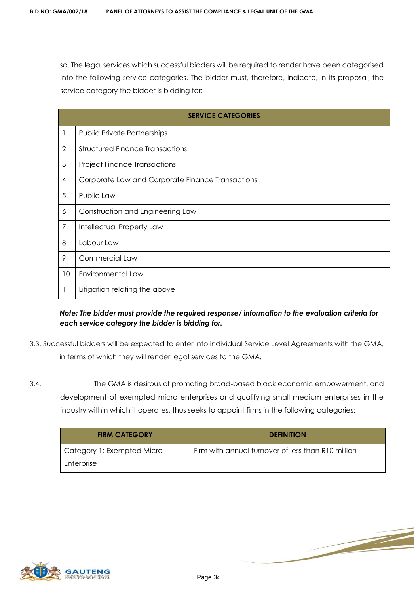so. The legal services which successful bidders will be required to render have been categorised into the following service categories. The bidder must, therefore, indicate, in its proposal, the service category the bidder is bidding for:

|                 | <b>SERVICE CATEGORIES</b>                        |  |
|-----------------|--------------------------------------------------|--|
| 1               | <b>Public Private Partnerships</b>               |  |
| $\overline{2}$  | <b>Structured Finance Transactions</b>           |  |
| 3               | <b>Project Finance Transactions</b>              |  |
| 4               | Corporate Law and Corporate Finance Transactions |  |
| 5               | Public Law                                       |  |
| 6               | Construction and Engineering Law                 |  |
| 7               | Intellectual Property Law                        |  |
| 8               | Labour Law                                       |  |
| 9               | Commercial Law                                   |  |
| 10 <sup>°</sup> | Environmental Law                                |  |
| 11              | Litigation relating the above                    |  |

## *Note: The bidder must provide the required response/ information to the evaluation criteria for each service category the bidder is bidding for.*

- 3.3. Successful bidders will be expected to enter into individual Service Level Agreements with the GMA, in terms of which they will render legal services to the GMA.
- 3.4. The GMA is desirous of promoting broad-based black economic empowerment, and development of exempted micro enterprises and qualifying small medium enterprises in the industry within which it operates, thus seeks to appoint firms in the following categories:

| <b>FIRM CATEGORY</b>       | <b>DEFINITION</b>                                  |
|----------------------------|----------------------------------------------------|
| Category 1: Exempted Micro | Firm with annual turnover of less than R10 million |
| Enterprise                 |                                                    |

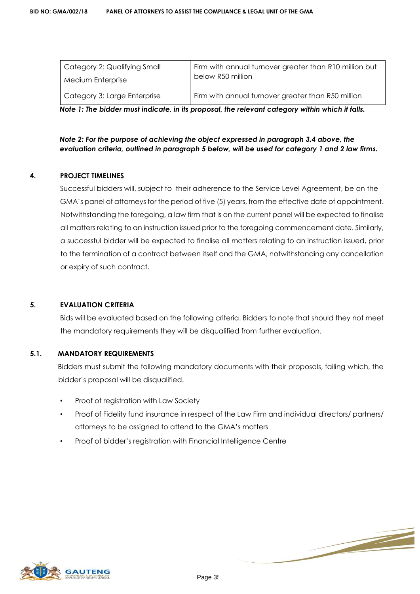| Category 2: Qualifying Small | Firm with annual turnover greater than R10 million but |
|------------------------------|--------------------------------------------------------|
| Medium Enterprise            | below R50 million                                      |
| Category 3: Large Enterprise | Firm with annual turnover greater than R50 million     |

*Note 1: The bidder must indicate, in its proposal, the relevant category within which it falls.* 

*Note 2: For the purpose of achieving the object expressed in paragraph 3.4 above, the evaluation criteria, outlined in paragraph 5 below, will be used for category 1 and 2 law firms.* 

#### **4. PROJECT TIMELINES**

Successful bidders will, subject to their adherence to the Service Level Agreement, be on the GMA's panel of attorneys for the period of five (5) years, from the effective date of appointment. Notwithstanding the foregoing, a law firm that is on the current panel will be expected to finalise all matters relating to an instruction issued prior to the foregoing commencement date. Similarly, a successful bidder will be expected to finalise all matters relating to an instruction issued, prior to the termination of a contract between itself and the GMA, notwithstanding any cancellation or expiry of such contract.

#### **5. EVALUATION CRITERIA**

Bids will be evaluated based on the following criteria. Bidders to note that should they not meet the mandatory requirements they will be disqualified from further evaluation.

#### **5.1. MANDATORY REQUIREMENTS**

Bidders must submit the following mandatory documents with their proposals, failing which, the bidder's proposal will be disqualified.

- Proof of registration with Law Society
- Proof of Fidelity fund insurance in respect of the Law Firm and individual directors/ partners/ attorneys to be assigned to attend to the GMA's matters
- Proof of bidder's registration with Financial Intelligence Centre



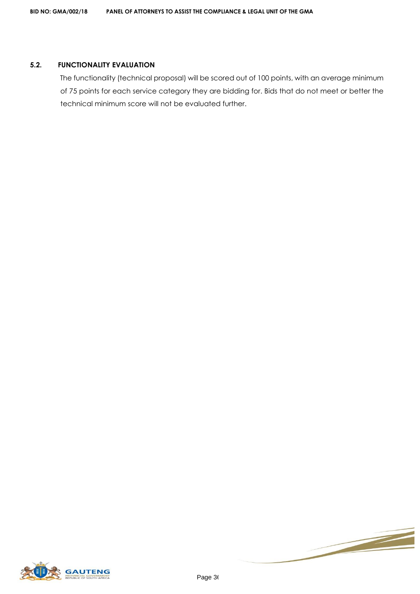#### **5.2. FUNCTIONALITY EVALUATION**

The functionality (technical proposal) will be scored out of 100 points, with an average minimum of 75 points for each service category they are bidding for. Bids that do not meet or better the technical minimum score will not be evaluated further.



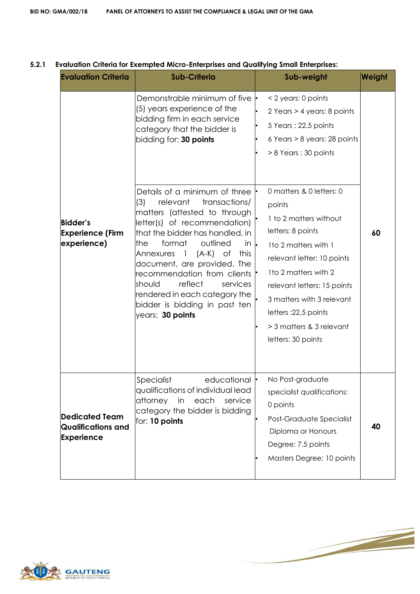| <b>Evaluation Criteria</b>                                       | <b>Sub-Criteria</b>                                                                                                                                                                                                                                                                                                                                                                                                                                                                                                                                                                                         | Sub-weight                                                                                                                                                                                                                                                                                                                                                                                                                                    | Weight |
|------------------------------------------------------------------|-------------------------------------------------------------------------------------------------------------------------------------------------------------------------------------------------------------------------------------------------------------------------------------------------------------------------------------------------------------------------------------------------------------------------------------------------------------------------------------------------------------------------------------------------------------------------------------------------------------|-----------------------------------------------------------------------------------------------------------------------------------------------------------------------------------------------------------------------------------------------------------------------------------------------------------------------------------------------------------------------------------------------------------------------------------------------|--------|
| <b>Bidder's</b><br><b>Experience (Firm</b><br>experience)        | Demonstrable minimum of five<br>(5) years experience of the<br>bidding firm in each service<br>category that the bidder is<br>bidding for: 30 points<br>Details of a minimum of three<br>(3)<br>relevant<br>transactions/<br>matters (attested to through<br>letter(s) of recommendation)<br>that the bidder has handled, in<br>the<br>outlined<br>format<br>in.<br>(A-K)<br>this<br>Annexures<br>$\overline{1}$<br>Оf<br>document, are provided. The<br>recommendation from clients<br>reflect<br>should<br>services<br>rendered in each category the<br>bidder is bidding in past ten<br>years: 30 points | < 2 years: 0 points<br>2 Years > 4 years: 8 points<br>5 Years: 22.5 points<br>6 Years > 8 years: 28 points<br>> 8 Years : 30 points<br>0 matters & 0 letters: 0<br>points<br>1 to 2 matters without<br>letters: 8 points<br>1 to 2 matters with 1<br>relevant letter: 10 points<br>1to 2 matters with 2<br>relevant letters: 15 points<br>3 matters with 3 relevant<br>letters: 22,5 points<br>> 3 matters & 3 relevant<br>letters: 30 points | 60     |
| Dedicated Team<br><b>Qualifications and</b><br><b>Experience</b> | educational $\vdash$<br>Specialist<br>qualifications of individual lead<br>attorney<br>in<br>each<br>service<br>category the bidder is bidding<br>for: 10 points                                                                                                                                                                                                                                                                                                                                                                                                                                            | No Post-graduate<br>specialist qualifications:<br>0 points<br>Post-Graduate Specialist<br>Diploma or Honours<br>Degree: 7.5 points<br>Masters Degree: 10 points                                                                                                                                                                                                                                                                               | 40     |

### **5.2.1 Evaluation Criteria for Exempted Micro-Enterprises and Qualifying Small Enterprises:**

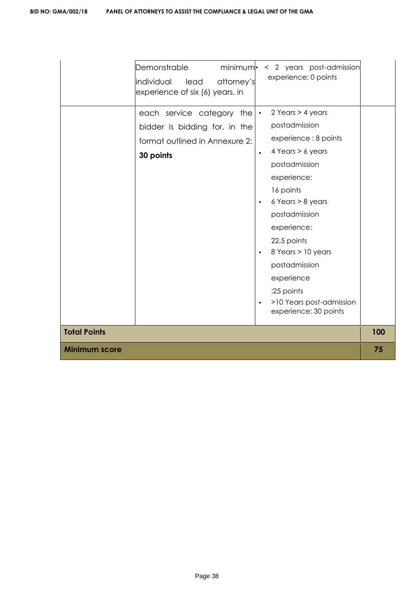| Demonstrable<br>minimum.<br>attorney's<br>individual lead<br>experience of six (6) years, in              | < 2 years post-admission<br>experience: 0 points                                                                                                                                                                                                                                                                                                                                 |     |
|-----------------------------------------------------------------------------------------------------------|----------------------------------------------------------------------------------------------------------------------------------------------------------------------------------------------------------------------------------------------------------------------------------------------------------------------------------------------------------------------------------|-----|
| each service category the<br>bidder is bidding for, in the<br>format outlined in Annexure 2:<br>30 points | 2 Years > 4 years<br>$\bullet$<br>postadmission<br>experience: 8 points<br>4 Years > 6 years<br>$\bullet$<br>postadmission<br>experience:<br>16 points<br>$6$ Years $> 8$ years<br>$\bullet$<br>postadmission<br>experience:<br>22.5 points<br>8 Years > 10 years<br>postadmission<br>experience<br>:25 points<br>>10 Years post-admission<br>$\bullet$<br>experience: 30 points |     |
| <b>Total Points</b>                                                                                       |                                                                                                                                                                                                                                                                                                                                                                                  | 100 |
| <b>Minimum score</b>                                                                                      |                                                                                                                                                                                                                                                                                                                                                                                  | 75  |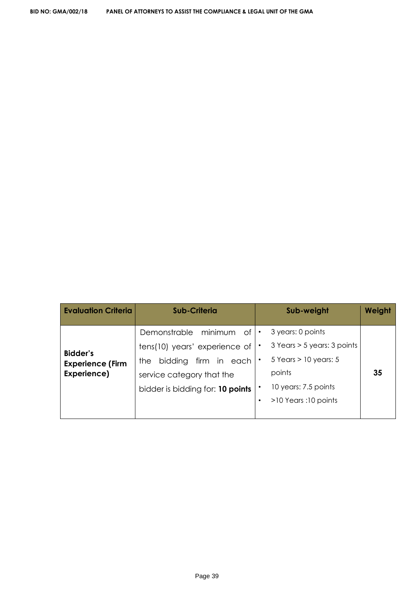| <b>Evaluation Criteria</b> | Sub-Criteria                     |           | Sub-weight                  | <b>Weight</b> |
|----------------------------|----------------------------------|-----------|-----------------------------|---------------|
|                            | Demonstrable minimum<br>of       |           | 3 years: 0 points           |               |
| <b>Bidder's</b>            | tens(10) years' experience of    |           | 3 Years > 5 years: 3 points |               |
| <b>Experience (Firm</b>    | firm in each<br>bidding<br>the   |           | $5$ Years $> 10$ years: 5   |               |
| Experience)                | service category that the        |           | points                      | 35            |
|                            | bidder is bidding for: 10 points |           | 10 years: 7.5 points        |               |
|                            |                                  | $\bullet$ | >10 Years :10 points        |               |
|                            |                                  |           |                             |               |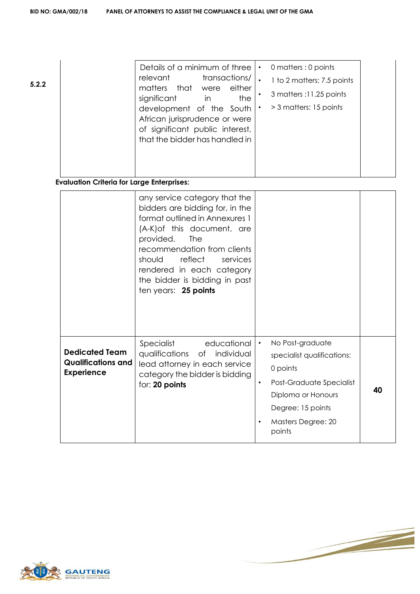| 5.2.2 | Details of a minimum of three<br>transactions/<br>relevant<br>that<br>matters<br>either<br>were<br>the<br>significant<br>$\mathsf{I}$<br>development of the South<br>African jurisprudence or were<br>of significant public interest,<br>that the bidder has handled in | 0 matters : 0 points<br>1 to 2 matters: 7.5 points<br>3 matters :11.25 points<br>> 3 matters: 15 points |  |
|-------|-------------------------------------------------------------------------------------------------------------------------------------------------------------------------------------------------------------------------------------------------------------------------|---------------------------------------------------------------------------------------------------------|--|
|       |                                                                                                                                                                                                                                                                         |                                                                                                         |  |

# **Evaluation Criteria for Large Enterprises:**

|                                                                         | any service category that the<br>bidders are bidding for, in the<br>format outlined in Annexures 1<br>(A-K) of this document, are<br>provided.<br><b>The</b><br>recommendation from clients<br>reflect<br>should<br>services<br>rendered in each category<br>the bidder is bidding in past<br>ten years: 25 points |                                                                                                                                                                                                          |    |
|-------------------------------------------------------------------------|--------------------------------------------------------------------------------------------------------------------------------------------------------------------------------------------------------------------------------------------------------------------------------------------------------------------|----------------------------------------------------------------------------------------------------------------------------------------------------------------------------------------------------------|----|
| <b>Dedicated Team</b><br><b>Qualifications and</b><br><b>Experience</b> | Specialist<br>educational<br>qualifications of individual<br>lead attorney in each service<br>category the bidder is bidding<br>for: 20 points                                                                                                                                                                     | No Post-graduate<br>$\bullet$<br>specialist qualifications:<br>0 points<br>Post-Graduate Specialist<br>$\bullet$<br>Diploma or Honours<br>Degree: 15 points<br>Masters Degree: 20<br>$\bullet$<br>points | 40 |

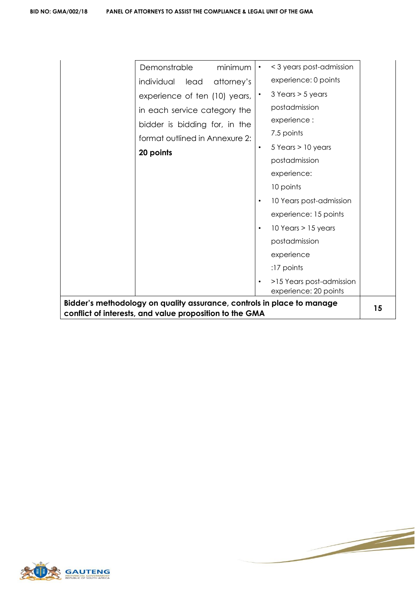| Demonstrable<br>minimum                                                | < 3 years post-admission                                       |  |
|------------------------------------------------------------------------|----------------------------------------------------------------|--|
| individual lead<br>attorney's                                          | experience: 0 points                                           |  |
| experience of ten (10) years,                                          | $3$ Years $> 5$ years                                          |  |
| in each service category the                                           | postadmission                                                  |  |
| bidder is bidding for, in the                                          | experience :                                                   |  |
| format outlined in Annexure 2:                                         | 7.5 points                                                     |  |
| 20 points                                                              | $5$ Years $> 10$ years<br>$\bullet$                            |  |
|                                                                        | postadmission                                                  |  |
|                                                                        | experience:                                                    |  |
|                                                                        | 10 points                                                      |  |
|                                                                        | 10 Years post-admission<br>$\bullet$                           |  |
|                                                                        | experience: 15 points                                          |  |
|                                                                        | $10$ Years $> 15$ years                                        |  |
|                                                                        | postadmission                                                  |  |
|                                                                        | experience                                                     |  |
|                                                                        | $:17$ points                                                   |  |
|                                                                        | >15 Years post-admission<br>$\bullet$<br>experience: 20 points |  |
| Bidder's methodology on quality assurance, controls in place to manage |                                                                |  |
| conflict of interests, and value proposition to the GMA                |                                                                |  |

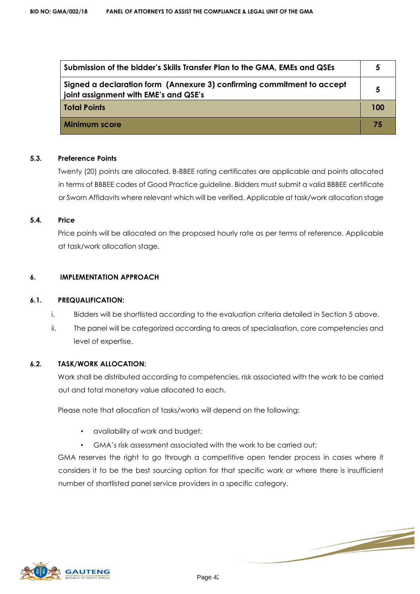| Submission of the bidder's Skills Transfer Plan to the GMA, EMEs and QSEs                                       | 5   |
|-----------------------------------------------------------------------------------------------------------------|-----|
| Signed a declaration form (Annexure 3) confirming commitment to accept<br>joint assignment with EME's and QSE's | 5   |
| <b>Total Points</b>                                                                                             | 100 |
| <b>Minimum score</b>                                                                                            | 75  |

#### **5.3. Preference Points**

Twenty (20) points are allocated. B-BBEE rating certificates are applicable and points allocated in terms of BBBEE codes of Good Practice guideline. Bidders must submit a valid BBBEE certificate or Sworn Affidavits where relevant which will be verified. Applicable at task/work allocation stage

#### **5.4. Price**

Price points will be allocated on the proposed hourly rate as per terms of reference. Applicable at task/work allocation stage.

#### **6. IMPLEMENTATION APPROACH**

#### **6.1. PREQUALIFICATION:**

- i. Bidders will be shortlisted according to the evaluation criteria detailed in Section 5 above.
- ii. The panel will be categorized according to areas of specialisation, core competencies and level of expertise.

#### **6.2. TASK/WORK ALLOCATION:**

Work shall be distributed according to competencies, risk associated with the work to be carried out and total monetary value allocated to each.

Please note that allocation of tasks/works will depend on the following:

- availability of work and budget;
- GMA's risk assessment associated with the work to be carried out;

GMA reserves the right to go through a competitive open tender process in cases where it considers it to be the best sourcing option for that specific work or where there is insufficient number of shortlisted panel service providers in a specific category.

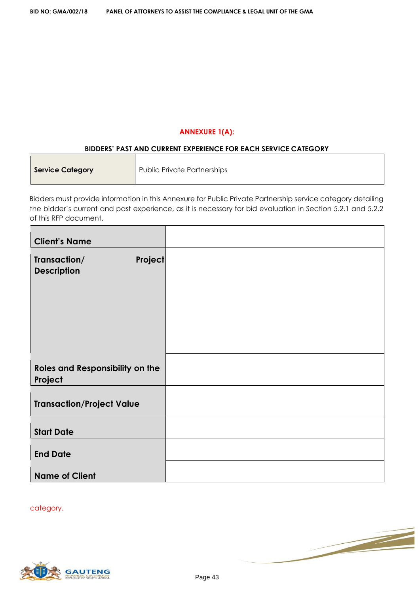#### **ANNEXURE 1(A):**

#### **BIDDERS' PAST AND CURRENT EXPERIENCE FOR EACH SERVICE CATEGORY**

| <b>Service Category</b> | Public Private Partnerships |
|-------------------------|-----------------------------|
|                         |                             |

Bidders must provide information in this Annexure for Public Private Partnership service category detailing the bidder's current and past experience, as it is necessary for bid evaluation in Section 5.2.1 and 5.2.2 of this RFP document.

| <b>Client's Name</b>                          |  |
|-----------------------------------------------|--|
| Project<br>Transaction/<br><b>Description</b> |  |
| Roles and Responsibility on the<br>Project    |  |
| <b>Transaction/Project Value</b>              |  |
| <b>Start Date</b>                             |  |
| <b>End Date</b>                               |  |
| <b>Name of Client</b>                         |  |

category.

 $\Gamma$ 

 $\blacksquare$ 



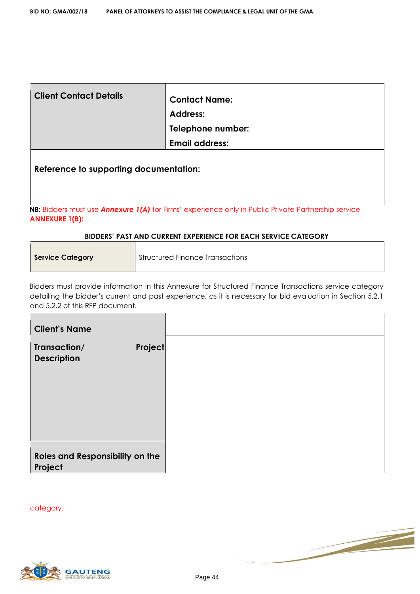| <b>Client Contact Details</b>          | <b>Contact Name:</b>  |
|----------------------------------------|-----------------------|
|                                        | <b>Address:</b>       |
|                                        | Telephone number:     |
|                                        | <b>Email address:</b> |
| Reference to supporting documentation: |                       |

**NB:** Bidders must use *Annexure 1(A)* for Firms' experience only in Public Private Partnership service **ANNEXURE 1(B):**

#### **BIDDERS' PAST AND CURRENT EXPERIENCE FOR EACH SERVICE CATEGORY**

| <b>Service Category</b> | <b>Structured Finance Transactions</b> |
|-------------------------|----------------------------------------|
|                         |                                        |

Bidders must provide information in this Annexure for Structured Finance Transactions service category detailing the bidder's current and past experience, as it is necessary for bid evaluation in Section 5.2.1 and 5.2.2 of this RFP document.

| <b>Client's Name</b>                                 |  |
|------------------------------------------------------|--|
| <b>Project</b><br>Transaction/<br><b>Description</b> |  |
| Roles and Responsibility on the<br>Project           |  |

category.

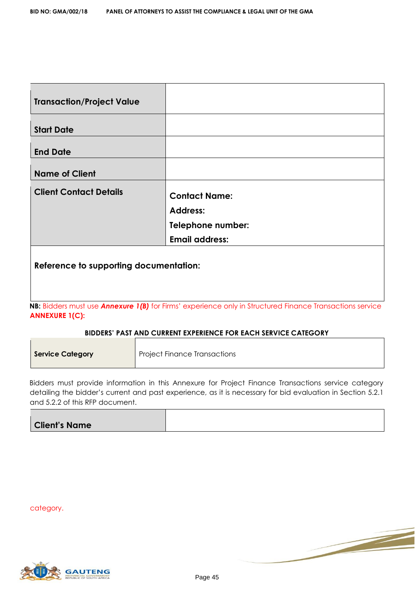| <b>Transaction/Project Value</b>       |                       |
|----------------------------------------|-----------------------|
| <b>Start Date</b>                      |                       |
|                                        |                       |
| <b>End Date</b>                        |                       |
| <b>Name of Client</b>                  |                       |
| <b>Client Contact Details</b>          | <b>Contact Name:</b>  |
|                                        | <b>Address:</b>       |
|                                        | Telephone number:     |
|                                        | <b>Email address:</b> |
| Reference to supporting documentation: |                       |

**NB:** Bidders must use *Annexure 1(B)* for Firms' experience only in Structured Finance Transactions service **ANNEXURE 1(C):**

#### **BIDDERS' PAST AND CURRENT EXPERIENCE FOR EACH SERVICE CATEGORY**

| <b>Service Category</b> | <b>Project Finance Transactions</b> |
|-------------------------|-------------------------------------|
|                         |                                     |

Bidders must provide information in this Annexure for Project Finance Transactions service category detailing the bidder's current and past experience, as it is necessary for bid evaluation in Section 5.2.1 and 5.2.2 of this RFP document.

| <b>Client's Name</b> |  |
|----------------------|--|

category.

 $\blacksquare$ 

 $\blacksquare$ 





Γ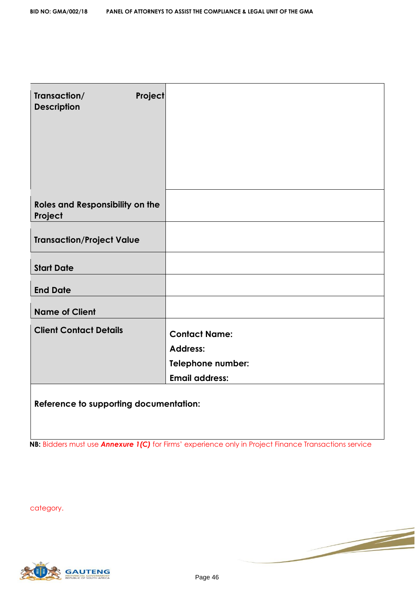| Transaction/<br><b>Description</b>         | Project                                                                               |
|--------------------------------------------|---------------------------------------------------------------------------------------|
| Roles and Responsibility on the<br>Project |                                                                                       |
| <b>Transaction/Project Value</b>           |                                                                                       |
| <b>Start Date</b>                          |                                                                                       |
| <b>End Date</b>                            |                                                                                       |
| <b>Name of Client</b>                      |                                                                                       |
| <b>Client Contact Details</b>              | <b>Contact Name:</b><br><b>Address:</b><br>Telephone number:<br><b>Email address:</b> |
| Reference to supporting documentation:     |                                                                                       |

**NB:** Bidders must use **Annexure 1(C)** for Firms' experience only in Project Finance Transactions service

category.

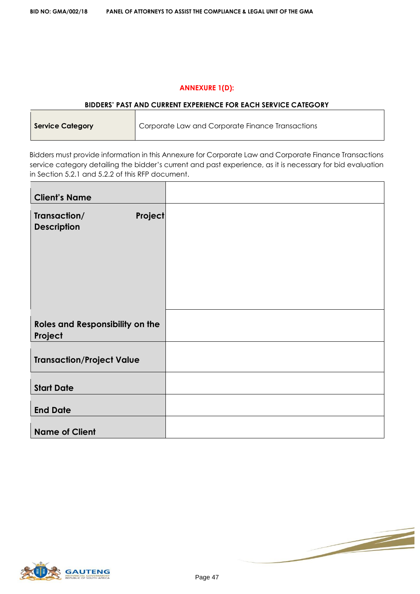#### **ANNEXURE 1(D):**

#### **BIDDERS' PAST AND CURRENT EXPERIENCE FOR EACH SERVICE CATEGORY**

| <b>Service Category</b> | Corporate Law and Corporate Finance Transactions |
|-------------------------|--------------------------------------------------|
|-------------------------|--------------------------------------------------|

Bidders must provide information in this Annexure for Corporate Law and Corporate Finance Transactions service category detailing the bidder's current and past experience, as it is necessary for bid evaluation in Section 5.2.1 and 5.2.2 of this RFP document.

| <b>Client's Name</b>                          |  |
|-----------------------------------------------|--|
| Project<br>Transaction/<br><b>Description</b> |  |
| Roles and Responsibility on the<br>Project    |  |
| <b>Transaction/Project Value</b>              |  |
| <b>Start Date</b>                             |  |
| <b>End Date</b>                               |  |
| <b>Name of Client</b>                         |  |



 $\blacksquare$ 

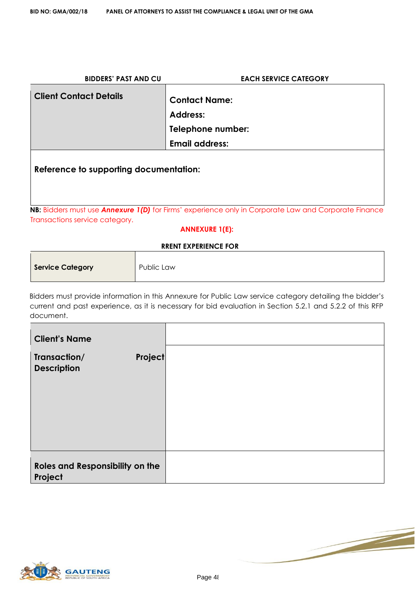| <b>BIDDERS' PAST AND CU</b>            | <b>EACH SERVICE CATEGORY</b>                                                                                       |
|----------------------------------------|--------------------------------------------------------------------------------------------------------------------|
| <b>Client Contact Details</b>          | <b>Contact Name:</b><br><b>Address:</b>                                                                            |
|                                        | Telephone number:                                                                                                  |
|                                        | <b>Email address:</b>                                                                                              |
| Reference to supporting documentation: |                                                                                                                    |
| Transactions service category.         | <b>NB:</b> Bidders must use <b>Annexure 1(D)</b> for Firms' experience only in Corporate Law and Corporate Finance |

#### **ANNEXURE 1(E):**

#### **RRENT EXPERIENCE FOR**

| <b>Service Category</b> | Public Law |
|-------------------------|------------|

Bidders must provide information in this Annexure for Public Law service category detailing the bidder's current and past experience, as it is necessary for bid evaluation in Section 5.2.1 and 5.2.2 of this RFP document.

| <b>Client's Name</b>                                 |  |
|------------------------------------------------------|--|
| Transaction/<br><b>Project</b><br><b>Description</b> |  |
| Roles and Responsibility on the                      |  |
| Project                                              |  |

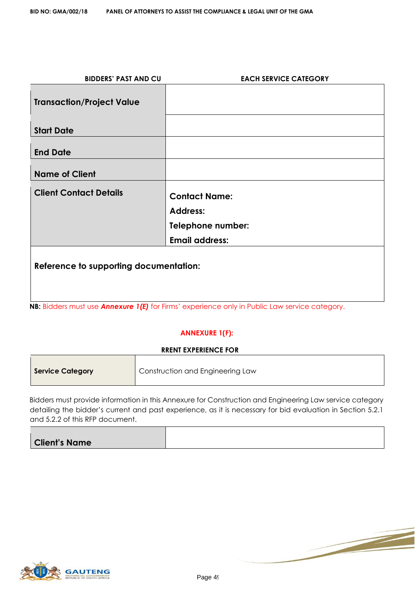| <b>BIDDERS' PAST AND CU</b>            | <b>EACH SERVICE CATEGORY</b>                                                                  |
|----------------------------------------|-----------------------------------------------------------------------------------------------|
| <b>Transaction/Project Value</b>       |                                                                                               |
| <b>Start Date</b>                      |                                                                                               |
| <b>End Date</b>                        |                                                                                               |
| <b>Name of Client</b>                  |                                                                                               |
| <b>Client Contact Details</b>          | <b>Contact Name:</b>                                                                          |
|                                        | <b>Address:</b>                                                                               |
|                                        | Telephone number:                                                                             |
|                                        | <b>Email address:</b>                                                                         |
| Reference to supporting documentation: |                                                                                               |
|                                        | NB: Bidders must use Annexure 1(E) for Firms' experience only in Public Law service category. |

#### **ANNEXURE 1(F):**

| <b>RRENT EXPERIENCE FOR</b> |                                  |  |
|-----------------------------|----------------------------------|--|
| Service Category            | Construction and Engineering Law |  |

Bidders must provide information in this Annexure for Construction and Engineering Law service category detailing the bidder's current and past experience, as it is necessary for bid evaluation in Section 5.2.1 and 5.2.2 of this RFP document.

| <b>Client's Name</b> |  |
|----------------------|--|
|                      |  |



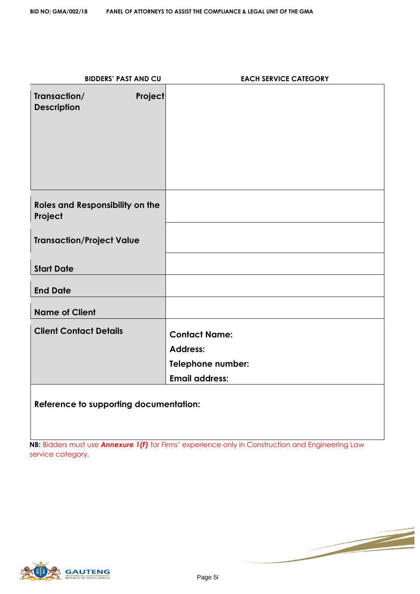| <b>BIDDERS' PAST AND CU</b>                          | <b>EACH SERVICE CATEGORY</b> |
|------------------------------------------------------|------------------------------|
| Transaction/<br><b>Project</b><br><b>Description</b> |                              |
| Roles and Responsibility on the<br>Project           |                              |
| <b>Transaction/Project Value</b>                     |                              |
| <b>Start Date</b>                                    |                              |
| <b>End Date</b>                                      |                              |
| <b>Name of Client</b>                                |                              |
| <b>Client Contact Details</b>                        | <b>Contact Name:</b>         |
|                                                      | <b>Address:</b>              |
|                                                      | Telephone number:            |
|                                                      | <b>Email address:</b>        |
| Reference to supporting documentation:               |                              |

**NB:** Bidders must use **Annexure 1(F)** for Firms' experience only in Construction and Engineering Law service category.

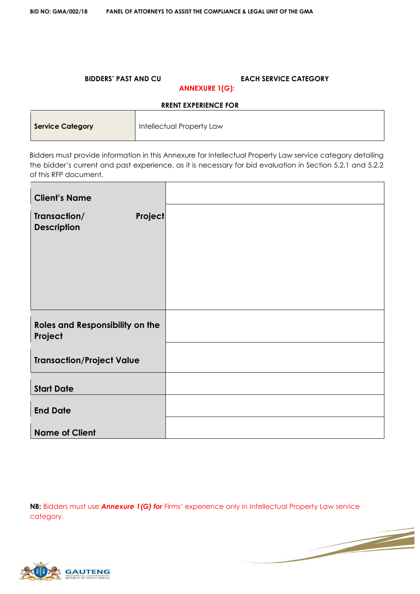#### **BIDDERS' PAST AND CU EACH SERVICE CATEGORY ANNEXURE 1(G):**

# **RRENT EXPERIENCE FOR**

| <b>Service Category</b> | <b>Intellectual Property Law</b> |
|-------------------------|----------------------------------|
|                         |                                  |

Bidders must provide information in this Annexure for Intellectual Property Law service category detailing the bidder's current and past experience, as it is necessary for bid evaluation in Section 5.2.1 and 5.2.2 of this RFP document.

| <b>Client's Name</b>                          |  |
|-----------------------------------------------|--|
| Project<br>Transaction/<br><b>Description</b> |  |
| Roles and Responsibility on the<br>Project    |  |
| <b>Transaction/Project Value</b>              |  |
| <b>Start Date</b>                             |  |
| <b>End Date</b>                               |  |
| <b>Name of Client</b>                         |  |

**NB:** Bidders must use *Annexure 1(G) for* Firms' experience only in Intellectual Property Law service category.

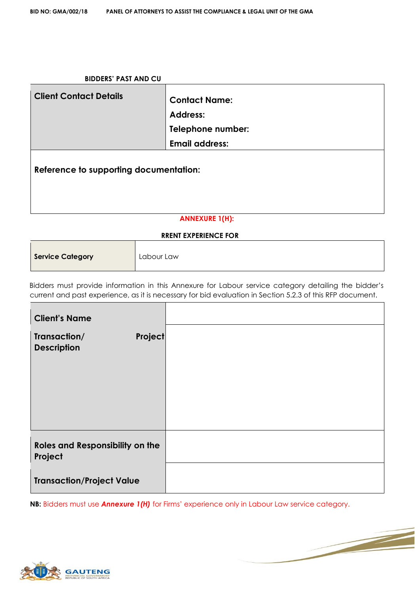| <b>BIDDERS' PAST AND CU</b>            |                                                                                       |
|----------------------------------------|---------------------------------------------------------------------------------------|
| <b>Client Contact Details</b>          | <b>Contact Name:</b><br><b>Address:</b><br>Telephone number:<br><b>Email address:</b> |
| Reference to supporting documentation: |                                                                                       |
| <b>ANNEXURE 1(H):</b>                  |                                                                                       |

#### **RRENT EXPERIENCE FOR**

| Service Category | Labour Law |
|------------------|------------|
|------------------|------------|

Bidders must provide information in this Annexure for Labour service category detailing the bidder's current and past experience, as it is necessary for bid evaluation in Section 5.2.3 of this RFP document.

| <b>Client's Name</b>                                 |  |
|------------------------------------------------------|--|
| <b>Project</b><br>Transaction/<br><b>Description</b> |  |
| <b>Roles and Responsibility on the</b><br>Project    |  |
| <b>Transaction/Project Value</b>                     |  |

**NB:** Bidders must use *Annexure 1(H)* for Firms' experience only in Labour Law service category.



 $\blacksquare$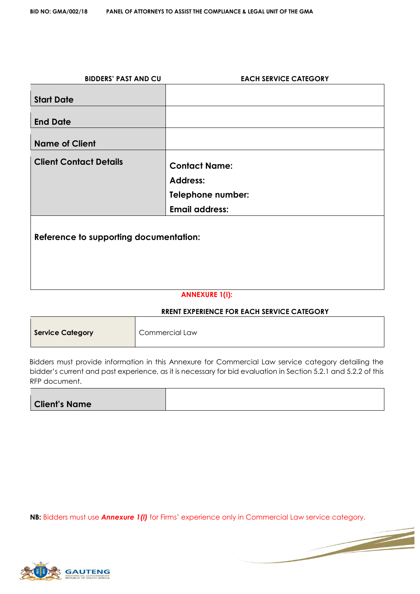| <b>BIDDERS' PAST AND CU</b>            | <b>EACH SERVICE CATEGORY</b> |
|----------------------------------------|------------------------------|
|                                        |                              |
| <b>Start Date</b>                      |                              |
| <b>End Date</b>                        |                              |
|                                        |                              |
| <b>Name of Client</b>                  |                              |
| <b>Client Contact Details</b>          |                              |
|                                        | <b>Contact Name:</b>         |
|                                        | <b>Address:</b>              |
|                                        | Telephone number:            |
|                                        | <b>Email address:</b>        |
|                                        |                              |
| Reference to supporting documentation: |                              |
|                                        |                              |
|                                        |                              |
|                                        |                              |
|                                        |                              |
|                                        | A MIMIEVIIDE 1/IV.           |

#### **ANNEXURE 1(I):**

# **RRENT EXPERIENCE FOR EACH SERVICE CATEGORY**

| <b>Service Category</b> | <b>Commercial Law</b> |
|-------------------------|-----------------------|
|-------------------------|-----------------------|

Bidders must provide information in this Annexure for Commercial Law service category detailing the bidder's current and past experience, as it is necessary for bid evaluation in Section 5.2.1 and 5.2.2 of this RFP document.

| <b>Client's Name</b> |  |
|----------------------|--|

**NB:** Bidders must use *Annexure 1(I)* for Firms' experience only in Commercial Law service category.



 $\Gamma$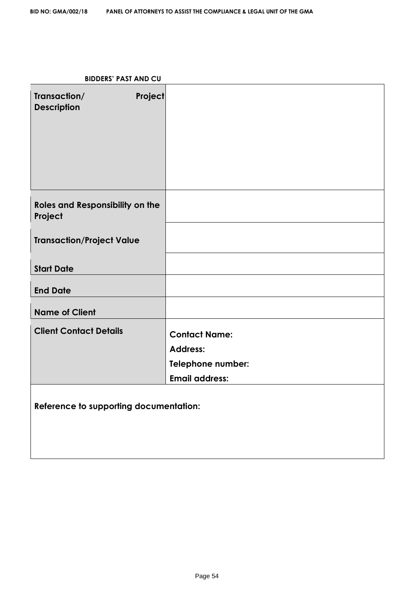# **BIDDERS' PAST AND CU**

| Transaction/<br><b>Description</b>                | <b>Project</b> |                                                                                       |
|---------------------------------------------------|----------------|---------------------------------------------------------------------------------------|
| <b>Roles and Responsibility on the</b><br>Project |                |                                                                                       |
| <b>Transaction/Project Value</b>                  |                |                                                                                       |
| <b>Start Date</b>                                 |                |                                                                                       |
| <b>End Date</b>                                   |                |                                                                                       |
| <b>Name of Client</b>                             |                |                                                                                       |
| <b>Client Contact Details</b>                     |                | <b>Contact Name:</b><br><b>Address:</b><br>Telephone number:<br><b>Email address:</b> |
| Reference to supporting documentation:            |                |                                                                                       |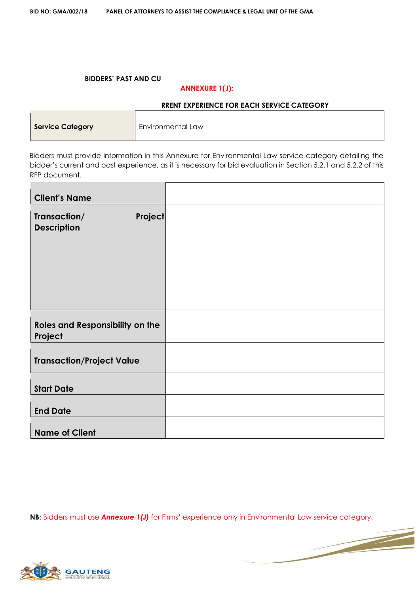#### **BIDDERS' PAST AND CU**

 $\blacksquare$ 

#### **ANNEXURE 1(J):**

#### **RRENT EXPERIENCE FOR EACH SERVICE CATEGORY**

| <b>Service Category</b> | Environmental Law |
|-------------------------|-------------------|
|                         |                   |

Bidders must provide information in this Annexure for Environmental Law service category detailing the bidder's current and past experience, as it is necessary for bid evaluation in Section 5.2.1 and 5.2.2 of this RFP document.

| <b>Client's Name</b>                                 |  |
|------------------------------------------------------|--|
| <b>Project</b><br>Transaction/<br><b>Description</b> |  |
| <b>Roles and Responsibility on the</b><br>Project    |  |
| <b>Transaction/Project Value</b>                     |  |
| <b>Start Date</b>                                    |  |
| <b>End Date</b>                                      |  |
| <b>Name of Client</b>                                |  |

**NB:** Bidders must use *Annexure 1(J)* for Firms' experience only in Environmental Law service category.

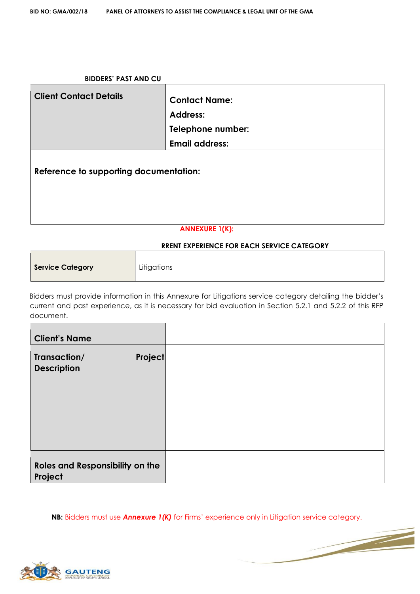| <b>BIDDERS' PAST AND CU</b>            |                                                                                              |  |  |  |
|----------------------------------------|----------------------------------------------------------------------------------------------|--|--|--|
| <b>Client Contact Details</b>          | <b>Contact Name:</b><br><b>Address:</b><br><b>Telephone number:</b><br><b>Email address:</b> |  |  |  |
| Reference to supporting documentation: |                                                                                              |  |  |  |
| <b>ANNEXURE 1(K):</b>                  |                                                                                              |  |  |  |

#### **RRENT EXPERIENCE FOR EACH SERVICE CATEGORY**

| <b>Service Category</b> | Litigations |
|-------------------------|-------------|
|-------------------------|-------------|

Bidders must provide information in this Annexure for Litigations service category detailing the bidder's current and past experience, as it is necessary for bid evaluation in Section 5.2.1 and 5.2.2 of this RFP document.

| <b>Client's Name</b>                          |  |
|-----------------------------------------------|--|
| Transaction/<br>Project<br><b>Description</b> |  |
| Roles and Responsibility on the<br>Project    |  |

**NB:** Bidders must use *Annexure 1(K)* for Firms' experience only in Litigation service category.

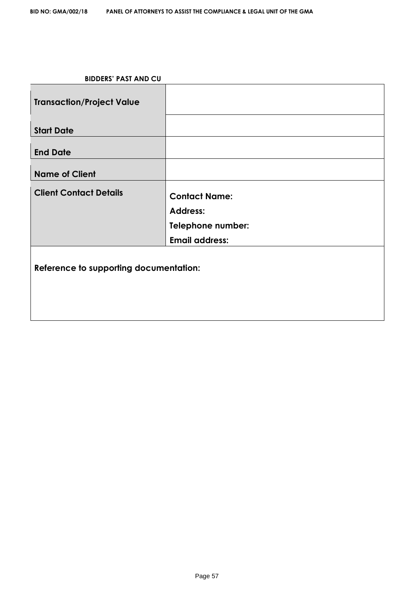| <b>Transaction/Project Value</b>       |                       |  |  |  |
|----------------------------------------|-----------------------|--|--|--|
| <b>Start Date</b>                      |                       |  |  |  |
| <b>End Date</b>                        |                       |  |  |  |
| <b>Name of Client</b>                  |                       |  |  |  |
| <b>Client Contact Details</b>          | <b>Contact Name:</b>  |  |  |  |
|                                        | <b>Address:</b>       |  |  |  |
|                                        | Telephone number:     |  |  |  |
|                                        | <b>Email address:</b> |  |  |  |
| Reference to supporting documentation: |                       |  |  |  |
|                                        |                       |  |  |  |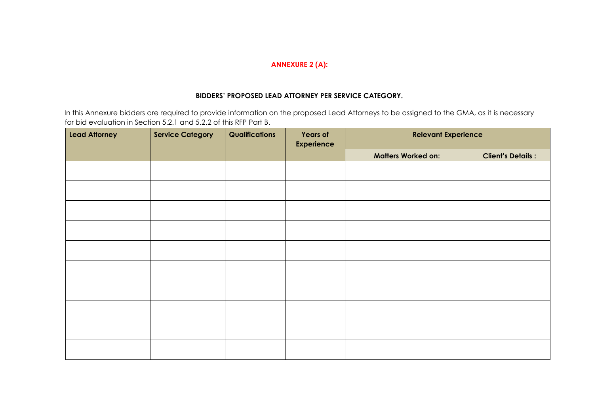#### **ANNEXURE 2 (A):**

#### **BIDDERS' PROPOSED LEAD ATTORNEY PER SERVICE CATEGORY.**

In this Annexure bidders are required to provide information on the proposed Lead Attorneys to be assigned to the GMA, as it is necessary for bid evaluation in Section 5.2.1 and 5.2.2 of this RFP Part B.

| <b>Lead Attorney</b> | <b>Service Category</b> | Qualifications | <b>Years of</b><br><b>Experience</b> | <b>Relevant Experience</b> |                          |
|----------------------|-------------------------|----------------|--------------------------------------|----------------------------|--------------------------|
|                      |                         |                |                                      | <b>Matters Worked on:</b>  | <b>Client's Details:</b> |
|                      |                         |                |                                      |                            |                          |
|                      |                         |                |                                      |                            |                          |
|                      |                         |                |                                      |                            |                          |
|                      |                         |                |                                      |                            |                          |
|                      |                         |                |                                      |                            |                          |
|                      |                         |                |                                      |                            |                          |
|                      |                         |                |                                      |                            |                          |
|                      |                         |                |                                      |                            |                          |
|                      |                         |                |                                      |                            |                          |
|                      |                         |                |                                      |                            |                          |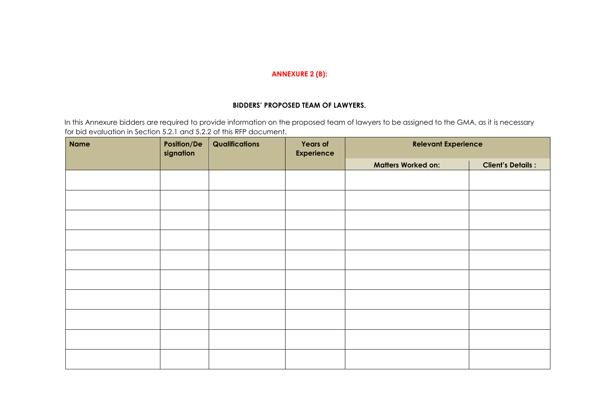#### **ANNEXURE 2 (B):**

#### **BIDDERS' PROPOSED TEAM OF LAWYERS.**

In this Annexure bidders are required to provide information on the proposed team of lawyers to be assigned to the GMA, as it is necessary for bid evaluation in Section 5.2.1 and 5.2.2 of this RFP document.

| <b>Name</b> | Position/De<br>signation | Qualifications | <b>Years of</b><br><b>Experience</b> | <b>Relevant Experience</b> |                          |
|-------------|--------------------------|----------------|--------------------------------------|----------------------------|--------------------------|
|             |                          |                |                                      | <b>Matters Worked on:</b>  | <b>Client's Details:</b> |
|             |                          |                |                                      |                            |                          |
|             |                          |                |                                      |                            |                          |
|             |                          |                |                                      |                            |                          |
|             |                          |                |                                      |                            |                          |
|             |                          |                |                                      |                            |                          |
|             |                          |                |                                      |                            |                          |
|             |                          |                |                                      |                            |                          |
|             |                          |                |                                      |                            |                          |
|             |                          |                |                                      |                            |                          |
|             |                          |                |                                      |                            |                          |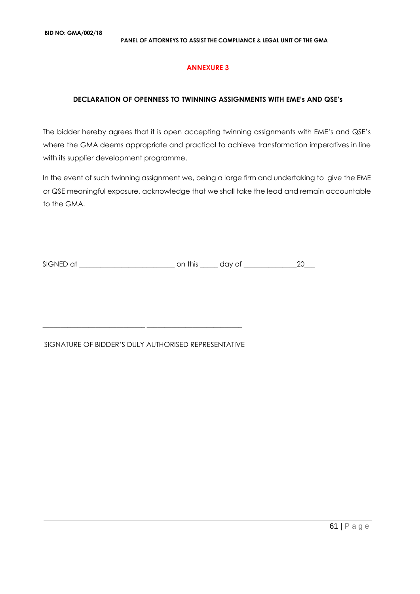#### **ANNEXURE 3**

#### **DECLARATION OF OPENNESS TO TWINNING ASSIGNMENTS WITH EME's AND QSE's**

The bidder hereby agrees that it is open accepting twinning assignments with EME's and QSE's where the GMA deems appropriate and practical to achieve transformation imperatives in line with its supplier development programme.

In the event of such twinning assignment we, being a large firm and undertaking to give the EME or QSE meaningful exposure, acknowledge that we shall take the lead and remain accountable to the GMA.

SIGNED at \_\_\_\_\_\_\_\_\_\_\_\_\_\_\_\_\_\_\_\_\_\_\_\_\_\_\_ on this \_\_\_\_\_ day of \_\_\_\_\_\_\_\_\_\_\_\_\_\_\_20\_\_\_

#### SIGNATURE OF BIDDER'S DULY AUTHORISED REPRESENTATIVE

\_\_\_\_\_\_\_\_\_\_\_\_\_\_\_\_\_\_\_\_\_\_\_\_\_\_\_\_\_ \_\_\_\_\_\_\_\_\_\_\_\_\_\_\_\_\_\_\_\_\_\_\_\_\_\_\_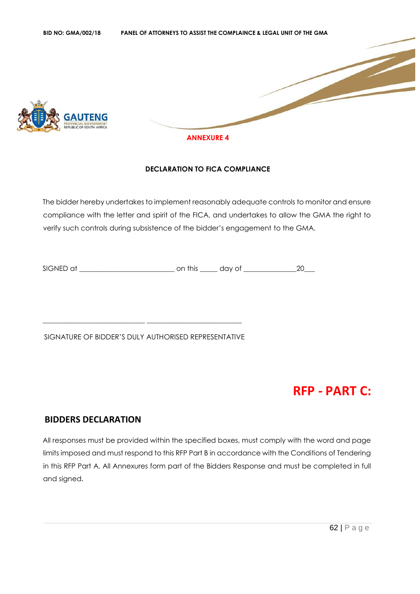

#### **DECLARATION TO FICA COMPLIANCE**

The bidder hereby undertakes to implement reasonably adequate controls to monitor and ensure compliance with the letter and spirit of the FICA, and undertakes to allow the GMA the right to verify such controls during subsistence of the bidder's engagement to the GMA.

SIGNED at \_\_\_\_\_\_\_\_\_\_\_\_\_\_\_\_\_\_\_\_\_\_\_\_\_\_\_ on this \_\_\_\_\_ day of \_\_\_\_\_\_\_\_\_\_\_\_\_\_\_20\_\_\_

SIGNATURE OF BIDDER'S DULY AUTHORISED REPRESENTATIVE

\_\_\_\_\_\_\_\_\_\_\_\_\_\_\_\_\_\_\_\_\_\_\_\_\_\_\_\_\_ \_\_\_\_\_\_\_\_\_\_\_\_\_\_\_\_\_\_\_\_\_\_\_\_\_\_\_

# **RFP - PART C:**

# **BIDDERS DECLARATION**

All responses must be provided within the specified boxes, must comply with the word and page limits imposed and must respond to this RFP Part B in accordance with the Conditions of Tendering in this RFP Part A. All Annexures form part of the Bidders Response and must be completed in full and signed.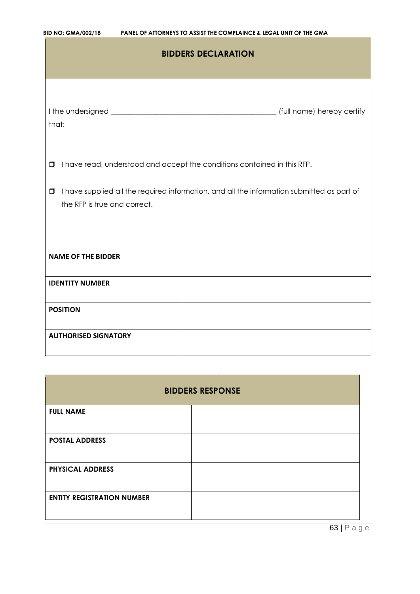| <b>BID NO: GMA/002/18</b> | PANEL OF ATTORNEYS TO ASSIST THE COMPLAINCE & LEGAL UNIT OF THE GMA |
|---------------------------|---------------------------------------------------------------------|
|---------------------------|---------------------------------------------------------------------|

| <b>BIDDERS DECLARATION</b>                                                                                                           |                                                                          |  |  |  |
|--------------------------------------------------------------------------------------------------------------------------------------|--------------------------------------------------------------------------|--|--|--|
| that:                                                                                                                                |                                                                          |  |  |  |
| $\Box$                                                                                                                               | I have read, understood and accept the conditions contained in this RFP. |  |  |  |
| I have supplied all the required information, and all the information submitted as part of<br>$\Box$<br>the RFP is true and correct. |                                                                          |  |  |  |
| <b>NAME OF THE BIDDER</b>                                                                                                            |                                                                          |  |  |  |
| <b>IDENTITY NUMBER</b>                                                                                                               |                                                                          |  |  |  |
| <b>POSITION</b>                                                                                                                      |                                                                          |  |  |  |
| <b>AUTHORISED SIGNATORY</b>                                                                                                          |                                                                          |  |  |  |

| <b>BIDDERS RESPONSE</b>           |  |  |  |
|-----------------------------------|--|--|--|
| <b>FULL NAME</b>                  |  |  |  |
| <b>POSTAL ADDRESS</b>             |  |  |  |
| <b>PHYSICAL ADDRESS</b>           |  |  |  |
| <b>ENTITY REGISTRATION NUMBER</b> |  |  |  |

m.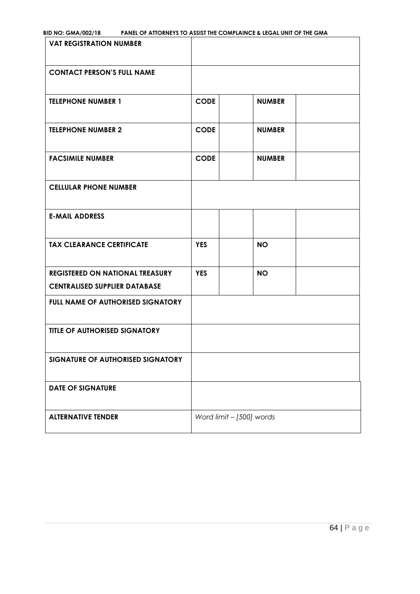| <b>BID NO: GMA/002/18</b> | <b>PANEL OF ATTORNEYS TO ASSIST THE COMPLAINCE &amp; LEGAL UNIT OF THE GMA</b> |
|---------------------------|--------------------------------------------------------------------------------|
|---------------------------|--------------------------------------------------------------------------------|

| <b>VAT REGISTRATION NUMBER</b>                                                 |                          |               |  |
|--------------------------------------------------------------------------------|--------------------------|---------------|--|
| <b>CONTACT PERSON'S FULL NAME</b>                                              |                          |               |  |
| <b>TELEPHONE NUMBER 1</b>                                                      | <b>CODE</b>              | <b>NUMBER</b> |  |
| <b>TELEPHONE NUMBER 2</b>                                                      | <b>CODE</b>              | <b>NUMBER</b> |  |
| <b>FACSIMILE NUMBER</b>                                                        | <b>CODE</b>              | <b>NUMBER</b> |  |
| <b>CELLULAR PHONE NUMBER</b>                                                   |                          |               |  |
| <b>E-MAIL ADDRESS</b>                                                          |                          |               |  |
| <b>TAX CLEARANCE CERTIFICATE</b>                                               | <b>YES</b>               | <b>NO</b>     |  |
| <b>REGISTERED ON NATIONAL TREASURY</b><br><b>CENTRALISED SUPPLIER DATABASE</b> | <b>YES</b>               | <b>NO</b>     |  |
| FULL NAME OF AUTHORISED SIGNATORY                                              |                          |               |  |
| <b>TITLE OF AUTHORISED SIGNATORY</b>                                           |                          |               |  |
| SIGNATURE OF AUTHORISED SIGNATORY                                              |                          |               |  |
| <b>DATE OF SIGNATURE</b>                                                       |                          |               |  |
| <b>ALTERNATIVE TENDER</b>                                                      | Word limit - [500] words |               |  |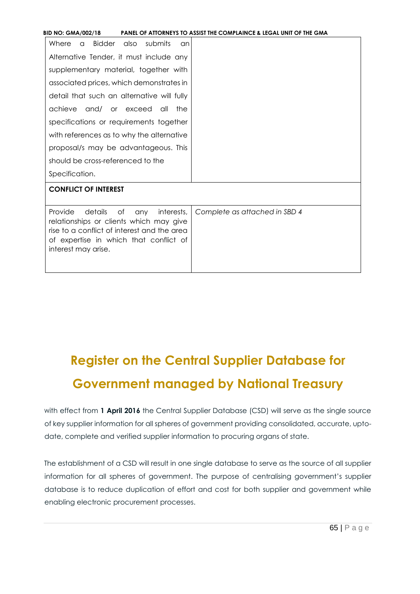# **Register on the Central Supplier Database for Government managed by National Treasury**

with effect from 1 April 2016 the Central Supplier Database (CSD) will serve as the single source of key supplier information for all spheres of government providing consolidated, accurate, uptodate, complete and verified supplier information to procuring organs of state.

The establishment of a CSD will result in one single database to serve as the source of all supplier information for all spheres of government. The purpose of centralising government's supplier database is to reduce duplication of effort and cost for both supplier and government while enabling electronic procurement processes.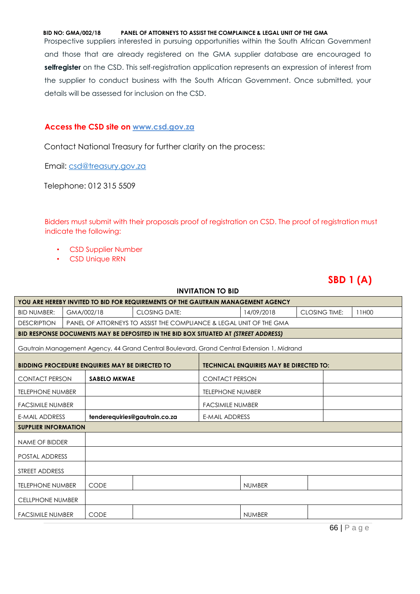#### **BID NO: GMA/002/18 PANEL OF ATTORNEYS TO ASSIST THE COMPLAINCE & LEGAL UNIT OF THE GMA**

Prospective suppliers interested in pursuing opportunities within the South African Government and those that are already registered on the GMA supplier database are encouraged to **selfregister** on the CSD. This self-registration application represents an expression of interest from the supplier to conduct business with the South African Government. Once submitted, your details will be assessed for inclusion on the CSD.

#### **Access the CSD site on [www.csd.gov.za](http://www.csd.gov.za/)**

Contact National Treasury for further clarity on the process:

Email: csd@treasury.gov.za

Telephone: 012 315 5509

Bidders must submit with their proposals proof of registration on CSD. The proof of registration must indicate the following:

- CSD Supplier Number
- CSD Unique RRN

# **SBD 1 (A)**

| <b>INVITATION TO BID</b>                                                                                |  |                       |                                                                                            |                       |               |                      |  |       |
|---------------------------------------------------------------------------------------------------------|--|-----------------------|--------------------------------------------------------------------------------------------|-----------------------|---------------|----------------------|--|-------|
| YOU ARE HEREBY INVITED TO BID FOR REQUIREMENTS OF THE GAUTRAIN MANAGEMENT AGENCY                        |  |                       |                                                                                            |                       |               |                      |  |       |
| <b>BID NUMBER:</b>                                                                                      |  | GMA/002/18            | <b>CLOSING DATE:</b>                                                                       |                       | 14/09/2018    | <b>CLOSING TIME:</b> |  | 11H00 |
| <b>DESCRIPTION</b>                                                                                      |  |                       | PANEL OF ATTORNEYS TO ASSIST THE COMPLIANCE & LEGAL UNIT OF THE GMA                        |                       |               |                      |  |       |
| BID RESPONSE DOCUMENTS MAY BE DEPOSITED IN THE BID BOX SITUATED AT (STREET ADDRESS)                     |  |                       |                                                                                            |                       |               |                      |  |       |
|                                                                                                         |  |                       | Gautrain Management Agency, 44 Grand Central Boulevard, Grand Central Extension 1, Midrand |                       |               |                      |  |       |
| <b>BIDDING PROCEDURE ENQUIRIES MAY BE DIRECTED TO</b><br><b>TECHNICAL ENQUIRIES MAY BE DIRECTED TO:</b> |  |                       |                                                                                            |                       |               |                      |  |       |
| <b>CONTACT PERSON</b>                                                                                   |  | <b>SABELO MKWAE</b>   |                                                                                            | <b>CONTACT PERSON</b> |               |                      |  |       |
| <b>TELEPHONE NUMBER</b>                                                                                 |  |                       | <b>TELEPHONE NUMBER</b>                                                                    |                       |               |                      |  |       |
| <b>FACSIMILE NUMBER</b>                                                                                 |  |                       | <b>FACSIMILE NUMBER</b>                                                                    |                       |               |                      |  |       |
| tenderequiries@gautrain.co.za<br><b>E-MAIL ADDRESS</b>                                                  |  | <b>E-MAIL ADDRESS</b> |                                                                                            |                       |               |                      |  |       |
| <b>SUPPLIER INFORMATION</b>                                                                             |  |                       |                                                                                            |                       |               |                      |  |       |
| <b>NAME OF BIDDER</b>                                                                                   |  |                       |                                                                                            |                       |               |                      |  |       |
| POSTAL ADDRESS                                                                                          |  |                       |                                                                                            |                       |               |                      |  |       |
| STREET ADDRESS                                                                                          |  |                       |                                                                                            |                       |               |                      |  |       |
| <b>TELEPHONE NUMBER</b>                                                                                 |  | <b>CODE</b>           |                                                                                            |                       | <b>NUMBER</b> |                      |  |       |
| <b>CELLPHONE NUMBER</b>                                                                                 |  |                       |                                                                                            |                       |               |                      |  |       |
| <b>FACSIMILE NUMBER</b>                                                                                 |  | CODE                  |                                                                                            |                       | <b>NUMBER</b> |                      |  |       |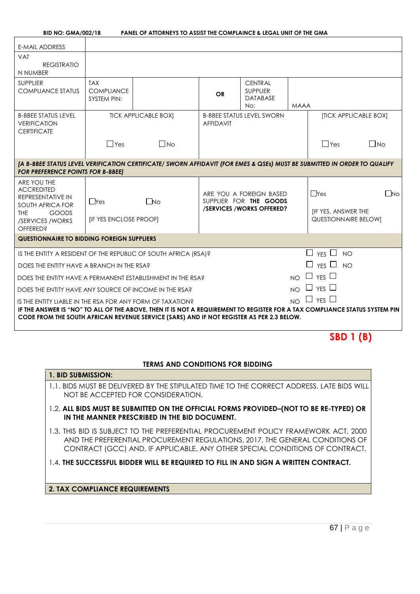**PANEL OF ATTORNEYS TO ASSIST THE COMPLAINCE & LEGAL UNIT OF THE GMA** 

| <b>E-MAIL ADDRESS</b>                                                                                                                                                                                                                                                               |                                                       |                             |                  |                                                                               |             |                                                                        |                       |
|-------------------------------------------------------------------------------------------------------------------------------------------------------------------------------------------------------------------------------------------------------------------------------------|-------------------------------------------------------|-----------------------------|------------------|-------------------------------------------------------------------------------|-------------|------------------------------------------------------------------------|-----------------------|
| <b>VAT</b><br><b>REGISTRATIO</b><br>N NUMBER                                                                                                                                                                                                                                        |                                                       |                             |                  |                                                                               |             |                                                                        |                       |
| <b>SUPPLIER</b><br><b>COMPLIANCE STATUS</b>                                                                                                                                                                                                                                         | <b>TAX</b><br><b>COMPLIANCE</b><br><b>SYSTEM PIN:</b> |                             | <b>OR</b>        | <b>CENTRAL</b><br><b>SUPPLIER</b><br><b>DATABASE</b><br>No:                   | <b>MAAA</b> |                                                                        |                       |
| <b>B-BBEE STATUS LEVEL</b><br><b>VERIFICATION</b><br><b>CERTIFICATE</b>                                                                                                                                                                                                             |                                                       | <b>TICK APPLICABLE BOXI</b> | <b>AFFIDAVIT</b> | <b>B-BBEE STATUS LEVEL SWORN</b>                                              |             |                                                                        | [TICK APPLICABLE BOX] |
|                                                                                                                                                                                                                                                                                     | $\Box$ Yes                                            | $\Box$ No                   |                  |                                                                               |             | $\Box$ Yes                                                             | $\Box$ No             |
| [A B-BBEE STATUS LEVEL VERIFICATION CERTIFICATE/ SWORN AFFIDAVIT (FOR EMES & QSEs) MUST BE SUBMITTED IN ORDER TO QUALIFY<br><b>FOR PREFERENCE POINTS FOR B-BBEET</b>                                                                                                                |                                                       |                             |                  |                                                                               |             |                                                                        |                       |
| ARE YOU THE<br><b>ACCREDITED</b><br><b>REPRESENTATIVE IN</b><br><b>SOUTH AFRICA FOR</b><br>GOODS<br>THF<br>/SERVICES/WORKS<br>OFFERED?                                                                                                                                              | $\Box$ Yes<br>[IF YES ENCLOSE PROOF]                  | $\Box$ No                   |                  | ARE YOU A FOREIGN BASED<br>SUPPLIER FOR THE GOODS<br>/SERVICES/WORKS OFFERED? |             | $\Box$ Yes<br><b>IF YES, ANSWER THE</b><br><b>QUESTIONNAIRE BELOWI</b> | $\Box$ No             |
| <b>QUESTIONNAIRE TO BIDDING FOREIGN SUPPLIERS</b>                                                                                                                                                                                                                                   |                                                       |                             |                  |                                                                               |             |                                                                        |                       |
| IS THE ENTITY A RESIDENT OF THE REPUBLIC OF SOUTH AFRICA (RSA)?                                                                                                                                                                                                                     |                                                       |                             |                  |                                                                               |             | $\Box$ YES $\Box$ NO                                                   |                       |
| $\Box$ YFS $\Box$ NO<br>DOES THE ENTITY HAVE A BRANCH IN THE RSA?                                                                                                                                                                                                                   |                                                       |                             |                  |                                                                               |             |                                                                        |                       |
| $\Box$ $_{\text{YES}}$ $\Box$<br>NO<br>DOES THE ENTITY HAVE A PERMANENT ESTABLISHMENT IN THE RSA?                                                                                                                                                                                   |                                                       |                             |                  |                                                                               |             |                                                                        |                       |
| $\Box$ YES $\Box$<br>NO<br>DOES THE ENTITY HAVE ANY SOURCE OF INCOME IN THE RSA?                                                                                                                                                                                                    |                                                       |                             |                  |                                                                               |             |                                                                        |                       |
| IS THE ENTITY LIABLE IN THE RSA FOR ANY FORM OF TAXATION?<br>IF THE ANSWER IS "NO" TO ALL OF THE ABOVE, THEN IT IS NOT A REQUIREMENT TO REGISTER FOR A TAX COMPLIANCE STATUS SYSTEM PIN<br>CODE FROM THE SOUTH AFRICAN REVENUE SERVICE (SARS) AND IF NOT REGISTER AS PER 2.3 BELOW. |                                                       |                             |                  |                                                                               | N()         | $\Box$ YES $\Box$                                                      |                       |

# **SBD 1 (B)**

#### **TERMS AND CONDITIONS FOR BIDDING**

| 1. BID SUBMISSION:                                                                                                                                                                                                                                   |
|------------------------------------------------------------------------------------------------------------------------------------------------------------------------------------------------------------------------------------------------------|
| 1.1. BIDS MUST BE DELIVERED BY THE STIPULATED TIME TO THE CORRECT ADDRESS. LATE BIDS WILL<br>NOT BE ACCEPTED FOR CONSIDERATION.                                                                                                                      |
| 1.2. ALL BIDS MUST BE SUBMITTED ON THE OFFICIAL FORMS PROVIDED-(NOT TO BE RE-TYPED) OR<br>IN THE MANNER PRESCRIBED IN THE BID DOCUMENT.                                                                                                              |
| 1.3. This bid is subject to the preferential procurement policy framework act, 2000<br>AND THE PREFERENTIAL PROCUREMENT REGULATIONS, 2017, THE GENERAL CONDITIONS OF<br>CONTRACT (GCC) AND, IF APPLICABLE, ANY OTHER SPECIAL CONDITIONS OF CONTRACT. |
| 1.4. THE SUCCESSFUL BIDDER WILL BE REQUIRED TO FILL IN AND SIGN A WRITTEN CONTRACT.                                                                                                                                                                  |
| <b>2. TAX COMPLIANCE REQUIREMENTS</b>                                                                                                                                                                                                                |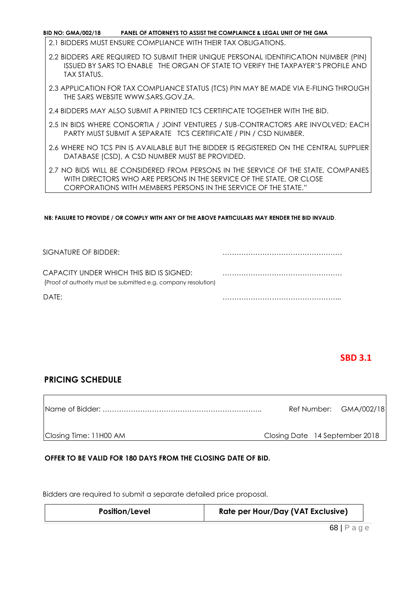**BID NO: GMA/002/18 PANEL OF ATTORNEYS TO ASSIST THE COMPLAINCE & LEGAL UNIT OF THE GMA** 

2.1 BIDDERS MUST ENSURE COMPLIANCE WITH THEIR TAX OBLIGATIONS.

- 2.2 BIDDERS ARE REQUIRED TO SUBMIT THEIR UNIQUE PERSONAL IDENTIFICATION NUMBER (PIN) ISSUED BY SARS TO ENABLE THE ORGAN OF STATE TO VERIFY THE TAXPAYER'S PROFILE AND TAX STATUS.
- 2.3 APPLICATION FOR TAX COMPLIANCE STATUS (TCS) PIN MAY BE MADE VIA E-FILING THROUGH THE SARS WEBSITE [WWW.SARS.GOV.ZA.](http://www.sars.gov.za/)
- 2.4 BIDDERS MAY ALSO SUBMIT A PRINTED TCS CERTIFICATE TOGETHER WITH THE BID.
- 2.5 IN BIDS WHERE CONSORTIA / JOINT VENTURES / SUB-CONTRACTORS ARE INVOLVED; EACH PARTY MUST SUBMIT A SEPARATE TCS CERTIFICATE / PIN / CSD NUMBER.
- 2.6 WHERE NO TCS PIN IS AVAILABLE BUT THE BIDDER IS REGISTERED ON THE CENTRAL SUPPLIER DATABASE (CSD), A CSD NUMBER MUST BE PROVIDED.
- 2.7 NO BIDS WILL BE CONSIDERED FROM PERSONS IN THE SERVICE OF THE STATE, COMPANIES WITH DIRECTORS WHO ARE PERSONS IN THE SERVICE OF THE STATE, OR CLOSE CORPORATIONS WITH MEMBERS PERSONS IN THE SERVICE OF THE STATE."

**NB: FAILURE TO PROVIDE / OR COMPLY WITH ANY OF THE ABOVE PARTICULARS MAY RENDER THE BID INVALID**.

| SIGNATURE OF BIDDER:                                                                                       |  |
|------------------------------------------------------------------------------------------------------------|--|
| CAPACITY UNDER WHICH THIS BID IS SIGNED:<br>(Proof of authority must be submitted e.g. company resolution) |  |
| DATF:                                                                                                      |  |

# **SBD 3.1**

#### **PRICING SCHEDULE**

Name of Bidder: ………………………………………………………….. Ref Number: GMA/002/18 Closing Time: 11H00 AM Closing Date 14 September 2018

#### **OFFER TO BE VALID FOR 180 DAYS FROM THE CLOSING DATE OF BID.**

Bidders are required to submit a separate detailed price proposal.

| <b>Position/Level</b> | Rate per Hour/Day (VAT Exclusive) |
|-----------------------|-----------------------------------|
|-----------------------|-----------------------------------|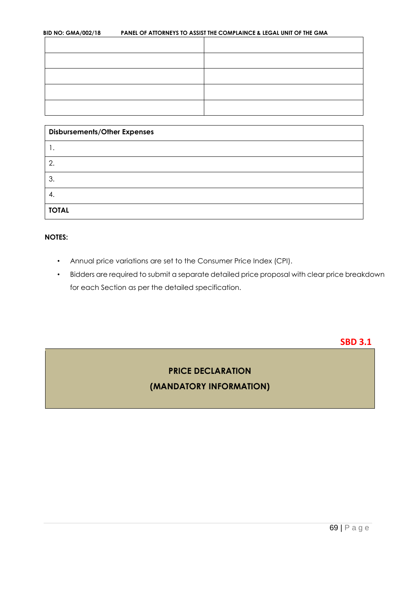| <b>BID NO: GMA/002/18</b> | PANEL OF ATTORNEYS TO ASSIST THE COMPLAINCE & LEGAL UNIT OF THE GMA |
|---------------------------|---------------------------------------------------------------------|
|                           |                                                                     |

| <b>Disbursements/Other Expenses</b> |  |
|-------------------------------------|--|
|                                     |  |
| 2.                                  |  |
| 3.                                  |  |
| 4.                                  |  |
| <b>TOTAL</b>                        |  |

#### **NOTES:**

- Annual price variations are set to the Consumer Price Index (CPI).
- Bidders are required to submit a separate detailed price proposal with clear price breakdown for each Section as per the detailed specification.

**SBD 3.1**

# **PRICE DECLARATION (MANDATORY INFORMATION)**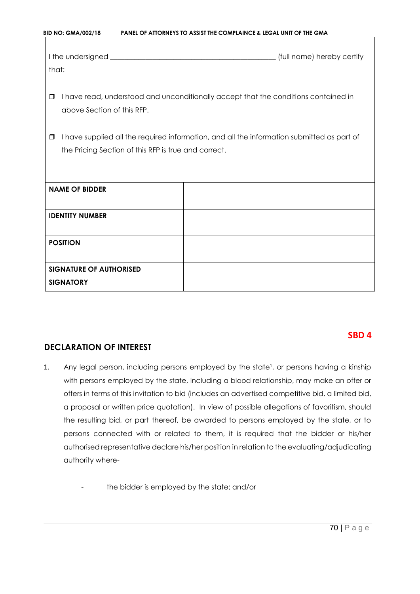| that:                                                          | (full name) hereby certify                                                                 |
|----------------------------------------------------------------|--------------------------------------------------------------------------------------------|
| $\Box$<br>above Section of this RFP.                           | I have read, understood and unconditionally accept that the conditions contained in        |
| $\Box$<br>the Pricing Section of this RFP is true and correct. | I have supplied all the required information, and all the information submitted as part of |
| <b>NAME OF BIDDER</b>                                          |                                                                                            |
| <b>IDENTITY NUMBER</b>                                         |                                                                                            |
| <b>POSITION</b>                                                |                                                                                            |
| <b>SIGNATURE OF AUTHORISED</b><br><b>SIGNATORY</b>             |                                                                                            |

**BID NO: GMA/002/18 PANEL OF ATTORNEYS TO ASSIST THE COMPLAINCE & LEGAL UNIT OF THE GMA** 

# **DECLARATION OF INTEREST**

- 1. Any legal person, including persons employed by the state<sup>1</sup>, or persons having a kinship with persons employed by the state, including a blood relationship, may make an offer or offers in terms of this invitation to bid (includes an advertised competitive bid, a limited bid, a proposal or written price quotation). In view of possible allegations of favoritism, should the resulting bid, or part thereof, be awarded to persons employed by the state, or to persons connected with or related to them, it is required that the bidder or his/her authorised representative declare his/her position in relation to the evaluating/adjudicating authority where-
	- the bidder is employed by the state; and/or

**SBD 4** 

70 | P a g e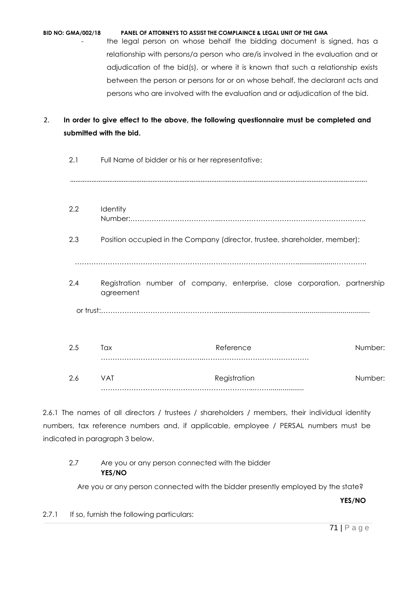| <b>BID NO: GMA/002/18</b> | PANEL OF ATTORNEYS TO ASSIST THE COMPLAINCE & LEGAL UNIT OF THE GMA              |
|---------------------------|----------------------------------------------------------------------------------|
|                           | the legal person on whose behalf the bidding document is signed, has a           |
|                           | relationship with persons/a person who are/is involved in the evaluation and or  |
|                           | adjudication of the bid(s), or where it is known that such a relationship exists |
|                           | between the person or persons for or on whose behalf, the declarant acts and     |
|                           | persons who are involved with the evaluation and or adjudication of the bid.     |

# 2. **In order to give effect to the above, the following questionnaire must be completed and submitted with the bid.**

| 2.1 | Full Name of bidder or his or her representative:                          |                                                                            |         |  |  |  |  |  |  |  |
|-----|----------------------------------------------------------------------------|----------------------------------------------------------------------------|---------|--|--|--|--|--|--|--|
|     |                                                                            |                                                                            |         |  |  |  |  |  |  |  |
| 2.2 | Identity                                                                   |                                                                            |         |  |  |  |  |  |  |  |
| 2.3 | Position occupied in the Company (director, trustee, shareholder, member): |                                                                            |         |  |  |  |  |  |  |  |
|     |                                                                            |                                                                            |         |  |  |  |  |  |  |  |
| 2.4 | agreement                                                                  | Registration number of company, enterprise, close corporation, partnership |         |  |  |  |  |  |  |  |
|     |                                                                            |                                                                            |         |  |  |  |  |  |  |  |
| 2.5 | Tax                                                                        | Reference                                                                  | Number: |  |  |  |  |  |  |  |
| 2.6 | <b>VAT</b>                                                                 | Registration                                                               | Number: |  |  |  |  |  |  |  |

2.6.1 The names of all directors / trustees / shareholders / members, their individual identity numbers, tax reference numbers and, if applicable, employee / PERSAL numbers must be indicated in paragraph 3 below.

# 2.7 Are you or any person connected with the bidder **YES/NO**

Are you or any person connected with the bidder presently employed by the state?

**YES/NO**

2.7.1 If so, furnish the following particulars: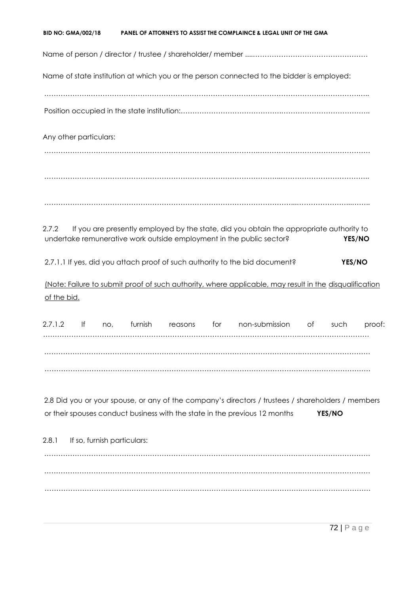| Name of state institution at which you or the person connected to the bidder is employed:<br>Any other particulars:<br>If you are presently employed by the state, did you obtain the appropriate authority to<br>undertake remunerative work outside employment in the public sector?<br>YES/NO<br>2.7.1.1 If yes, did you attach proof of such authority to the bid document?<br>YES/NO<br>(Note: Failure to submit proof of such authority, where applicable, may result in the disqualification<br>of the bid.<br><b>Solution</b> If<br>furnish<br>for<br>non-submission<br>of<br>proof:<br>no,<br>reasons<br>such<br>2.8 Did you or your spouse, or any of the company's directors / trustees / shareholders / members |         | <b>BID NO: GMA/002/18</b> |  |  | PANEL OF ATTORNEYS TO ASSIST THE COMPLAINCE & LEGAL UNIT OF THE GMA |        |  |
|-----------------------------------------------------------------------------------------------------------------------------------------------------------------------------------------------------------------------------------------------------------------------------------------------------------------------------------------------------------------------------------------------------------------------------------------------------------------------------------------------------------------------------------------------------------------------------------------------------------------------------------------------------------------------------------------------------------------------------|---------|---------------------------|--|--|---------------------------------------------------------------------|--------|--|
|                                                                                                                                                                                                                                                                                                                                                                                                                                                                                                                                                                                                                                                                                                                             |         |                           |  |  |                                                                     |        |  |
|                                                                                                                                                                                                                                                                                                                                                                                                                                                                                                                                                                                                                                                                                                                             |         |                           |  |  |                                                                     |        |  |
|                                                                                                                                                                                                                                                                                                                                                                                                                                                                                                                                                                                                                                                                                                                             |         |                           |  |  |                                                                     |        |  |
|                                                                                                                                                                                                                                                                                                                                                                                                                                                                                                                                                                                                                                                                                                                             |         |                           |  |  |                                                                     |        |  |
|                                                                                                                                                                                                                                                                                                                                                                                                                                                                                                                                                                                                                                                                                                                             |         |                           |  |  |                                                                     |        |  |
|                                                                                                                                                                                                                                                                                                                                                                                                                                                                                                                                                                                                                                                                                                                             |         |                           |  |  |                                                                     |        |  |
|                                                                                                                                                                                                                                                                                                                                                                                                                                                                                                                                                                                                                                                                                                                             | 2.7.2   |                           |  |  |                                                                     |        |  |
|                                                                                                                                                                                                                                                                                                                                                                                                                                                                                                                                                                                                                                                                                                                             |         |                           |  |  |                                                                     |        |  |
|                                                                                                                                                                                                                                                                                                                                                                                                                                                                                                                                                                                                                                                                                                                             |         |                           |  |  |                                                                     |        |  |
|                                                                                                                                                                                                                                                                                                                                                                                                                                                                                                                                                                                                                                                                                                                             |         |                           |  |  |                                                                     |        |  |
|                                                                                                                                                                                                                                                                                                                                                                                                                                                                                                                                                                                                                                                                                                                             | 2.7.1.2 |                           |  |  |                                                                     |        |  |
|                                                                                                                                                                                                                                                                                                                                                                                                                                                                                                                                                                                                                                                                                                                             |         |                           |  |  |                                                                     |        |  |
| or their spouses conduct business with the state in the previous 12 months                                                                                                                                                                                                                                                                                                                                                                                                                                                                                                                                                                                                                                                  |         |                           |  |  |                                                                     | YES/NO |  |
| If so, furnish particulars:                                                                                                                                                                                                                                                                                                                                                                                                                                                                                                                                                                                                                                                                                                 | 2.8.1   |                           |  |  |                                                                     |        |  |
|                                                                                                                                                                                                                                                                                                                                                                                                                                                                                                                                                                                                                                                                                                                             |         |                           |  |  |                                                                     |        |  |

……………………………………………………………………………………………….…………………………

……………………………………………………………………………………………….…………………………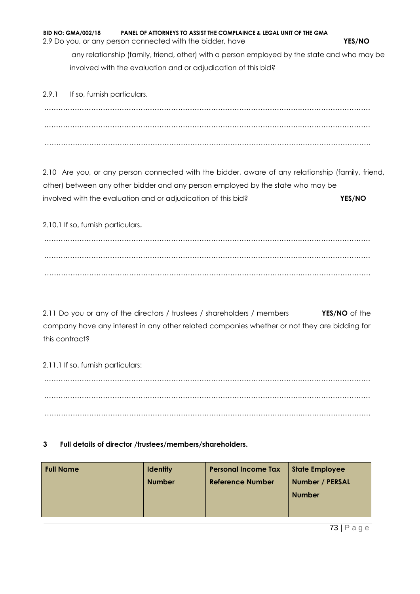**BID NO: GMA/002/18 PANEL OF ATTORNEYS TO ASSIST THE COMPLAINCE & LEGAL UNIT OF THE GMA**  2.9 Do you, or any person connected with the bidder, have **YES/NO** any relationship (family, friend, other) with a person employed by the state and who may be involved with the evaluation and or adjudication of this bid?

2.9.1 If so, furnish particulars. ……………………………………………………………………………………………….………………………… ……………………………………………………………………………………………….………………………… ……………………………………………………………………………………………….…………………………

2.10 Are you, or any person connected with the bidder, aware of any relationship (family, friend, other) between any other bidder and any person employed by the state who may be involved with the evaluation and or adjudication of this bid? **YES/NO**

2.10.1 If so, furnish particulars**.** 

……………………………………………………………………………………………….………………………… ……………………………………………………………………………………………….………………………… ……………………………………………………………………………………………….…………………………

2.11 Do you or any of the directors / trustees / shareholders / members **YES/NO** of the company have any interest in any other related companies whether or not they are bidding for this contract?

2.11.1 If so, furnish particulars:

……………………………………………………………………………………………….………………………… ……………………………………………………………………………………………….………………………… ……………………………………………………………………………………………….…………………………

# **3 Full details of director /trustees/members/shareholders.**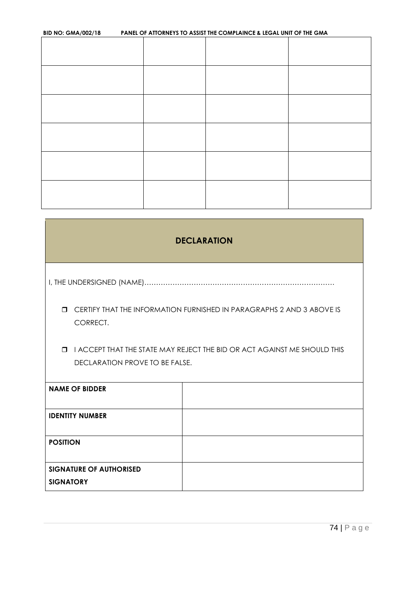| <b>BID NO: GMA/002/18</b> |  | PANEL OF ATTORNEYS TO ASSIST THE COMPLAINCE & LEGAL UNIT OF THE GMA |  |
|---------------------------|--|---------------------------------------------------------------------|--|
|                           |  |                                                                     |  |
|                           |  |                                                                     |  |
|                           |  |                                                                     |  |
|                           |  |                                                                     |  |
|                           |  |                                                                     |  |
|                           |  |                                                                     |  |
|                           |  |                                                                     |  |
|                           |  |                                                                     |  |
|                           |  |                                                                     |  |
|                           |  |                                                                     |  |
|                           |  |                                                                     |  |

| <b>DECLARATION</b>                                                                                                   |  |  |  |  |
|----------------------------------------------------------------------------------------------------------------------|--|--|--|--|
|                                                                                                                      |  |  |  |  |
| CERTIFY THAT THE INFORMATION FURNISHED IN PARAGRAPHS 2 AND 3 ABOVE IS<br>$\Box$<br>CORRECT.                          |  |  |  |  |
| I ACCEPT THAT THE STATE MAY REJECT THE BID OR ACT AGAINST ME SHOULD THIS<br>$\Box$<br>DECLARATION PROVE TO BE FALSE. |  |  |  |  |
| <b>NAME OF BIDDER</b>                                                                                                |  |  |  |  |
| <b>IDENTITY NUMBER</b>                                                                                               |  |  |  |  |
| <b>POSITION</b>                                                                                                      |  |  |  |  |
| <b>SIGNATURE OF AUTHORISED</b><br><b>SIGNATORY</b>                                                                   |  |  |  |  |

٦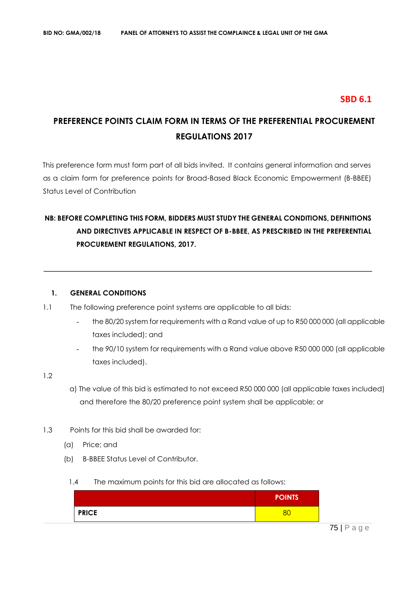# **SBD 6.1**

# **PREFERENCE POINTS CLAIM FORM IN TERMS OF THE PREFERENTIAL PROCUREMENT REGULATIONS 2017**

This preference form must form part of all bids invited. It contains general information and serves as a claim form for preference points for Broad-Based Black Economic Empowerment (B-BBEE) Status Level of Contribution

# **NB: BEFORE COMPLETING THIS FORM, BIDDERS MUST STUDY THE GENERAL CONDITIONS, DEFINITIONS AND DIRECTIVES APPLICABLE IN RESPECT OF B-BBEE, AS PRESCRIBED IN THE PREFERENTIAL PROCUREMENT REGULATIONS, 2017.**

#### **1. GENERAL CONDITIONS**

- 1.1 The following preference point systems are applicable to all bids:
	- the 80/20 system for requirements with a Rand value of up to R50 000 000 (all applicable taxes included); and
	- the 90/10 system for requirements with a Rand value above R50 000 000 (all applicable taxes included).

#### 1.2

- a) The value of this bid is estimated to not exceed R50 000 000 (all applicable taxes included) and therefore the 80/20 preference point system shall be applicable; or
- 1.3 Points for this bid shall be awarded for:
	- (a) Price; and
	- (b) B-BBEE Status Level of Contributor.
		- 1.4 The maximum points for this bid are allocated as follows:

|              | <b>POINTS</b> |
|--------------|---------------|
| <b>PRICE</b> |               |

75 | P a g e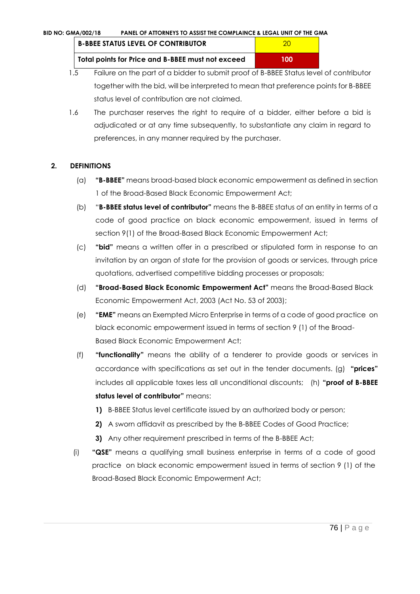| <b>B-BBEE STATUS LEVEL OF CONTRIBUTOR</b>         | 20  |
|---------------------------------------------------|-----|
| Total points for Price and B-BBEE must not exceed | 100 |

- 1.5 Failure on the part of a bidder to submit proof of B-BBEE Status level of contributor together with the bid, will be interpreted to mean that preference points for B-BBEE status level of contribution are not claimed.
- 1.6 The purchaser reserves the right to require of a bidder, either before a bid is adjudicated or at any time subsequently, to substantiate any claim in regard to preferences, in any manner required by the purchaser.

# **2. DEFINITIONS**

- (a) **"B-BBEE"** means broad-based black economic empowerment as defined in section 1 of the Broad-Based Black Economic Empowerment Act;
- (b) "**B-BBEE status level of contributor"** means the B-BBEE status of an entity in terms of a code of good practice on black economic empowerment, issued in terms of section 9(1) of the Broad-Based Black Economic Empowerment Act;
- (c) **"bid"** means a written offer in a prescribed or stipulated form in response to an invitation by an organ of state for the provision of goods or services, through price quotations, advertised competitive bidding processes or proposals;
- (d) **"Broad-Based Black Economic Empowerment Act"** means the Broad-Based Black Economic Empowerment Act, 2003 (Act No. 53 of 2003);
- (e) **"EME"** means an Exempted Micro Enterprise in terms of a code of good practice on black economic empowerment issued in terms of section 9 (1) of the Broad-Based Black Economic Empowerment Act;
- (f) **"functionality"** means the ability of a tenderer to provide goods or services in accordance with specifications as set out in the tender documents. (g) **"prices"**  includes all applicable taxes less all unconditional discounts; (h) **"proof of B-BBEE status level of contributor"** means:
	- **1)** B-BBEE Status level certificate issued by an authorized body or person;
	- **2)** A sworn affidavit as prescribed by the B-BBEE Codes of Good Practice;
	- **3)** Any other requirement prescribed in terms of the B-BBEE Act;
- (i) **"QSE"** means a qualifying small business enterprise in terms of a code of good practice on black economic empowerment issued in terms of section 9 (1) of the Broad-Based Black Economic Empowerment Act;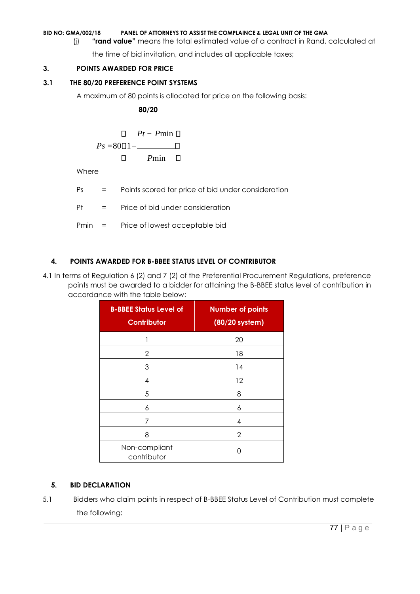(j) **"rand value"** means the total estimated value of a contract in Rand, calculated at

the time of bid invitation, and includes all applicable taxes;

# **3. POINTS AWARDED FOR PRICE**

# **3.1 THE 80/20 PREFERENCE POINT SYSTEMS**

A maximum of 80 points is allocated for price on the following basis:

 **80/20** 

$$
P_s = 80 \square 1 - \square
$$
\n
$$
P_s = 80 \square 1 - \square
$$
\n
$$
\square
$$
\n
$$
P_{\text{min}} \square
$$

Where

Ps = Points scored for price of bid under consideration

Pt = Price of bid under consideration

Pmin = Price of lowest acceptable bid

# **4. POINTS AWARDED FOR B-BBEE STATUS LEVEL OF CONTRIBUTOR**

4.1 In terms of Regulation 6 (2) and 7 (2) of the Preferential Procurement Regulations, preference points must be awarded to a bidder for attaining the B-BBEE status level of contribution in accordance with the table below:

| <b>B-BBEE Status Level of</b><br><b>Contributor</b> | <b>Number of points</b><br>(80/20 system) |
|-----------------------------------------------------|-------------------------------------------|
|                                                     | 20                                        |
| 2                                                   | 18                                        |
| 3                                                   | 14                                        |
| 4                                                   | 12                                        |
| 5                                                   | 8                                         |
| 6                                                   | 6                                         |
| 7                                                   | 4                                         |
| 8                                                   | 2                                         |
| Non-compliant<br>contributor                        | ∩                                         |

# **5. BID DECLARATION**

5.1 Bidders who claim points in respect of B-BBEE Status Level of Contribution must complete the following: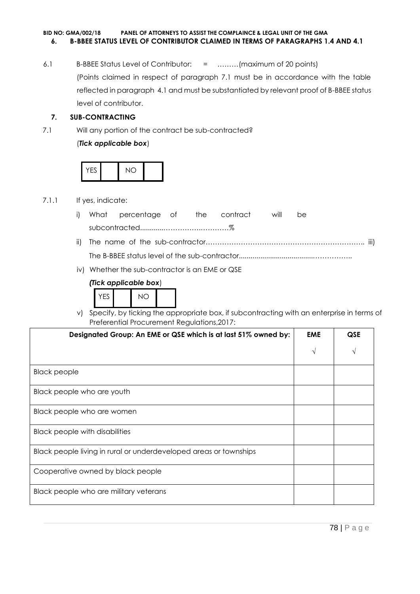## **BID NO: GMA/002/18 PANEL OF ATTORNEYS TO ASSIST THE COMPLAINCE & LEGAL UNIT OF THE GMA 6. B-BBEE STATUS LEVEL OF CONTRIBUTOR CLAIMED IN TERMS OF PARAGRAPHS 1.4 AND 4.1**

6.1 B-BBEE Status Level of Contributor: = ………(maximum of 20 points) (Points claimed in respect of paragraph 7.1 must be in accordance with the table reflected in paragraph 4.1 and must be substantiated by relevant proof of B-BBEE status level of contributor.

# **7. SUB-CONTRACTING**

7.1 Will any portion of the contract be sub-contracted?

## (*Tick applicable box*)



## 7.1.1 If yes, indicate:

- i) What percentage of the contract will be subcontracted............…………….…………%
- ii) The name of the sub-contractor………………………………………………………….. iii) The B-BBEE status level of the sub-contractor......................................……………..
- iv) Whether the sub-contractor is an EME or QSE

# *(Tick applicable box*)



v) Specify, by ticking the appropriate box, if subcontracting with an enterprise in terms of Preferential Procurement Regulations,2017:

| Designated Group: An EME or QSE which is at last 51% owned by:    | <b>EME</b> | <b>QSE</b> |
|-------------------------------------------------------------------|------------|------------|
|                                                                   | V          |            |
| <b>Black people</b>                                               |            |            |
| Black people who are youth                                        |            |            |
| Black people who are women                                        |            |            |
| Black people with disabilities                                    |            |            |
| Black people living in rural or underdeveloped areas or townships |            |            |
| Cooperative owned by black people                                 |            |            |
| Black people who are military veterans                            |            |            |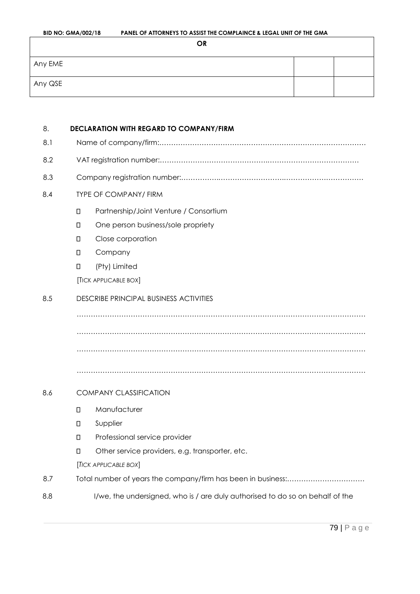| <b>BID NO: GMA/002/18</b> | PANEL OF ATTORNEYS TO ASSIST THE COMPLAINCE & LEGAL UNIT OF THE GMA |  |  |
|---------------------------|---------------------------------------------------------------------|--|--|
|                           | OR                                                                  |  |  |
| Any EME                   |                                                                     |  |  |
| Any QSE                   |                                                                     |  |  |

| 8.  | DECLARATION WITH REGARD TO COMPANY/FIRM |                                                                               |  |  |  |
|-----|-----------------------------------------|-------------------------------------------------------------------------------|--|--|--|
| 8.1 |                                         |                                                                               |  |  |  |
| 8.2 |                                         |                                                                               |  |  |  |
| 8.3 |                                         |                                                                               |  |  |  |
| 8.4 |                                         | <b>TYPE OF COMPANY/ FIRM</b>                                                  |  |  |  |
|     | $\Box$                                  | Partnership/Joint Venture / Consortium                                        |  |  |  |
|     | $\Box$                                  | One person business/sole propriety                                            |  |  |  |
|     | $\Box$                                  | Close corporation                                                             |  |  |  |
|     | $\Box$                                  | Company                                                                       |  |  |  |
|     | $\Box$                                  | (Pty) Limited                                                                 |  |  |  |
|     |                                         | [TICK APPLICABLE BOX]                                                         |  |  |  |
| 8.5 |                                         | <b>DESCRIBE PRINCIPAL BUSINESS ACTIVITIES</b>                                 |  |  |  |
|     |                                         |                                                                               |  |  |  |
|     |                                         |                                                                               |  |  |  |
|     |                                         |                                                                               |  |  |  |
|     |                                         |                                                                               |  |  |  |
| 8.6 | <b>COMPANY CLASSIFICATION</b>           |                                                                               |  |  |  |
|     | $\Box$                                  | Manufacturer                                                                  |  |  |  |
|     | $\Box$                                  | Supplier                                                                      |  |  |  |
|     | $\Box$                                  | Professional service provider                                                 |  |  |  |
|     | $\Box$                                  | Other service providers, e.g. transporter, etc.                               |  |  |  |
|     |                                         | [TICK APPLICABLE BOX]                                                         |  |  |  |
| 8.7 |                                         |                                                                               |  |  |  |
| 8.8 |                                         | I/we, the undersigned, who is / are duly authorised to do so on behalf of the |  |  |  |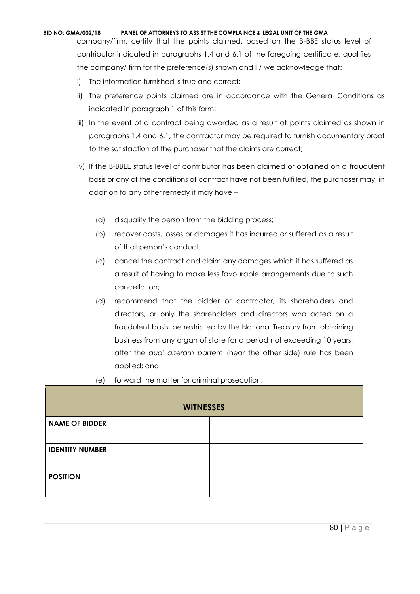company/firm, certify that the points claimed, based on the B-BBE status level of contributor indicated in paragraphs 1.4 and 6.1 of the foregoing certificate, qualifies the company/ firm for the preference(s) shown and I / we acknowledge that:

- i) The information furnished is true and correct;
- ii) The preference points claimed are in accordance with the General Conditions as indicated in paragraph 1 of this form;
- iii) In the event of a contract being awarded as a result of points claimed as shown in paragraphs 1.4 and 6.1, the contractor may be required to furnish documentary proof to the satisfaction of the purchaser that the claims are correct;
- iv) If the B-BBEE status level of contributor has been claimed or obtained on a fraudulent basis or any of the conditions of contract have not been fulfilled, the purchaser may, in addition to any other remedy it may have –
	- (a) disqualify the person from the bidding process;
	- (b) recover costs, losses or damages it has incurred or suffered as a result of that person's conduct;
	- (c) cancel the contract and claim any damages which it has suffered as a result of having to make less favourable arrangements due to such cancellation;
	- (d) recommend that the bidder or contractor, its shareholders and directors, or only the shareholders and directors who acted on a fraudulent basis, be restricted by the National Treasury from obtaining business from any organ of state for a period not exceeding 10 years, after the *audi alteram partem* (hear the other side) rule has been applied; and
	- (e) forward the matter for criminal prosecution.

| <b>WITNESSES</b>       |  |  |  |
|------------------------|--|--|--|
| <b>NAME OF BIDDER</b>  |  |  |  |
|                        |  |  |  |
| <b>IDENTITY NUMBER</b> |  |  |  |
|                        |  |  |  |
| <b>POSITION</b>        |  |  |  |
|                        |  |  |  |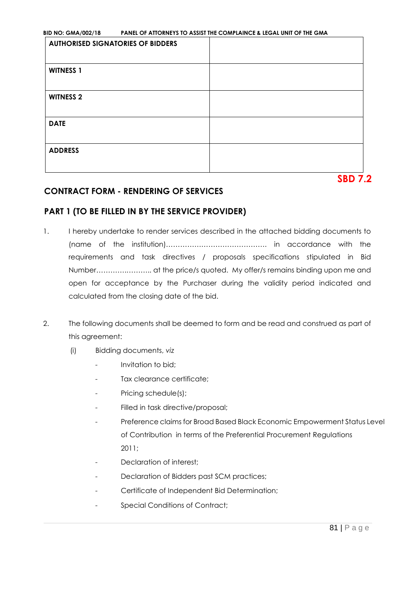| <b>AUTHORISED SIGNATORIES OF BIDDERS</b> |  |
|------------------------------------------|--|
| <b>WITNESS 1</b>                         |  |
| <b>WITNESS 2</b>                         |  |
| <b>DATE</b>                              |  |
| <b>ADDRESS</b>                           |  |

**SBD 7.2** 

# **CONTRACT FORM - RENDERING OF SERVICES**

# **PART 1 (TO BE FILLED IN BY THE SERVICE PROVIDER)**

- 1. I hereby undertake to render services described in the attached bidding documents to (name of the institution)……………………………………. in accordance with the requirements and task directives / proposals specifications stipulated in Bid Number………….……….. at the price/s quoted. My offer/s remains binding upon me and open for acceptance by the Purchaser during the validity period indicated and calculated from the closing date of the bid.
- 2. The following documents shall be deemed to form and be read and construed as part of this agreement:
	- (i) Bidding documents, *viz*
		- *-* Invitation to bid;
		- *-* Tax clearance certificate;
		- *-* Pricing schedule(s);
		- *-* Filled in task directive/proposal;
		- *-* Preference claims for Broad Based Black Economic Empowerment Status Level of Contribution in terms of the Preferential Procurement Regulations 2011;
		- *-* Declaration of interest;
		- *-* Declaration of Bidders past SCM practices;
		- *-* Certificate of Independent Bid Determination;
		- *-* Special Conditions of Contract;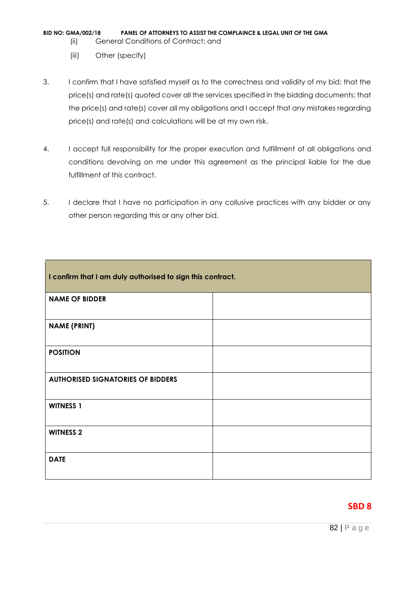- (ii) General Conditions of Contract; and
- (iii) Other (specify)
- 3. I confirm that I have satisfied myself as to the correctness and validity of my bid; that the price(s) and rate(s) quoted cover all the services specified in the bidding documents; that the price(s) and rate(s) cover all my obligations and I accept that any mistakes regarding price(s) and rate(s) and calculations will be at my own risk.
- 4. I accept full responsibility for the proper execution and fulfillment of all obligations and conditions devolving on me under this agreement as the principal liable for the due fulfillment of this contract.
- 5. I declare that I have no participation in any collusive practices with any bidder or any other person regarding this or any other bid.

| I confirm that I am duly authorised to sign this contract. |  |  |  |
|------------------------------------------------------------|--|--|--|
| <b>NAME OF BIDDER</b>                                      |  |  |  |
| <b>NAME (PRINT)</b>                                        |  |  |  |
| <b>POSITION</b>                                            |  |  |  |
| <b>AUTHORISED SIGNATORIES OF BIDDERS</b>                   |  |  |  |
| <b>WITNESS 1</b>                                           |  |  |  |
| <b>WITNESS 2</b>                                           |  |  |  |
| <b>DATE</b>                                                |  |  |  |

# **SBD 8**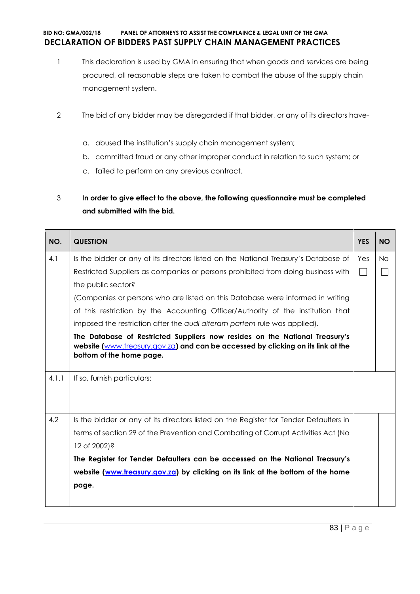# **BID NO: GMA/002/18 PANEL OF ATTORNEYS TO ASSIST THE COMPLAINCE & LEGAL UNIT OF THE GMA DECLARATION OF BIDDERS PAST SUPPLY CHAIN MANAGEMENT PRACTICES**

- 1 This declaration is used by GMA in ensuring that when goods and services are being procured, all reasonable steps are taken to combat the abuse of the supply chain management system.
- 2 The bid of any bidder may be disregarded if that bidder, or any of its directors have
	- a. abused the institution's supply chain management system;
	- b. committed fraud or any other improper conduct in relation to such system; or
	- c. failed to perform on any previous contract.
- 3 **In order to give effect to the above, the following questionnaire must be completed and submitted with the bid.**

| NO.   | <b>QUESTION</b>                                                                                                                                                                             | <b>YES</b>   | <b>NO</b> |
|-------|---------------------------------------------------------------------------------------------------------------------------------------------------------------------------------------------|--------------|-----------|
| 4.1   | Is the bidder or any of its directors listed on the National Treasury's Database of                                                                                                         | Yes          | No.       |
|       | Restricted Suppliers as companies or persons prohibited from doing business with                                                                                                            | $\mathbf{I}$ |           |
|       | the public sector?                                                                                                                                                                          |              |           |
|       | (Companies or persons who are listed on this Database were informed in writing                                                                                                              |              |           |
|       | of this restriction by the Accounting Officer/Authority of the institution that                                                                                                             |              |           |
|       | imposed the restriction after the audi alteram partem rule was applied).                                                                                                                    |              |           |
|       | The Database of Restricted Suppliers now resides on the National Treasury's<br>website (www.treasury.gov.za) and can be accessed by clicking on its link at the<br>bottom of the home page. |              |           |
| 4.1.1 | If so, furnish particulars:                                                                                                                                                                 |              |           |
| 4.2   | Is the bidder or any of its directors listed on the Register for Tender Defaulters in                                                                                                       |              |           |
|       | terms of section 29 of the Prevention and Combating of Corrupt Activities Act (No                                                                                                           |              |           |
|       | 12 of 2002)?                                                                                                                                                                                |              |           |
|       | The Register for Tender Defaulters can be accessed on the National Treasury's                                                                                                               |              |           |
|       | website (www.treasury.gov.za) by clicking on its link at the bottom of the home                                                                                                             |              |           |
|       | page.                                                                                                                                                                                       |              |           |
|       |                                                                                                                                                                                             |              |           |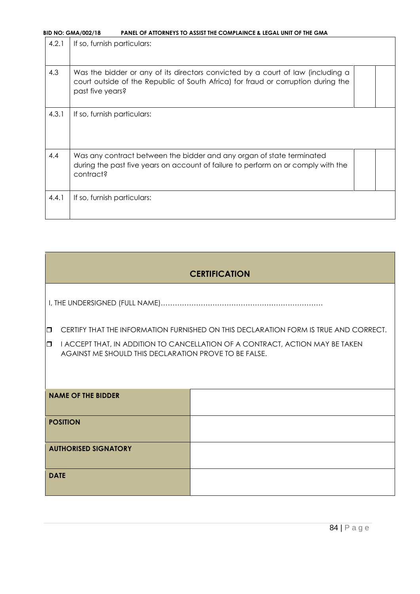| 4.2.1 | If so, furnish particulars:                                                                                                                                                              |  |
|-------|------------------------------------------------------------------------------------------------------------------------------------------------------------------------------------------|--|
| 4.3   | Was the bidder or any of its directors convicted by a court of law (including a<br>court outside of the Republic of South Africa) for fraud or corruption during the<br>past five years? |  |
| 4.3.1 | If so, furnish particulars:                                                                                                                                                              |  |
| 4.4   | Was any contract between the bidder and any organ of state terminated<br>during the past five years on account of failure to perform on or comply with the<br>contract?                  |  |
| 4.4.1 | If so, furnish particulars:                                                                                                                                                              |  |

# **CERTIFICATION**

I, THE UNDERSIGNED (FULL NAME)……………………………………………………………

**D** CERTIFY THAT THE INFORMATION FURNISHED ON THIS DECLARATION FORM IS TRUE AND CORRECT.

 $\Box$  I ACCEPT THAT, IN ADDITION TO CANCELLATION OF A CONTRACT, ACTION MAY BE TAKEN AGAINST ME SHOULD THIS DECLARATION PROVE TO BE FALSE.

| <b>NAME OF THE BIDDER</b>   |  |
|-----------------------------|--|
| <b>POSITION</b>             |  |
| <b>AUTHORISED SIGNATORY</b> |  |
| <b>DATE</b>                 |  |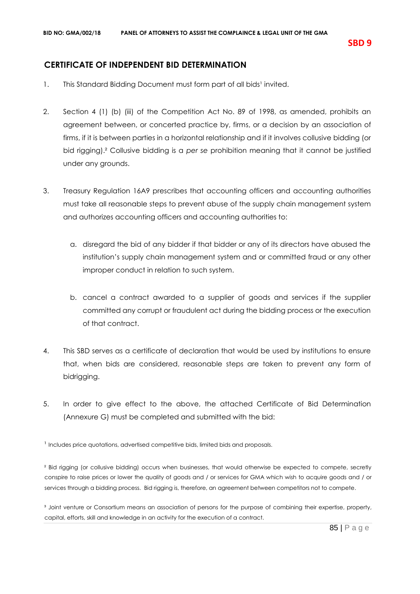# **CERTIFICATE OF INDEPENDENT BID DETERMINATION**

- 1. This Standard Bidding Document must form part of all bids<sup>1</sup> invited.
- 2. Section 4 (1) (b) (iii) of the Competition Act No. 89 of 1998, as amended, prohibits an agreement between, or concerted practice by, firms, or a decision by an association of firms, if it is between parties in a horizontal relationship and if it involves collusive bidding (or bid rigging).² Collusive bidding is a *per se* prohibition meaning that it cannot be justified under any grounds.
- 3. Treasury Regulation 16A9 prescribes that accounting officers and accounting authorities must take all reasonable steps to prevent abuse of the supply chain management system and authorizes accounting officers and accounting authorities to:
	- a. disregard the bid of any bidder if that bidder or any of its directors have abused the institution's supply chain management system and or committed fraud or any other improper conduct in relation to such system.
	- b. cancel a contract awarded to a supplier of goods and services if the supplier committed any corrupt or fraudulent act during the bidding process or the execution of that contract.
- 4. This SBD serves as a certificate of declaration that would be used by institutions to ensure that, when bids are considered, reasonable steps are taken to prevent any form of bidrigging.
- 5. In order to give effect to the above, the attached Certificate of Bid Determination (Annexure G) must be completed and submitted with the bid:

<sup>2</sup> Bid rigging (or collusive bidding) occurs when businesses, that would otherwise be expected to compete, secretly conspire to raise prices or lower the quality of goods and / or services for GMA which wish to acquire goods and / or services through a bidding process. Bid rigging is, therefore, an agreement between competitors not to compete.

<sup>3</sup> Joint venture or Consortium means an association of persons for the purpose of combining their expertise, property, capital, efforts, skill and knowledge in an activity for the execution of a contract.

<sup>&</sup>lt;sup>1</sup> Includes price quotations, advertised competitive bids, limited bids and proposals.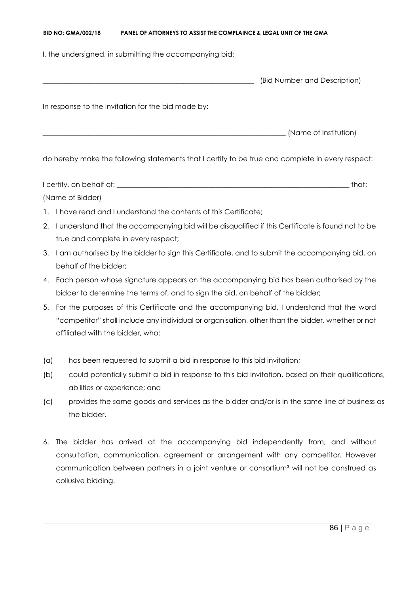I, the undersigned, in submitting the accompanying bid:

|                                                    | (Bid Number and Description) |
|----------------------------------------------------|------------------------------|
| In response to the invitation for the bid made by: |                              |
|                                                    | (Name of Institution)        |

do hereby make the following statements that I certify to be true and complete in every respect:

I certify, on behalf of: \_\_\_\_\_\_\_\_\_\_\_\_\_\_\_\_\_\_\_\_\_\_\_\_\_\_\_\_\_\_\_\_\_\_\_\_\_\_\_\_\_\_\_\_\_\_\_\_\_\_\_\_\_\_\_\_\_\_\_\_\_\_\_\_\_\_ that: (Name of Bidder)

- 1. I have read and I understand the contents of this Certificate;
- 2. I understand that the accompanying bid will be disqualified if this Certificate is found not to be true and complete in every respect;
- 3. I am authorised by the bidder to sign this Certificate, and to submit the accompanying bid, on behalf of the bidder;
- 4. Each person whose signature appears on the accompanying bid has been authorised by the bidder to determine the terms of, and to sign the bid, on behalf of the bidder;
- 5. For the purposes of this Certificate and the accompanying bid, I understand that the word "competitor" shall include any individual or organisation, other than the bidder, whether or not affiliated with the bidder, who:
- (a) has been requested to submit a bid in response to this bid invitation;
- (b) could potentially submit a bid in response to this bid invitation, based on their qualifications, abilities or experience; and
- (c) provides the same goods and services as the bidder and/or is in the same line of business as the bidder.
- 6. The bidder has arrived at the accompanying bid independently from, and without consultation, communication, agreement or arrangement with any competitor. However communication between partners in a joint venture or consortium<sup>3</sup> will not be construed as collusive bidding.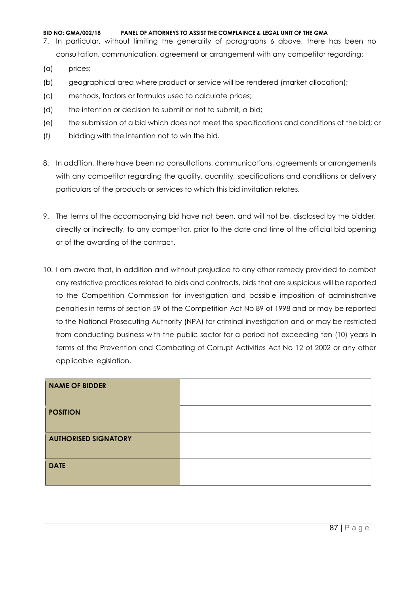- 7. In particular, without limiting the generality of paragraphs 6 above, there has been no consultation, communication, agreement or arrangement with any competitor regarding:
- (a) prices;
- (b) geographical area where product or service will be rendered (market allocation);
- (c) methods, factors or formulas used to calculate prices;
- (d) the intention or decision to submit or not to submit, a bid;
- (e) the submission of a bid which does not meet the specifications and conditions of the bid; or
- (f) bidding with the intention not to win the bid.
- 8. In addition, there have been no consultations, communications, agreements or arrangements with any competitor regarding the quality, quantity, specifications and conditions or delivery particulars of the products or services to which this bid invitation relates.
- 9. The terms of the accompanying bid have not been, and will not be, disclosed by the bidder, directly or indirectly, to any competitor, prior to the date and time of the official bid opening or of the awarding of the contract.
- 10. I am aware that, in addition and without prejudice to any other remedy provided to combat any restrictive practices related to bids and contracts, bids that are suspicious will be reported to the Competition Commission for investigation and possible imposition of administrative penalties in terms of section 59 of the Competition Act No 89 of 1998 and or may be reported to the National Prosecuting Authority (NPA) for criminal investigation and or may be restricted from conducting business with the public sector for a period not exceeding ten (10) years in terms of the Prevention and Combating of Corrupt Activities Act No 12 of 2002 or any other applicable legislation.

| <b>NAME OF BIDDER</b>       |  |
|-----------------------------|--|
| <b>POSITION</b>             |  |
| <b>AUTHORISED SIGNATORY</b> |  |
| <b>DATE</b>                 |  |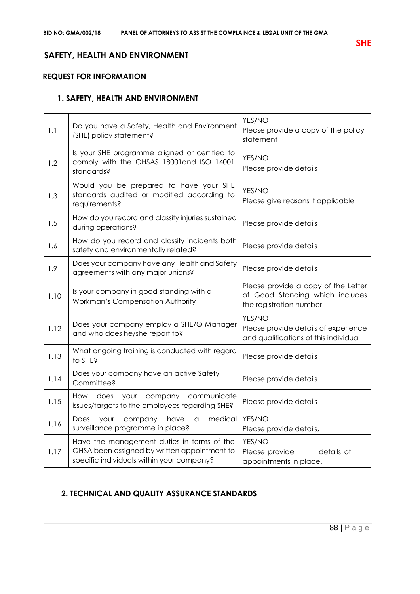# **SAFETY, HEALTH AND ENVIRONMENT**

# **REQUEST FOR INFORMATION**

# **1. SAFETY, HEALTH AND ENVIRONMENT**

| 1.1  | Do you have a Safety, Health and Environment<br>(SHE) policy statement?                                                                 | YES/NO<br>Please provide a copy of the policy<br>statement                                        |
|------|-----------------------------------------------------------------------------------------------------------------------------------------|---------------------------------------------------------------------------------------------------|
| 1.2  | Is your SHE programme aligned or certified to<br>comply with the OHSAS 18001and ISO 14001<br>standards?                                 | YES/NO<br>Please provide details                                                                  |
| 1.3  | Would you be prepared to have your SHE<br>standards audited or modified according to<br>requirements?                                   | YES/NO<br>Please give reasons if applicable                                                       |
| 1.5  | How do you record and classify injuries sustained<br>during operations?                                                                 | Please provide details                                                                            |
| 1.6  | How do you record and classify incidents both<br>safety and environmentally related?                                                    | Please provide details                                                                            |
| 1.9  | Does your company have any Health and Safety<br>agreements with any major unions?                                                       | Please provide details                                                                            |
| 1.10 | Is your company in good standing with a<br>Workman's Compensation Authority                                                             | Please provide a copy of the Letter<br>of Good Standing which includes<br>the registration number |
| 1.12 | Does your company employ a SHE/Q Manager<br>and who does he/she report to?                                                              | YES/NO<br>Please provide details of experience<br>and qualifications of this individual           |
| 1.13 | What ongoing training is conducted with regard<br>to SHE?                                                                               | Please provide details                                                                            |
| 1.14 | Does your company have an active Safety<br>Committee?                                                                                   | Please provide details                                                                            |
| 1.15 | company<br>communicate<br>How does<br>your<br>issues/targets to the employees regarding SHE?                                            | Please provide details                                                                            |
| 1.16 | medical<br>Does<br>your<br>company<br>have<br>a<br>surveillance programme in place?                                                     | YES/NO<br>Please provide details,                                                                 |
| 1.17 | Have the management duties in terms of the<br>OHSA been assigned by written appointment to<br>specific individuals within your company? | YES/NO<br>Please provide<br>details of<br>appointments in place.                                  |

# **2. TECHNICAL AND QUALITY ASSURANCE STANDARDS**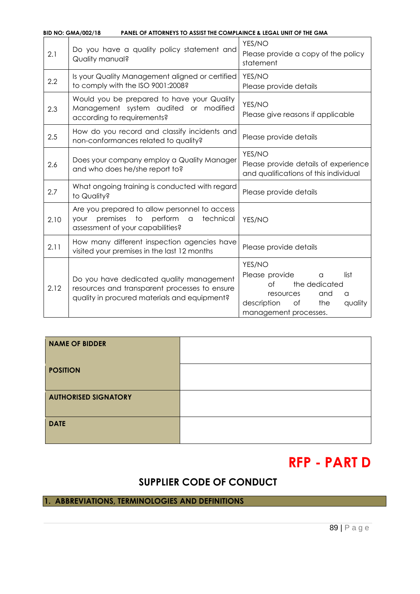|      | <b>BID NO: GMA/002/18</b><br><b>PANEL OF ATTORNEYS TO ASSIST THE COMPLAINCE &amp; LEGAL UNIT OF THE GMA</b>                                              |                                                                                                                                                              |
|------|----------------------------------------------------------------------------------------------------------------------------------------------------------|--------------------------------------------------------------------------------------------------------------------------------------------------------------|
| 2.1  | Do you have a quality policy statement and<br>Quality manual?                                                                                            | YES/NO<br>Please provide a copy of the policy<br>statement                                                                                                   |
| 2.2  | Is your Quality Management aligned or certified<br>to comply with the ISO 9001:2008?                                                                     | YES/NO<br>Please provide details                                                                                                                             |
| 2.3  | Would you be prepared to have your Quality<br>Management system audited or modified<br>according to requirements?                                        | YES/NO<br>Please give reasons if applicable                                                                                                                  |
| 2.5  | How do you record and classify incidents and<br>non-conformances related to quality?                                                                     | Please provide details                                                                                                                                       |
| 2.6  | Does your company employ a Quality Manager<br>and who does he/she report to?                                                                             | YES/NO<br>Please provide details of experience<br>and qualifications of this individual                                                                      |
| 2.7  | What ongoing training is conducted with regard<br>to Quality?                                                                                            | Please provide details                                                                                                                                       |
| 2.10 | Are you prepared to allow personnel to access<br>premises to<br>perform<br>technical<br>your<br>$\hbox{\tt\large G}$<br>assessment of your capabilities? | YES/NO                                                                                                                                                       |
| 2.11 | How many different inspection agencies have<br>visited your premises in the last 12 months                                                               | Please provide details                                                                                                                                       |
| 2.12 | Do you have dedicated quality management<br>resources and transparent processes to ensure<br>quality in procured materials and equipment?                | YES/NO<br>Please provide<br>list<br>a<br>$\circ$ f<br>the dedicated<br>and<br>resources<br>a<br>description<br>the<br>of<br>quality<br>management processes. |

| <b>NAME OF BIDDER</b>       |  |
|-----------------------------|--|
| <b>POSITION</b>             |  |
| <b>AUTHORISED SIGNATORY</b> |  |
| <b>DATE</b>                 |  |

# **RFP - PART D**

# **SUPPLIER CODE OF CONDUCT**

# **1. ABBREVIATIONS, TERMINOLOGIES AND DEFINITIONS**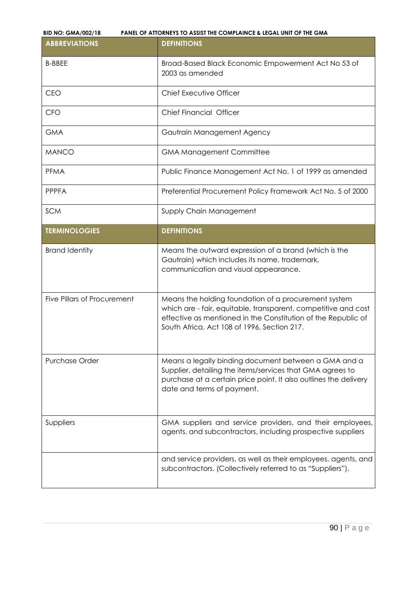| <b>ABBREVIATIONS</b>               | <b>DEFINITIONS</b>                                                                                                                                                                                                                     |  |  |
|------------------------------------|----------------------------------------------------------------------------------------------------------------------------------------------------------------------------------------------------------------------------------------|--|--|
| <b>B-BBEE</b>                      | Broad-Based Black Economic Empowerment Act No 53 of<br>2003 as amended                                                                                                                                                                 |  |  |
| <b>CEO</b>                         | Chief Executive Officer                                                                                                                                                                                                                |  |  |
| <b>CFO</b>                         | <b>Chief Financial Officer</b>                                                                                                                                                                                                         |  |  |
| <b>GMA</b>                         | Gautrain Management Agency                                                                                                                                                                                                             |  |  |
| <b>MANCO</b>                       | <b>GMA Management Committee</b>                                                                                                                                                                                                        |  |  |
| <b>PFMA</b>                        | Public Finance Management Act No. 1 of 1999 as amended                                                                                                                                                                                 |  |  |
| <b>PPPFA</b>                       | Preferential Procurement Policy Framework Act No. 5 of 2000                                                                                                                                                                            |  |  |
| <b>SCM</b>                         | Supply Chain Management                                                                                                                                                                                                                |  |  |
| <b>TERMINOLOGIES</b>               | <b>DEFINITIONS</b>                                                                                                                                                                                                                     |  |  |
| <b>Brand Identity</b>              | Means the outward expression of a brand (which is the<br>Gautrain) which includes its name, trademark,<br>communication and visual appearance.                                                                                         |  |  |
| <b>Five Pillars of Procurement</b> | Means the holding foundation of a procurement system<br>which are - fair, equitable, transparent, competitive and cost<br>effective as mentioned in the Constitution of the Republic of<br>South Africa, Act 108 of 1996, Section 217. |  |  |
| <b>Purchase Order</b>              | Means a legally binding document between a GMA and a<br>Supplier, detailing the items/services that GMA agrees to<br>purchase at a certain price point. It also outlines the delivery<br>date and terms of payment.                    |  |  |
| Suppliers                          | GMA suppliers and service providers, and their employees,<br>agents, and subcontractors, including prospective suppliers                                                                                                               |  |  |
|                                    | and service providers, as well as their employees, agents, and<br>subcontractors. (Collectively referred to as "Suppliers").                                                                                                           |  |  |

i.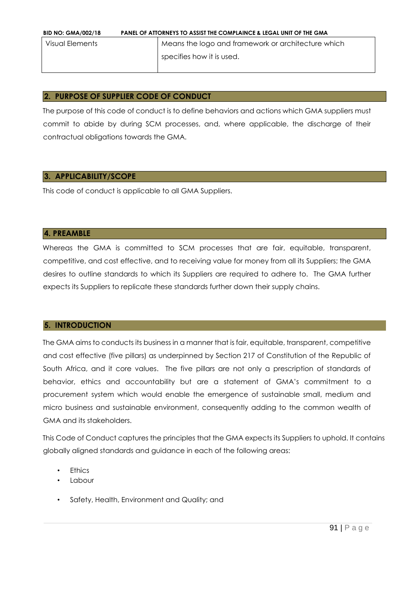| <b>BID NO: GMA/002/18</b> | <b>PANEL OF ATTORNEYS TO ASSIST THE COMPLAINCE &amp; LEGAL UNIT OF THE GMA</b> |                                                    |  |  |
|---------------------------|--------------------------------------------------------------------------------|----------------------------------------------------|--|--|
| Visual Elements           |                                                                                | Means the logo and framework or architecture which |  |  |
|                           |                                                                                | specifies how it is used.                          |  |  |
|                           |                                                                                |                                                    |  |  |

# **2. PURPOSE OF SUPPLIER CODE OF CONDUCT**

The purpose of this code of conduct is to define behaviors and actions which GMA suppliers must commit to abide by during SCM processes, and, where applicable, the discharge of their contractual obligations towards the GMA.

# **3. APPLICABILITY/SCOPE**

This code of conduct is applicable to all GMA Suppliers.

#### **4. PREAMBLE**

Whereas the GMA is committed to SCM processes that are fair, equitable, transparent, competitive, and cost effective, and to receiving value for money from all its Suppliers; the GMA desires to outline standards to which its Suppliers are required to adhere to. The GMA further expects its Suppliers to replicate these standards further down their supply chains.

#### **5. INTRODUCTION**

The GMA aims to conducts its business in a manner that is fair, equitable, transparent, competitive and cost effective (five pillars) as underpinned by Section 217 of Constitution of the Republic of South Africa, and it core values. The five pillars are not only a prescription of standards of behavior, ethics and accountability but are a statement of GMA's commitment to a procurement system which would enable the emergence of sustainable small, medium and micro business and sustainable environment, consequently adding to the common wealth of GMA and its stakeholders.

This Code of Conduct captures the principles that the GMA expects its Suppliers to uphold. It contains globally aligned standards and guidance in each of the following areas:

- **Fthics**
- **Labour**
- Safety, Health, Environment and Quality; and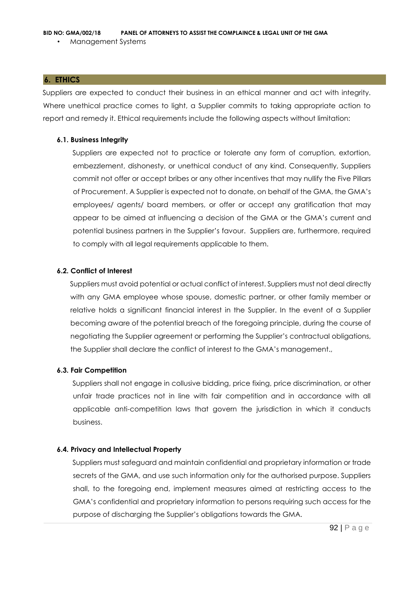#### **6. ETHICS**

Suppliers are expected to conduct their business in an ethical manner and act with integrity. Where unethical practice comes to light, a Supplier commits to taking appropriate action to report and remedy it. Ethical requirements include the following aspects without limitation:

#### **6.1. Business Integrity**

Suppliers are expected not to practice or tolerate any form of corruption, extortion, embezzlement, dishonesty, or unethical conduct of any kind. Consequently, Suppliers commit not offer or accept bribes or any other incentives that may nullify the Five Pillars of Procurement. A Supplier is expected not to donate, on behalf of the GMA, the GMA's employees/ agents/ board members, or offer or accept any gratification that may appear to be aimed at influencing a decision of the GMA or the GMA's current and potential business partners in the Supplier's favour. Suppliers are, furthermore, required to comply with all legal requirements applicable to them.

## **6.2. Conflict of Interest**

Suppliers must avoid potential or actual conflict of interest. Suppliers must not deal directly with any GMA employee whose spouse, domestic partner, or other family member or relative holds a significant financial interest in the Supplier. In the event of a Supplier becoming aware of the potential breach of the foregoing principle, during the course of negotiating the Supplier agreement or performing the Supplier's contractual obligations, the Supplier shall declare the conflict of interest to the GMA's management.,

#### **6.3. Fair Competition**

Suppliers shall not engage in collusive bidding, price fixing, price discrimination, or other unfair trade practices not in line with fair competition and in accordance with all applicable anti-competition laws that govern the jurisdiction in which it conducts business.

#### **6.4. Privacy and Intellectual Property**

Suppliers must safeguard and maintain confidential and proprietary information or trade secrets of the GMA, and use such information only for the authorised purpose. Suppliers shall, to the foregoing end, implement measures aimed at restricting access to the GMA's confidential and proprietary information to persons requiring such access for the purpose of discharging the Supplier's obligations towards the GMA.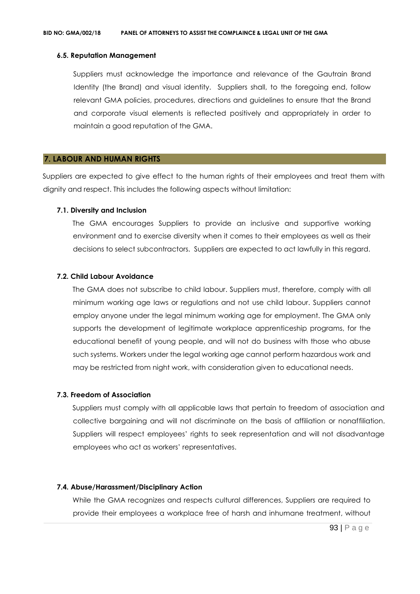#### **6.5. Reputation Management**

Suppliers must acknowledge the importance and relevance of the Gautrain Brand Identity (the Brand) and visual identity. Suppliers shall, to the foregoing end, follow relevant GMA policies, procedures, directions and guidelines to ensure that the Brand and corporate visual elements is reflected positively and appropriately in order to maintain a good reputation of the GMA.

#### **7. LABOUR AND HUMAN RIGHTS**

Suppliers are expected to give effect to the human rights of their employees and treat them with dignity and respect. This includes the following aspects without limitation:

#### **7.1. Diversity and Inclusion**

The GMA encourages Suppliers to provide an inclusive and supportive working environment and to exercise diversity when it comes to their employees as well as their decisions to select subcontractors. Suppliers are expected to act lawfully in this regard.

#### **7.2. Child Labour Avoidance**

The GMA does not subscribe to child labour. Suppliers must, therefore, comply with all minimum working age laws or regulations and not use child labour. Suppliers cannot employ anyone under the legal minimum working age for employment. The GMA only supports the development of legitimate workplace apprenticeship programs, for the educational benefit of young people, and will not do business with those who abuse such systems. Workers under the legal working age cannot perform hazardous work and may be restricted from night work, with consideration given to educational needs.

#### **7.3. Freedom of Association**

Suppliers must comply with all applicable laws that pertain to freedom of association and collective bargaining and will not discriminate on the basis of affiliation or nonaffiliation. Suppliers will respect employees' rights to seek representation and will not disadvantage employees who act as workers' representatives.

#### **7.4. Abuse/Harassment/Disciplinary Action**

While the GMA recognizes and respects cultural differences, Suppliers are required to provide their employees a workplace free of harsh and inhumane treatment, without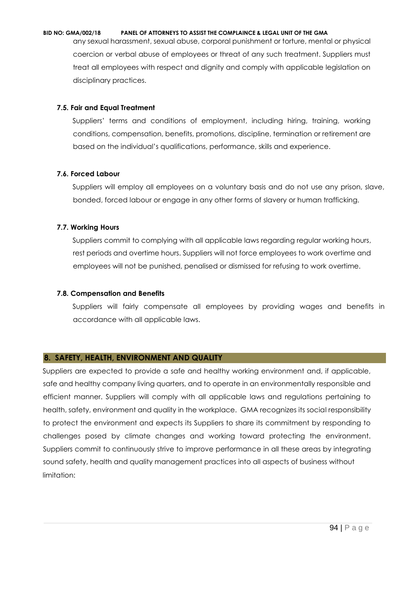any sexual harassment, sexual abuse, corporal punishment or torture, mental or physical coercion or verbal abuse of employees or threat of any such treatment. Suppliers must treat all employees with respect and dignity and comply with applicable legislation on disciplinary practices.

#### **7.5. Fair and Equal Treatment**

Suppliers' terms and conditions of employment, including hiring, training, working conditions, compensation, benefits, promotions, discipline, termination or retirement are based on the individual's qualifications, performance, skills and experience.

#### **7.6. Forced Labour**

Suppliers will employ all employees on a voluntary basis and do not use any prison, slave, bonded, forced labour or engage in any other forms of slavery or human trafficking.

#### **7.7. Working Hours**

Suppliers commit to complying with all applicable laws regarding regular working hours, rest periods and overtime hours. Suppliers will not force employees to work overtime and employees will not be punished, penalised or dismissed for refusing to work overtime.

#### **7.8. Compensation and Benefits**

Suppliers will fairly compensate all employees by providing wages and benefits in accordance with all applicable laws.

#### **8. SAFETY, HEALTH, ENVIRONMENT AND QUALITY**

Suppliers are expected to provide a safe and healthy working environment and, if applicable, safe and healthy company living quarters, and to operate in an environmentally responsible and efficient manner. Suppliers will comply with all applicable laws and regulations pertaining to health, safety, environment and quality in the workplace. GMA recognizes its social responsibility to protect the environment and expects its Suppliers to share its commitment by responding to challenges posed by climate changes and working toward protecting the environment. Suppliers commit to continuously strive to improve performance in all these areas by integrating sound safety, health and quality management practices into all aspects of business without limitation: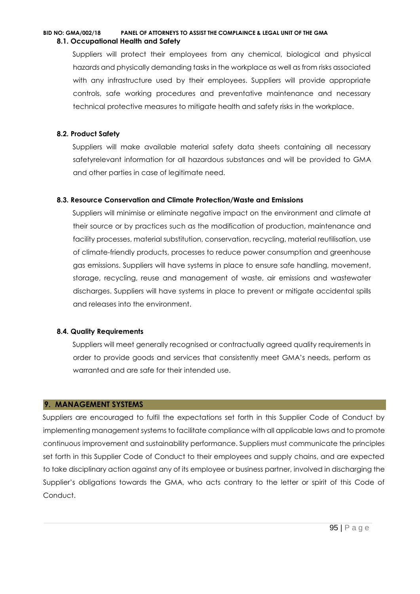## **BID NO: GMA/002/18 PANEL OF ATTORNEYS TO ASSIST THE COMPLAINCE & LEGAL UNIT OF THE GMA 8.1. Occupational Health and Safety**

Suppliers will protect their employees from any chemical, biological and physical hazards and physically demanding tasks in the workplace as well as from risks associated with any infrastructure used by their employees. Suppliers will provide appropriate controls, safe working procedures and preventative maintenance and necessary technical protective measures to mitigate health and safety risks in the workplace.

#### **8.2. Product Safety**

Suppliers will make available material safety data sheets containing all necessary safetyrelevant information for all hazardous substances and will be provided to GMA and other parties in case of legitimate need.

## **8.3. Resource Conservation and Climate Protection/Waste and Emissions**

Suppliers will minimise or eliminate negative impact on the environment and climate at their source or by practices such as the modification of production, maintenance and facility processes, material substitution, conservation, recycling, material reutilisation, use of climate-friendly products, processes to reduce power consumption and greenhouse gas emissions. Suppliers will have systems in place to ensure safe handling, movement, storage, recycling, reuse and management of waste, air emissions and wastewater discharges. Suppliers will have systems in place to prevent or mitigate accidental spills and releases into the environment.

#### **8.4. Quality Requirements**

Suppliers will meet generally recognised or contractually agreed quality requirements in order to provide goods and services that consistently meet GMA's needs, perform as warranted and are safe for their intended use.

# **9. MANAGEMENT SYSTEMS**

Suppliers are encouraged to fulfil the expectations set forth in this Supplier Code of Conduct by implementing management systems to facilitate compliance with all applicable laws and to promote continuous improvement and sustainability performance. Suppliers must communicate the principles set forth in this Supplier Code of Conduct to their employees and supply chains, and are expected to take disciplinary action against any of its employee or business partner, involved in discharging the Supplier's obligations towards the GMA, who acts contrary to the letter or spirit of this Code of Conduct.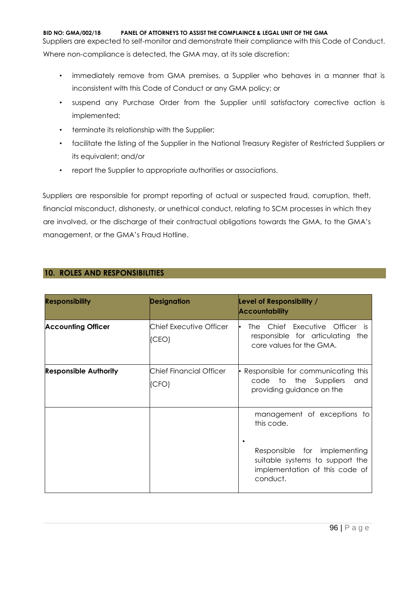Suppliers are expected to self-monitor and demonstrate their compliance with this Code of Conduct. Where non-compliance is detected, the GMA may, at its sole discretion:

- immediately remove from GMA premises, a Supplier who behaves in a manner that is inconsistent with this Code of Conduct or any GMA policy; or
- suspend any Purchase Order from the Supplier until satisfactory corrective action is implemented;
- terminate its relationship with the Supplier;
- facilitate the listing of the Supplier in the National Treasury Register of Restricted Suppliers or its equivalent; and/or
- report the Supplier to appropriate authorities or associations.

Suppliers are responsible for prompt reporting of actual or suspected fraud, corruption, theft, financial misconduct, dishonesty, or unethical conduct, relating to SCM processes in which they are involved, or the discharge of their contractual obligations towards the GMA, to the GMA's management, or the GMA's Fraud Hotline.

|  |  |  |  | <b>10. ROLES AND RESPONSIBILITIES</b> |  |
|--|--|--|--|---------------------------------------|--|
|--|--|--|--|---------------------------------------|--|

| <b>Responsibility</b>        | <b>Designation</b>               | Level of Responsibility /<br><b>Accountability</b>                                                                                                         |
|------------------------------|----------------------------------|------------------------------------------------------------------------------------------------------------------------------------------------------------|
| <b>Accounting Officer</b>    | Chief Executive Officer<br>(CEO) | The Chief Executive Officer is<br>responsible for articulating the<br>core values for the GMA.                                                             |
| <b>Responsible Authority</b> | Chief Financial Officer<br>(CFO) | • Responsible for communicating this<br>code to the Suppliers<br>and<br>providing guidance on the                                                          |
|                              |                                  | management of exceptions to<br>this code.<br>Responsible for implementing<br>suitable systems to support the<br>implementation of this code of<br>conduct. |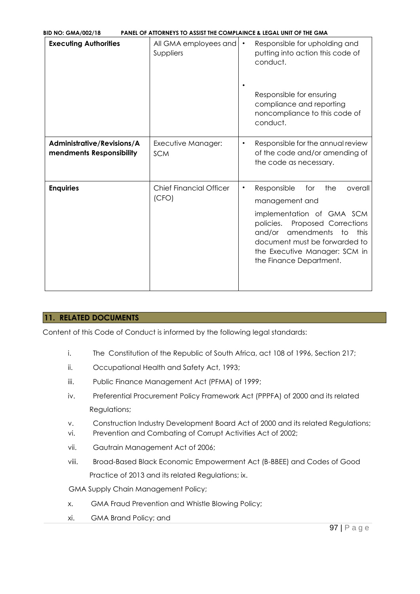| <b>BID NO: GMA/002/18</b>                              | PANEL OF ATTORNEYS TO ASSIST THE COMPLAINCE & LEGAL UNIT OF THE GMA |                                                                                                                                                                                                                                                                          |
|--------------------------------------------------------|---------------------------------------------------------------------|--------------------------------------------------------------------------------------------------------------------------------------------------------------------------------------------------------------------------------------------------------------------------|
| <b>Executing Authorities</b>                           | All GMA employees and<br>Suppliers                                  | Responsible for upholding and<br>$\bullet$<br>putting into action this code of<br>conduct.                                                                                                                                                                               |
|                                                        |                                                                     | Responsible for ensuring<br>compliance and reporting<br>noncompliance to this code of<br>conduct.                                                                                                                                                                        |
| Administrative/Revisions/A<br>mendments Responsibility | Executive Manager:<br><b>SCM</b>                                    | Responsible for the annual review<br>$\bullet$<br>of the code and/or amending of<br>the code as necessary.                                                                                                                                                               |
| <b>Enquiries</b>                                       | <b>Chief Financial Officer</b><br>(CFO)                             | Responsible<br>the<br>for<br>overall<br>$\bullet$<br>management and<br>implementation of GMA SCM<br>Proposed Corrections<br>policies.<br>amendments<br>and/or<br>to<br>this<br>document must be forwarded to<br>the Executive Manager: SCM in<br>the Finance Department. |

# **11. RELATED DOCUMENTS**

Content of this Code of Conduct is informed by the following legal standards:

- i. The Constitution of the Republic of South Africa, act 108 of 1996, Section 217;
- ii. Occupational Health and Safety Act, 1993;
- iii. Public Finance Management Act (PFMA) of 1999;
- iv. Preferential Procurement Policy Framework Act (PPPFA) of 2000 and its related Regulations;
- v. Construction Industry Development Board Act of 2000 and its related Regulations;
- vi. Prevention and Combating of Corrupt Activities Act of 2002;
- vii. Gautrain Management Act of 2006;
- viii. Broad-Based Black Economic Empowerment Act (B-BBEE) and Codes of Good Practice of 2013 and its related Regulations; ix.
- GMA Supply Chain Management Policy;
- x. GMA Fraud Prevention and Whistle Blowing Policy;
- xi. GMA Brand Policy; and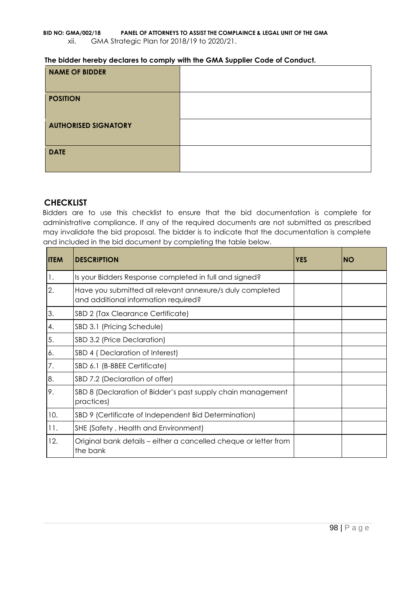| <b>NAME OF BIDDER</b>       |  |
|-----------------------------|--|
| <b>POSITION</b>             |  |
| <b>AUTHORISED SIGNATORY</b> |  |
| <b>DATE</b>                 |  |

# **CHECKLIST**

Bidders are to use this checklist to ensure that the bid documentation is complete for administrative compliance. If any of the required documents are not submitted as prescribed may invalidate the bid proposal. The bidder is to indicate that the documentation is complete and included in the bid document by completing the table below.

| <b>ITEM</b> | <b>DESCRIPTION</b>                                                                                | <b>YES</b> | <b>NO</b> |
|-------------|---------------------------------------------------------------------------------------------------|------------|-----------|
| 1.          | Is your Bidders Response completed in full and signed?                                            |            |           |
| 2.          | Have you submitted all relevant annexure/s duly completed<br>and additional information required? |            |           |
| 3.          | SBD 2 (Tax Clearance Certificate)                                                                 |            |           |
| 4.          | SBD 3.1 (Pricing Schedule)                                                                        |            |           |
| 5.          | SBD 3.2 (Price Declaration)                                                                       |            |           |
| 6.          | SBD 4 (Declaration of Interest)                                                                   |            |           |
| 7.          | SBD 6.1 (B-BBEE Certificate)                                                                      |            |           |
| 8.          | SBD 7.2 (Declaration of offer)                                                                    |            |           |
| 9.          | SBD 8 (Declaration of Bidder's past supply chain management<br>practices)                         |            |           |
| 10.         | SBD 9 (Certificate of Independent Bid Determination)                                              |            |           |
| 11.         | SHE (Safety, Health and Environment)                                                              |            |           |
| 12.         | Original bank details - either a cancelled cheque or letter from<br>the bank                      |            |           |